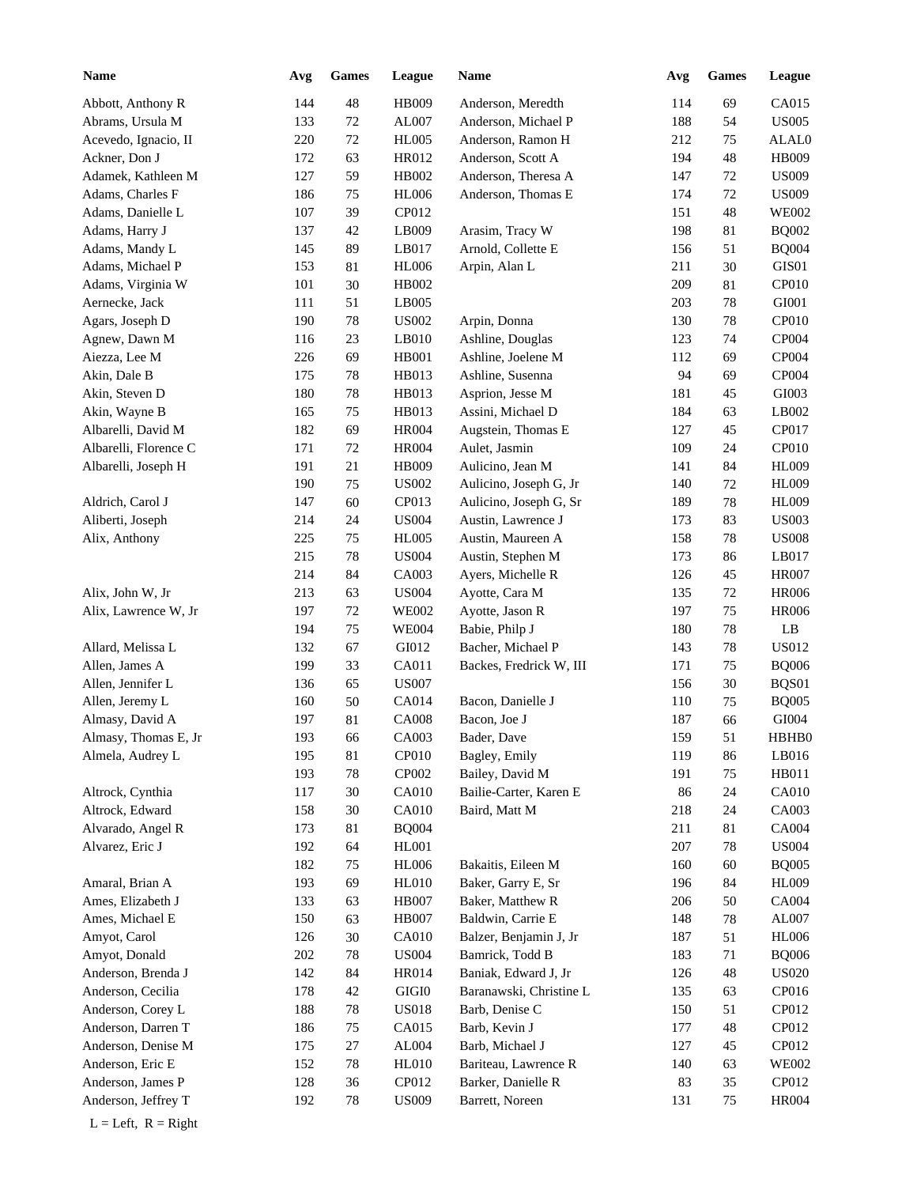| <b>Name</b>              | Avg        | <b>Games</b> | League        | Name                    | Avg | <b>Games</b> | League        |
|--------------------------|------------|--------------|---------------|-------------------------|-----|--------------|---------------|
| Abbott, Anthony R        | 144        | 48           | HB009         | Anderson, Meredth       | 114 | 69           | CA015         |
| Abrams, Ursula M         | 133        | 72           | AL007         | Anderson, Michael P     | 188 | 54           | <b>US005</b>  |
| Acevedo, Ignacio, II     | 220        | 72           | <b>HL005</b>  | Anderson, Ramon H       | 212 | 75           | ALAL0         |
| Ackner, Don J            | 172        | 63           | HR012         | Anderson, Scott A       | 194 | 48           | HB009         |
| Adamek, Kathleen M       | 127        | 59           | HB002         | Anderson, Theresa A     | 147 | 72           | <b>US009</b>  |
| Adams, Charles F         | 186        | 75           | <b>HL006</b>  | Anderson, Thomas E      | 174 | 72           | <b>US009</b>  |
| Adams, Danielle L        | 107        | 39           | CP012         |                         | 151 | 48           | <b>WE002</b>  |
| Adams, Harry J           | 137        | 42           | LB009         | Arasim, Tracy W         | 198 | 81           | <b>BQ002</b>  |
| Adams, Mandy L           | 145        | 89           | LB017         | Arnold, Collette E      | 156 | 51           | <b>BQ004</b>  |
| Adams, Michael P         | 153        | 81           | <b>HL006</b>  | Arpin, Alan L           | 211 | 30           | GIS01         |
| Adams, Virginia W        | 101        | 30           | HB002         |                         | 209 | 81           | CP010         |
| Aernecke, Jack           | 111        | 51           | LB005         |                         | 203 | 78           | GI001         |
| Agars, Joseph D          | 190        | 78           | <b>US002</b>  | Arpin, Donna            | 130 | 78           | CP010         |
| Agnew, Dawn M            | 116        | 23           | LB010         | Ashline, Douglas        | 123 | 74           | CP004         |
| Aiezza, Lee M            | 226        | 69           | <b>HB001</b>  | Ashline, Joelene M      | 112 | 69           | CP004         |
| Akin, Dale B             | 175        | 78           | HB013         | Ashline, Susenna        | 94  | 69           | CP004         |
| Akin, Steven D           | 180        | 78           | HB013         | Asprion, Jesse M        | 181 | 45           | GI003         |
| Akin, Wayne B            | 165        | 75           | HB013         | Assini, Michael D       | 184 | 63           | LB002         |
| Albarelli, David M       | 182        | 69           | <b>HR004</b>  | Augstein, Thomas E      | 127 | 45           | CP017         |
| Albarelli, Florence C    | 171        | 72           | <b>HR004</b>  | Aulet, Jasmin           | 109 | 24           | CP010         |
| Albarelli, Joseph H      | 191        | 21           | HB009         | Aulicino, Jean M        | 141 | 84           | <b>HL009</b>  |
|                          | 190        | 75           | <b>US002</b>  | Aulicino, Joseph G, Jr  | 140 | 72           | <b>HL009</b>  |
| Aldrich, Carol J         | 147        | 60           | CP013         | Aulicino, Joseph G, Sr  | 189 | $78\,$       | <b>HL009</b>  |
| Aliberti, Joseph         | 214        | 24           | <b>US004</b>  | Austin, Lawrence J      | 173 | 83           | <b>US003</b>  |
| Alix, Anthony            | 225        | 75           | <b>HL005</b>  | Austin, Maureen A       | 158 | 78           | <b>US008</b>  |
|                          | 215        | 78           | <b>US004</b>  | Austin, Stephen M       | 173 | 86           | LB017         |
|                          | 214        | 84           | CA003         | Ayers, Michelle R       | 126 | 45           | <b>HR007</b>  |
|                          |            | 63           | <b>US004</b>  |                         |     |              | <b>HR006</b>  |
| Alix, John W, Jr         | 213<br>197 | 72           | <b>WE002</b>  | Ayotte, Cara M          | 135 | 72<br>75     |               |
| Alix, Lawrence W, Jr     |            |              |               | Ayotte, Jason R         | 197 |              | <b>HR006</b>  |
|                          | 194        | 75           | <b>WE004</b>  | Babie, Philp J          | 180 | 78           | LB            |
| Allard, Melissa L        | 132        | 67           | GI012         | Bacher, Michael P       | 143 | 78           | <b>US012</b>  |
| Allen, James A           | 199        | 33           | CA011         | Backes, Fredrick W, III | 171 | 75           | <b>BQ006</b>  |
| Allen, Jennifer L        | 136        | 65           | <b>US007</b>  |                         | 156 | 30           | BQS01         |
| Allen, Jeremy L          | 160        | 50           | CA014         | Bacon, Danielle J       | 110 | 75           | <b>BQ005</b>  |
| Almasy, David A          | 197        | 81           | <b>CA008</b>  | Bacon, Joe J            | 187 | 66           | GI004         |
| Almasy, Thomas E, Jr     | 193        | 66           | CA003         | Bader, Dave             | 159 | 51           | HBHB0         |
| Almela, Audrey L         | 195        | 81           | CP010         | Bagley, Emily           | 119 | 86           | LB016         |
|                          | 193        | 78           | CP002         | Bailey, David M         | 191 | 75           | HB011         |
| Altrock, Cynthia         | 117        | 30           | <b>CA010</b>  | Bailie-Carter, Karen E  | 86  | 24           | <b>CA010</b>  |
| Altrock, Edward          | 158        | 30           | <b>CA010</b>  | Baird, Matt M           | 218 | 24           | CA003         |
| Alvarado, Angel R        | 173        | 81           | <b>BQ004</b>  |                         | 211 | 81           | CA004         |
| Alvarez, Eric J          | 192        | 64           | <b>HL001</b>  |                         | 207 | 78           | <b>US004</b>  |
|                          | 182        | 75           | HL006         | Bakaitis, Eileen M      | 160 | 60           | <b>BQ005</b>  |
| Amaral, Brian A          | 193        | 69           | HL010         | Baker, Garry E, Sr      | 196 | 84           | <b>HL009</b>  |
| Ames, Elizabeth J        | 133        | 63           | <b>HB007</b>  | Baker, Matthew R        | 206 | 50           | CA004         |
| Ames, Michael E          | 150        | 63           | <b>HB007</b>  | Baldwin, Carrie E       | 148 | 78           | ${\rm AL}007$ |
| Amyot, Carol             | 126        | 30           | <b>CA010</b>  | Balzer, Benjamin J, Jr  | 187 | 51           | <b>HL006</b>  |
| Amyot, Donald            | 202        | 78           | <b>US004</b>  | Bamrick, Todd B         | 183 | 71           | <b>BQ006</b>  |
| Anderson, Brenda J       | 142        | 84           | <b>HR014</b>  | Baniak, Edward J, Jr    | 126 | 48           | <b>US020</b>  |
| Anderson, Cecilia        | 178        | 42           | $\rm GIGI0$   | Baranawski, Christine L | 135 | 63           | CP016         |
| Anderson, Corey L        | 188        | 78           | <b>US018</b>  | Barb, Denise C          | 150 | 51           | CP012         |
| Anderson, Darren T       | 186        | $75\,$       | CA015         | Barb, Kevin J           | 177 | 48           | CP012         |
| Anderson, Denise M       | 175        | 27           | ${\rm AL004}$ | Barb, Michael J         | 127 | 45           | CP012         |
| Anderson, Eric E         | 152        | 78           | HL010         | Bariteau, Lawrence R    | 140 | 63           | <b>WE002</b>  |
| Anderson, James P        | 128        | 36           | CP012         | Barker, Danielle R      | 83  | 35           | CP012         |
| Anderson, Jeffrey T      | 192        | 78           | <b>US009</b>  | Barrett, Noreen         | 131 | 75           | <b>HR004</b>  |
| $L = Left$ , $R = Right$ |            |              |               |                         |     |              |               |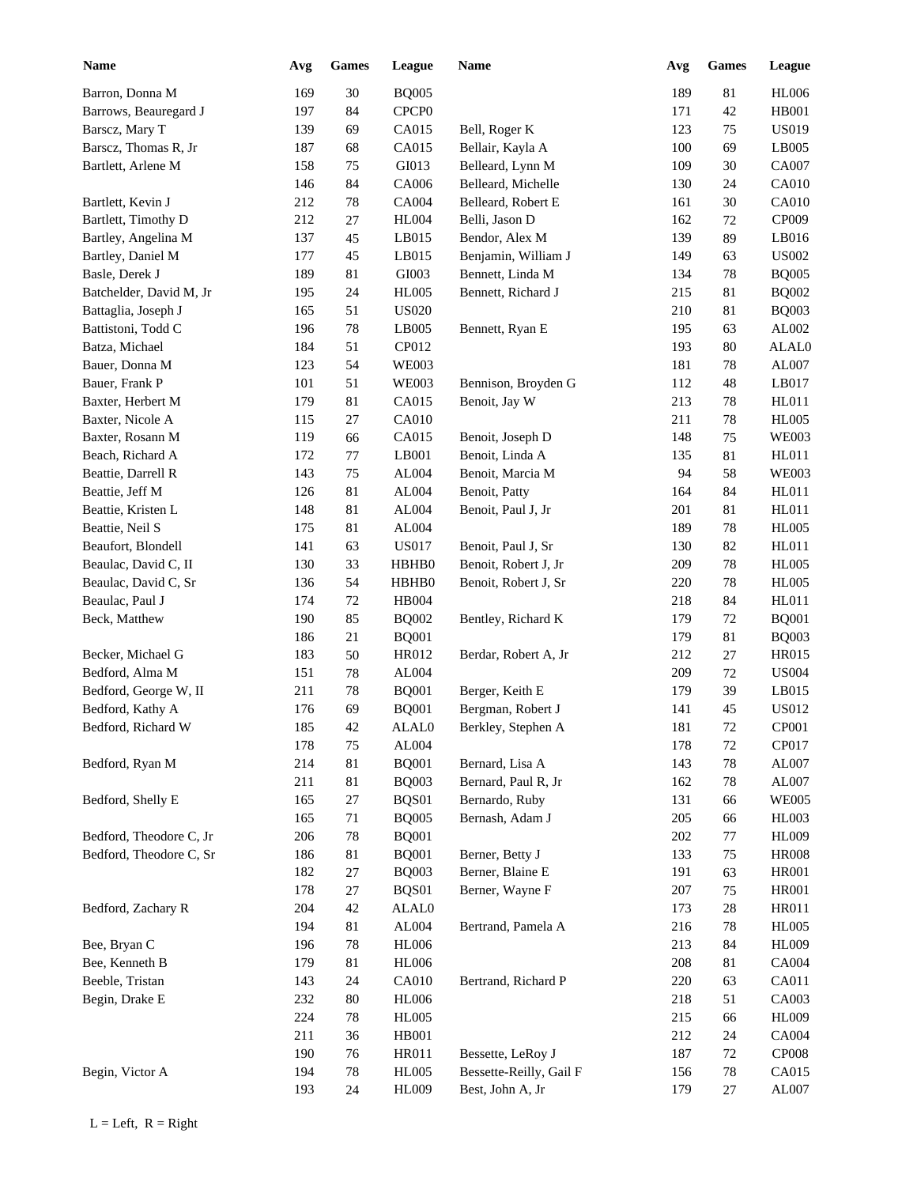| <b>Name</b>             | Avg | <b>Games</b> | League            | <b>Name</b>             | Avg | <b>Games</b> | League       |
|-------------------------|-----|--------------|-------------------|-------------------------|-----|--------------|--------------|
| Barron, Donna M         | 169 | $30\,$       | <b>BQ005</b>      |                         | 189 | $81\,$       | <b>HL006</b> |
| Barrows, Beauregard J   | 197 | 84           | CPCP <sub>0</sub> |                         | 171 | 42           | <b>HB001</b> |
| Barscz, Mary T          | 139 | 69           | CA015             | Bell, Roger K           | 123 | 75           | <b>US019</b> |
| Barscz, Thomas R, Jr    | 187 | 68           | CA015             | Bellair, Kayla A        | 100 | 69           | LB005        |
| Bartlett, Arlene M      | 158 | 75           | GI013             | Belleard, Lynn M        | 109 | 30           | CA007        |
|                         | 146 | 84           | CA006             | Belleard, Michelle      | 130 | 24           | CA010        |
| Bartlett, Kevin J       | 212 | 78           | CA004             | Belleard, Robert E      | 161 | 30           | CA010        |
| Bartlett, Timothy D     | 212 | 27           | <b>HL004</b>      | Belli, Jason D          | 162 | 72           | CP009        |
| Bartley, Angelina M     | 137 | 45           | LB015             | Bendor, Alex M          | 139 | 89           | LB016        |
| Bartley, Daniel M       | 177 | 45           | LB015             | Benjamin, William J     | 149 | 63           | <b>US002</b> |
| Basle, Derek J          | 189 | 81           | GI003             | Bennett, Linda M        | 134 | 78           | <b>BQ005</b> |
| Batchelder, David M, Jr | 195 | 24           | <b>HL005</b>      | Bennett, Richard J      | 215 | 81           | <b>BQ002</b> |
| Battaglia, Joseph J     | 165 | 51           | <b>US020</b>      |                         | 210 | 81           | <b>BQ003</b> |
| Battistoni, Todd C      | 196 | 78           | LB005             | Bennett, Ryan E         | 195 | 63           | AL002        |
| Batza, Michael          | 184 | 51           | CP012             |                         | 193 | 80           | ALAL0        |
| Bauer, Donna M          | 123 | 54           | <b>WE003</b>      |                         | 181 | 78           | AL007        |
| Bauer, Frank P          | 101 | 51           | <b>WE003</b>      | Bennison, Broyden G     | 112 | 48           | LB017        |
| Baxter, Herbert M       | 179 | $81\,$       | CA015             | Benoit, Jay W           | 213 | 78           | HL011        |
| Baxter, Nicole A        | 115 | 27           | CA010             |                         | 211 | 78           | <b>HL005</b> |
| Baxter, Rosann M        | 119 | 66           | CA015             | Benoit, Joseph D        | 148 | 75           | <b>WE003</b> |
| Beach, Richard A        | 172 | 77           | LB001             | Benoit, Linda A         | 135 | 81           | HL011        |
| Beattie, Darrell R      | 143 | 75           | AL004             | Benoit, Marcia M        | 94  | 58           | <b>WE003</b> |
| Beattie, Jeff M         | 126 | 81           | ${\rm AL004}$     | Benoit, Patty           | 164 | 84           | HL011        |
| Beattie, Kristen L      | 148 | 81           | AL004             | Benoit, Paul J, Jr      | 201 | 81           | HL011        |
| Beattie, Neil S         | 175 | 81           | AL004             |                         | 189 | 78           | <b>HL005</b> |
| Beaufort, Blondell      | 141 | 63           | <b>US017</b>      | Benoit, Paul J, Sr      | 130 | 82           | HL011        |
| Beaulac, David C, II    | 130 | 33           | HBHB0             | Benoit, Robert J, Jr    | 209 | $78\,$       | <b>HL005</b> |
| Beaulac, David C, Sr    | 136 | 54           | HBHB0             | Benoit, Robert J, Sr    | 220 | $78\,$       | <b>HL005</b> |
| Beaulac, Paul J         | 174 | $72\,$       | <b>HB004</b>      |                         | 218 | 84           | HL011        |
|                         | 190 | 85           |                   |                         |     |              | <b>BQ001</b> |
| Beck, Matthew           |     |              | <b>BQ002</b>      | Bentley, Richard K      | 179 | 72           |              |
|                         | 186 | 21<br>50     | <b>BQ001</b>      |                         | 179 | 81           | <b>BQ003</b> |
| Becker, Michael G       | 183 |              | HR012             | Berdar, Robert A, Jr    | 212 | 27           | <b>HR015</b> |
| Bedford, Alma M         | 151 | 78           | AL004             |                         | 209 | 72           | <b>US004</b> |
| Bedford, George W, II   | 211 | 78           | <b>BQ001</b>      | Berger, Keith E         | 179 | 39           | LB015        |
| Bedford, Kathy A        | 176 | 69           | <b>BQ001</b>      | Bergman, Robert J       | 141 | 45           | <b>US012</b> |
| Bedford, Richard W      | 185 | 42           | ALAL0             | Berkley, Stephen A      | 181 | $72\,$       | CP001        |
|                         | 178 | 75           | AL004             |                         | 178 | 72           | CP017        |
| Bedford, Ryan M         | 214 | $81\,$       | <b>BQ001</b>      | Bernard, Lisa A         | 143 | 78           | AL007        |
|                         | 211 | 81           | <b>BQ003</b>      | Bernard, Paul R, Jr     | 162 | 78           | AL007        |
| Bedford, Shelly E       | 165 | 27           | BQS01             | Bernardo, Ruby          | 131 | 66           | <b>WE005</b> |
|                         | 165 | 71           | <b>BQ005</b>      | Bernash, Adam J         | 205 | 66           | <b>HL003</b> |
| Bedford, Theodore C, Jr | 206 | 78           | <b>BQ001</b>      |                         | 202 | 77           | <b>HL009</b> |
| Bedford, Theodore C, Sr | 186 | $81\,$       | <b>BQ001</b>      | Berner, Betty J         | 133 | 75           | <b>HR008</b> |
|                         | 182 | 27           | <b>BQ003</b>      | Berner, Blaine E        | 191 | 63           | <b>HR001</b> |
|                         | 178 | 27           | BQS01             | Berner, Wayne F         | 207 | 75           | <b>HR001</b> |
| Bedford, Zachary R      | 204 | $42\,$       | ALAL0             |                         | 173 | $28\,$       | <b>HR011</b> |
|                         | 194 | 81           | AL004             | Bertrand, Pamela A      | 216 | 78           | <b>HL005</b> |
| Bee, Bryan C            | 196 | 78           | <b>HL006</b>      |                         | 213 | 84           | <b>HL009</b> |
| Bee, Kenneth B          | 179 | $81\,$       | <b>HL006</b>      |                         | 208 | 81           | <b>CA004</b> |
| Beeble, Tristan         | 143 | 24           | CA010             | Bertrand, Richard P     | 220 | 63           | CA011        |
| Begin, Drake E          | 232 | $80\,$       | <b>HL006</b>      |                         | 218 | 51           | CA003        |
|                         | 224 | 78           | <b>HL005</b>      |                         | 215 | 66           | <b>HL009</b> |
|                         | 211 | 36           | HB001             |                         | 212 | 24           | <b>CA004</b> |
|                         | 190 | 76           | HR011             | Bessette, LeRoy J       | 187 | 72           | CP008        |
| Begin, Victor A         | 194 | $78\,$       | <b>HL005</b>      | Bessette-Reilly, Gail F | 156 | 78           | CA015        |
|                         | 193 | 24           | HL009             | Best, John A, Jr        | 179 | 27           | AL007        |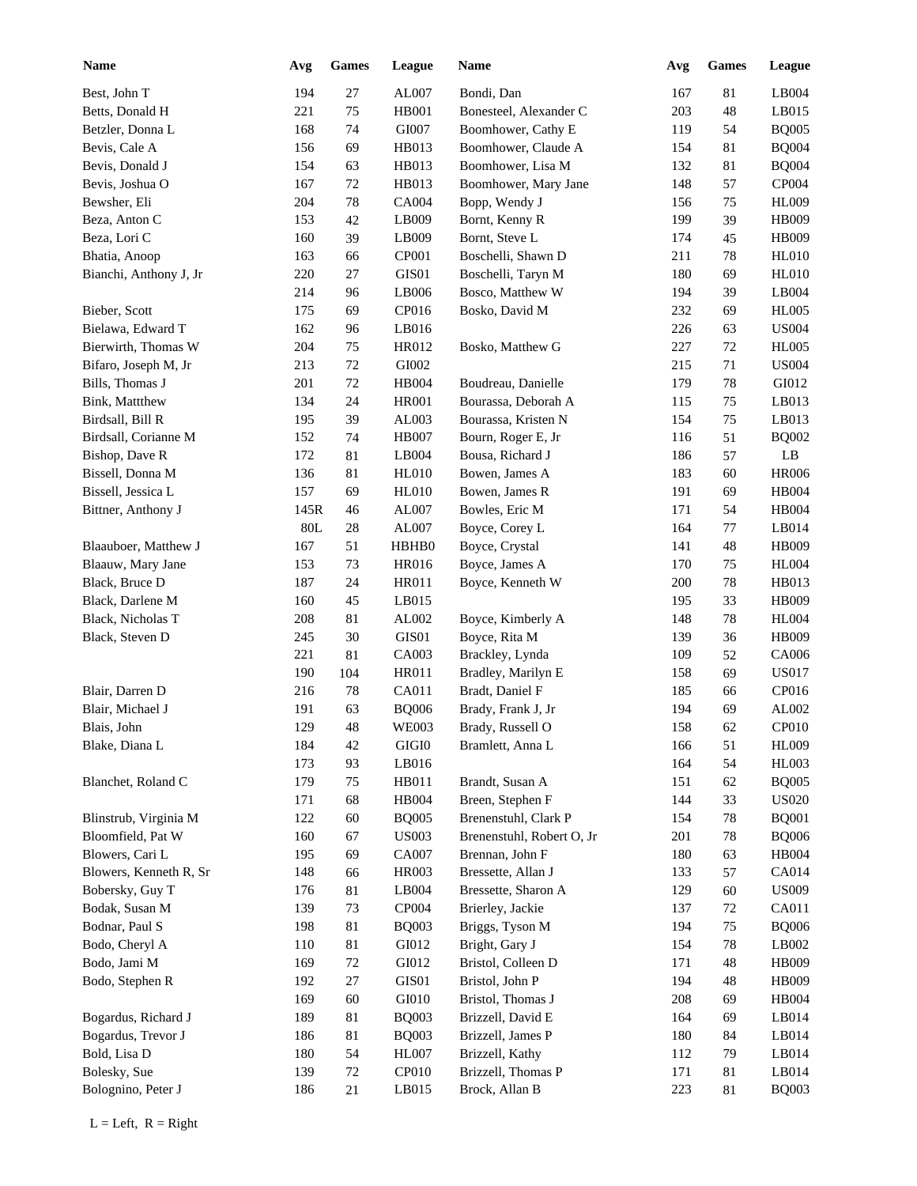| <b>Name</b>            | Avg  | <b>Games</b> | League       | <b>Name</b>               | Avg | Games  | <b>League</b> |
|------------------------|------|--------------|--------------|---------------------------|-----|--------|---------------|
| Best, John T           | 194  | 27           | AL007        | Bondi, Dan                | 167 | 81     | LB004         |
| Betts, Donald H        | 221  | 75           | HB001        | Bonesteel, Alexander C    | 203 | 48     | LB015         |
| Betzler, Donna L       | 168  | 74           | GI007        | Boomhower, Cathy E        | 119 | 54     | <b>BQ005</b>  |
| Bevis, Cale A          | 156  | 69           | HB013        | Boomhower, Claude A       | 154 | 81     | <b>BQ004</b>  |
| Bevis, Donald J        | 154  | 63           | HB013        | Boomhower, Lisa M         | 132 | 81     | <b>BQ004</b>  |
| Bevis, Joshua O        | 167  | 72           | HB013        | Boomhower, Mary Jane      | 148 | 57     | CP004         |
| Bewsher, Eli           | 204  | 78           | CA004        | Bopp, Wendy J             | 156 | 75     | <b>HL009</b>  |
| Beza, Anton C          | 153  | 42           | LB009        | Bornt, Kenny R            | 199 | 39     | HB009         |
| Beza, Lori C           | 160  | 39           | LB009        | Bornt, Steve L            | 174 | 45     | HB009         |
| Bhatia, Anoop          | 163  | 66           | CP001        | Boschelli, Shawn D        | 211 | 78     | <b>HL010</b>  |
| Bianchi, Anthony J, Jr | 220  | 27           | GIS01        | Boschelli, Taryn M        | 180 | 69     | <b>HL010</b>  |
|                        | 214  | 96           | LB006        | Bosco, Matthew W          | 194 | 39     | LB004         |
| Bieber, Scott          | 175  | 69           | CP016        | Bosko, David M            | 232 | 69     | <b>HL005</b>  |
| Bielawa, Edward T      | 162  | 96           | LB016        |                           | 226 |        | <b>US004</b>  |
|                        |      |              |              |                           |     | 63     |               |
| Bierwirth, Thomas W    | 204  | 75           | HR012        | Bosko, Matthew G          | 227 | 72     | <b>HL005</b>  |
| Bifaro, Joseph M, Jr   | 213  | 72           | GI002        |                           | 215 | 71     | <b>US004</b>  |
| Bills, Thomas J        | 201  | 72           | HB004        | Boudreau, Danielle        | 179 | 78     | GI012         |
| Bink, Mattthew         | 134  | 24           | <b>HR001</b> | Bourassa, Deborah A       | 115 | 75     | LB013         |
| Birdsall, Bill R       | 195  | 39           | AL003        | Bourassa, Kristen N       | 154 | 75     | LB013         |
| Birdsall, Corianne M   | 152  | 74           | <b>HB007</b> | Bourn, Roger E, Jr        | 116 | 51     | <b>BQ002</b>  |
| Bishop, Dave R         | 172  | 81           | LB004        | Bousa, Richard J          | 186 | 57     | LB            |
| Bissell, Donna M       | 136  | 81           | <b>HL010</b> | Bowen, James A            | 183 | 60     | <b>HR006</b>  |
| Bissell, Jessica L     | 157  | 69           | <b>HL010</b> | Bowen, James R            | 191 | 69     | <b>HB004</b>  |
| Bittner, Anthony J     | 145R | 46           | AL007        | Bowles, Eric M            | 171 | 54     | <b>HB004</b>  |
|                        | 80L  | 28           | AL007        | Boyce, Corey L            | 164 | 77     | LB014         |
| Blaauboer, Matthew J   | 167  | 51           | HBHB0        | Boyce, Crystal            | 141 | 48     | <b>HB009</b>  |
| Blaauw, Mary Jane      | 153  | 73           | HR016        | Boyce, James A            | 170 | 75     | <b>HL004</b>  |
| Black, Bruce D         | 187  | 24           | <b>HR011</b> | Boyce, Kenneth W          | 200 | $78\,$ | HB013         |
| Black, Darlene M       | 160  | 45           | LB015        |                           | 195 | 33     | HB009         |
| Black, Nicholas T      | 208  | 81           | AL002        | Boyce, Kimberly A         | 148 | 78     | <b>HL004</b>  |
| Black, Steven D        | 245  | 30           | GIS01        | Boyce, Rita M             | 139 | 36     | HB009         |
|                        | 221  | 81           | CA003        | Brackley, Lynda           | 109 | 52     | CA006         |
|                        | 190  | 104          | HR011        | Bradley, Marilyn E        | 158 | 69     | <b>US017</b>  |
| Blair, Darren D        | 216  | 78           | CA011        | Bradt, Daniel F           | 185 | 66     | CP016         |
| Blair, Michael J       | 191  | 63           | <b>BQ006</b> | Brady, Frank J, Jr        | 194 | 69     | AL002         |
| Blais, John            | 129  | $\sqrt{48}$  | <b>WE003</b> | Brady, Russell O          | 158 | 62     | CP010         |
| Blake, Diana L         | 184  | 42           | $\rm GIGI0$  | Bramlett, Anna L          | 166 | 51     | HL009         |
|                        | 173  | 93           | $L$ B016     |                           | 164 | 54     | <b>HL003</b>  |
| Blanchet, Roland C     | 179  | 75           | HB011        | Brandt, Susan A           | 151 | 62     | <b>BQ005</b>  |
|                        | 171  | 68           | HB004        | Breen, Stephen F          | 144 | 33     | <b>US020</b>  |
| Blinstrub, Virginia M  | 122  | 60           | <b>BQ005</b> | Brenenstuhl, Clark P      | 154 | 78     | <b>BQ001</b>  |
| Bloomfield, Pat W      | 160  | 67           | <b>US003</b> | Brenenstuhl, Robert O, Jr | 201 | 78     | <b>BQ006</b>  |
|                        |      |              |              |                           |     |        |               |
| Blowers, Cari L        | 195  | 69           | CA007        | Brennan, John F           | 180 | 63     | <b>HB004</b>  |
| Blowers, Kenneth R, Sr | 148  | 66           | HR003        | Bressette, Allan J        | 133 | 57     | CA014         |
| Bobersky, Guy T        | 176  | 81           | LB004        | Bressette, Sharon A       | 129 | 60     | <b>US009</b>  |
| Bodak, Susan M         | 139  | 73           | CP004        | Brierley, Jackie          | 137 | 72     | CA011         |
| Bodnar, Paul S         | 198  | 81           | <b>BQ003</b> | Briggs, Tyson M           | 194 | 75     | <b>BQ006</b>  |
| Bodo, Cheryl A         | 110  | 81           | GI012        | Bright, Gary J            | 154 | 78     | LB002         |
| Bodo, Jami M           | 169  | 72           | GI012        | Bristol, Colleen D        | 171 | 48     | HB009         |
| Bodo, Stephen R        | 192  | 27           | GIS01        | Bristol, John P           | 194 | 48     | HB009         |
|                        | 169  | 60           | GI010        | Bristol, Thomas J         | 208 | 69     | <b>HB004</b>  |
| Bogardus, Richard J    | 189  | 81           | <b>BQ003</b> | Brizzell, David E         | 164 | 69     | LB014         |
| Bogardus, Trevor J     | 186  | 81           | <b>BQ003</b> | Brizzell, James P         | 180 | 84     | LB014         |
| Bold, Lisa D           | 180  | 54           | <b>HL007</b> | Brizzell, Kathy           | 112 | 79     | LB014         |
| Bolesky, Sue           | 139  | 72           | CP010        | Brizzell, Thomas P        | 171 | 81     | LB014         |
| Bolognino, Peter J     | 186  | 21           | LB015        | Brock, Allan B            | 223 | 81     | <b>BQ003</b>  |
|                        |      |              |              |                           |     |        |               |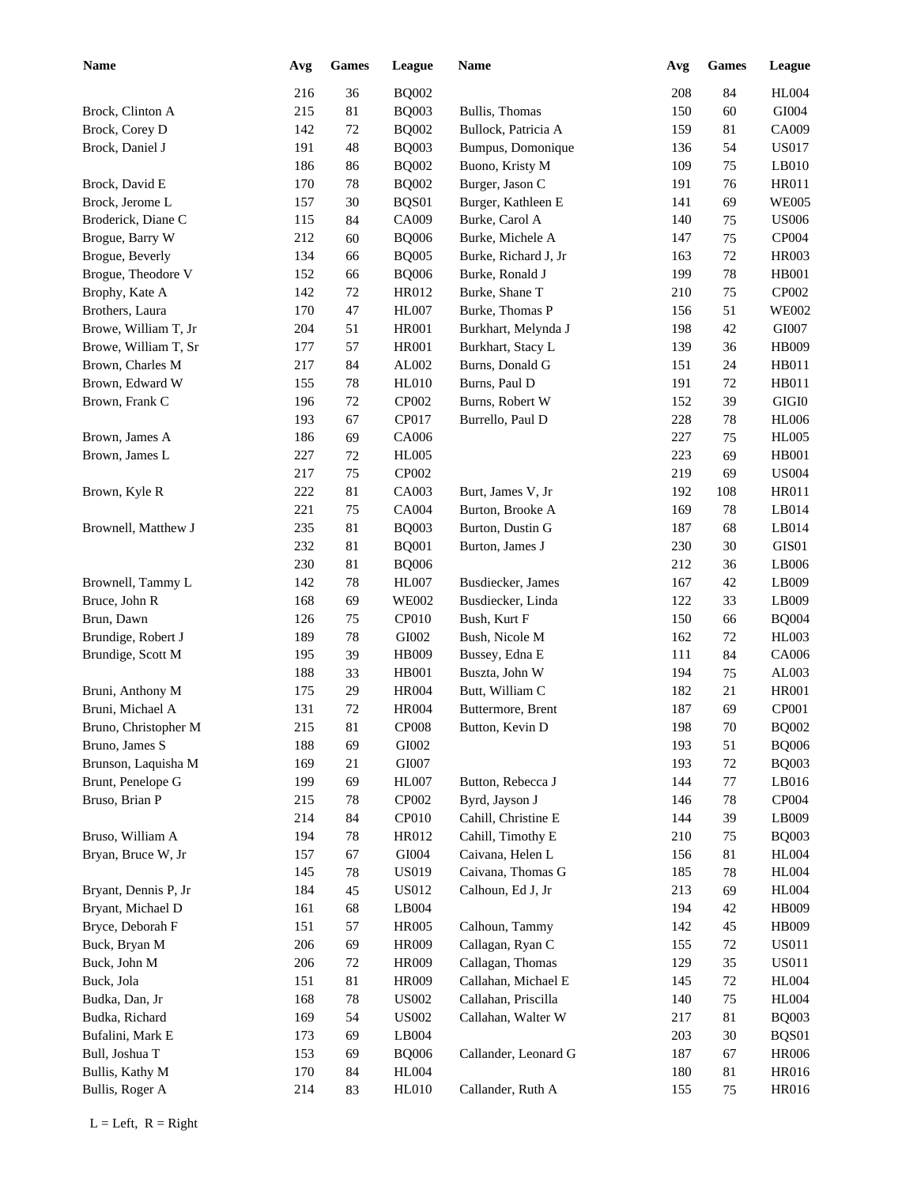| <b>Name</b>          | Avg     | <b>Games</b> | League       | Name                 | Avg | <b>Games</b> | League       |
|----------------------|---------|--------------|--------------|----------------------|-----|--------------|--------------|
|                      | 216     | 36           | <b>BQ002</b> |                      | 208 | 84           | <b>HL004</b> |
| Brock, Clinton A     | 215     | 81           | <b>BQ003</b> | Bullis, Thomas       | 150 | 60           | GI004        |
| Brock, Corey D       | 142     | $72\,$       | <b>BQ002</b> | Bullock, Patricia A  | 159 | 81           | CA009        |
| Brock, Daniel J      | 191     | 48           | <b>BQ003</b> | Bumpus, Domonique    | 136 | 54           | <b>US017</b> |
|                      | 186     | 86           | <b>BQ002</b> | Buono, Kristy M      | 109 | 75           | LB010        |
| Brock, David E       | 170     | $78\,$       | <b>BQ002</b> | Burger, Jason C      | 191 | 76           | <b>HR011</b> |
| Brock, Jerome L      | 157     | 30           | BQS01        | Burger, Kathleen E   | 141 | 69           | <b>WE005</b> |
| Broderick, Diane C   | 115     | 84           | CA009        | Burke, Carol A       | 140 | 75           | <b>US006</b> |
| Brogue, Barry W      | 212     | 60           | <b>BQ006</b> | Burke, Michele A     | 147 | 75           | CP004        |
| Brogue, Beverly      | 134     | 66           | <b>BQ005</b> | Burke, Richard J, Jr | 163 | 72           | <b>HR003</b> |
| Brogue, Theodore V   | 152     | 66           | <b>BQ006</b> | Burke, Ronald J      | 199 | 78           | <b>HB001</b> |
| Brophy, Kate A       | 142     | $72\,$       | HR012        | Burke, Shane T       | 210 | 75           | CP002        |
| Brothers, Laura      | 170     | 47           | <b>HL007</b> | Burke, Thomas P      | 156 | 51           | <b>WE002</b> |
| Browe, William T, Jr | 204     | 51           | <b>HR001</b> | Burkhart, Melynda J  | 198 | 42           | GI007        |
| Browe, William T, Sr | 177     | 57           | <b>HR001</b> | Burkhart, Stacy L    | 139 | 36           | <b>HB009</b> |
| Brown, Charles M     | 217     | 84           | AL002        | Burns, Donald G      | 151 | 24           | HB011        |
| Brown, Edward W      | 155     | 78           | <b>HL010</b> | Burns, Paul D        | 191 | 72           | HB011        |
| Brown, Frank C       | 196     | 72           | CP002        | Burns, Robert W      | 152 | 39           | $\rm GIGI0$  |
|                      | 193     | 67           | CP017        | Burrello, Paul D     | 228 | 78           | <b>HL006</b> |
| Brown, James A       | 186     | 69           | CA006        |                      | 227 | 75           | <b>HL005</b> |
| Brown, James L       | 227     | 72           | <b>HL005</b> |                      | 223 | 69           | <b>HB001</b> |
|                      | 217     | 75           | CP002        |                      | 219 | 69           | <b>US004</b> |
| Brown, Kyle R        | 222     | 81           | CA003        | Burt, James V, Jr    | 192 | 108          | <b>HR011</b> |
|                      | 221     | 75           | CA004        | Burton, Brooke A     | 169 | 78           | LB014        |
| Brownell, Matthew J  | 235     | 81           | <b>BQ003</b> | Burton, Dustin G     | 187 | 68           | LB014        |
|                      | 232     | 81           | <b>BQ001</b> | Burton, James J      | 230 | 30           | GIS01        |
|                      | 230     | 81           | <b>BQ006</b> |                      | 212 | 36           | LB006        |
| Brownell, Tammy L    | 142     | 78           | <b>HL007</b> | Busdiecker, James    | 167 | 42           | LB009        |
| Bruce, John R        | 168     | 69           | <b>WE002</b> | Busdiecker, Linda    | 122 | 33           | LB009        |
| Brun, Dawn           | 126     | 75           | CP010        | Bush, Kurt F         | 150 | 66           | <b>BQ004</b> |
| Brundige, Robert J   | 189     | 78           | GI002        | Bush, Nicole M       | 162 | 72           | <b>HL003</b> |
| Brundige, Scott M    | 195     | 39           | HB009        | Bussey, Edna E       | 111 | 84           | CA006        |
|                      | 188     | 33           | <b>HB001</b> | Buszta, John W       | 194 | 75           | AL003        |
| Bruni, Anthony M     | 175     | 29           | <b>HR004</b> | Butt, William C      | 182 | 21           | <b>HR001</b> |
| Bruni, Michael A     | 131     | $72\,$       | <b>HR004</b> | Buttermore, Brent    | 187 | 69           | CP001        |
| Bruno, Christopher M | $215\,$ | 81           | <b>CP008</b> | Button, Kevin D      | 198 | $70\,$       | <b>BQ002</b> |
| Bruno, James S       | 188     | 69           | GI002        |                      | 193 | 51           | <b>BQ006</b> |
| Brunson, Laquisha M  | 169     | 21           | GI007        |                      | 193 | 72           | <b>BQ003</b> |
| Brunt, Penelope G    | 199     | 69           | <b>HL007</b> | Button, Rebecca J    | 144 | 77           | LB016        |
| Bruso, Brian P       | 215     | 78           | CP002        | Byrd, Jayson J       | 146 | 78           | CP004        |
|                      | 214     | 84           | CP010        | Cahill, Christine E  | 144 | 39           | LB009        |
| Bruso, William A     | 194     | 78           | HR012        | Cahill, Timothy E    | 210 | 75           | <b>BQ003</b> |
| Bryan, Bruce W, Jr   | 157     | 67           | GI004        | Caivana, Helen L     | 156 | 81           | <b>HL004</b> |
|                      | 145     | 78           | <b>US019</b> | Caivana, Thomas G    | 185 | 78           | <b>HL004</b> |
| Bryant, Dennis P, Jr | 184     | 45           | <b>US012</b> | Calhoun, Ed J, Jr    | 213 | 69           | HL004        |
| Bryant, Michael D    | 161     | 68           | LB004        |                      | 194 | 42           | HB009        |
| Bryce, Deborah F     | 151     | 57           | <b>HR005</b> | Calhoun, Tammy       | 142 | 45           | HB009        |
| Buck, Bryan M        | 206     | 69           | HR009        | Callagan, Ryan C     | 155 | 72           | <b>US011</b> |
| Buck, John M         | 206     | 72           | HR009        | Callagan, Thomas     | 129 | 35           | <b>US011</b> |
| Buck, Jola           | 151     | 81           | HR009        | Callahan, Michael E  | 145 | $72\,$       | <b>HL004</b> |
| Budka, Dan, Jr       | 168     | $78\,$       | <b>US002</b> | Callahan, Priscilla  | 140 | 75           | <b>HL004</b> |
| Budka, Richard       | 169     | 54           | <b>US002</b> | Callahan, Walter W   | 217 | 81           | <b>BQ003</b> |
| Bufalini, Mark E     | 173     | 69           | LB004        |                      | 203 | 30           | BQS01        |
| Bull, Joshua T       | 153     | 69           | <b>BQ006</b> | Callander, Leonard G | 187 | 67           | <b>HR006</b> |
| Bullis, Kathy M      | 170     | 84           | <b>HL004</b> |                      | 180 | 81           | HR016        |
| Bullis, Roger A      | 214     | 83           | <b>HL010</b> | Callander, Ruth A    | 155 | 75           | HR016        |
|                      |         |              |              |                      |     |              |              |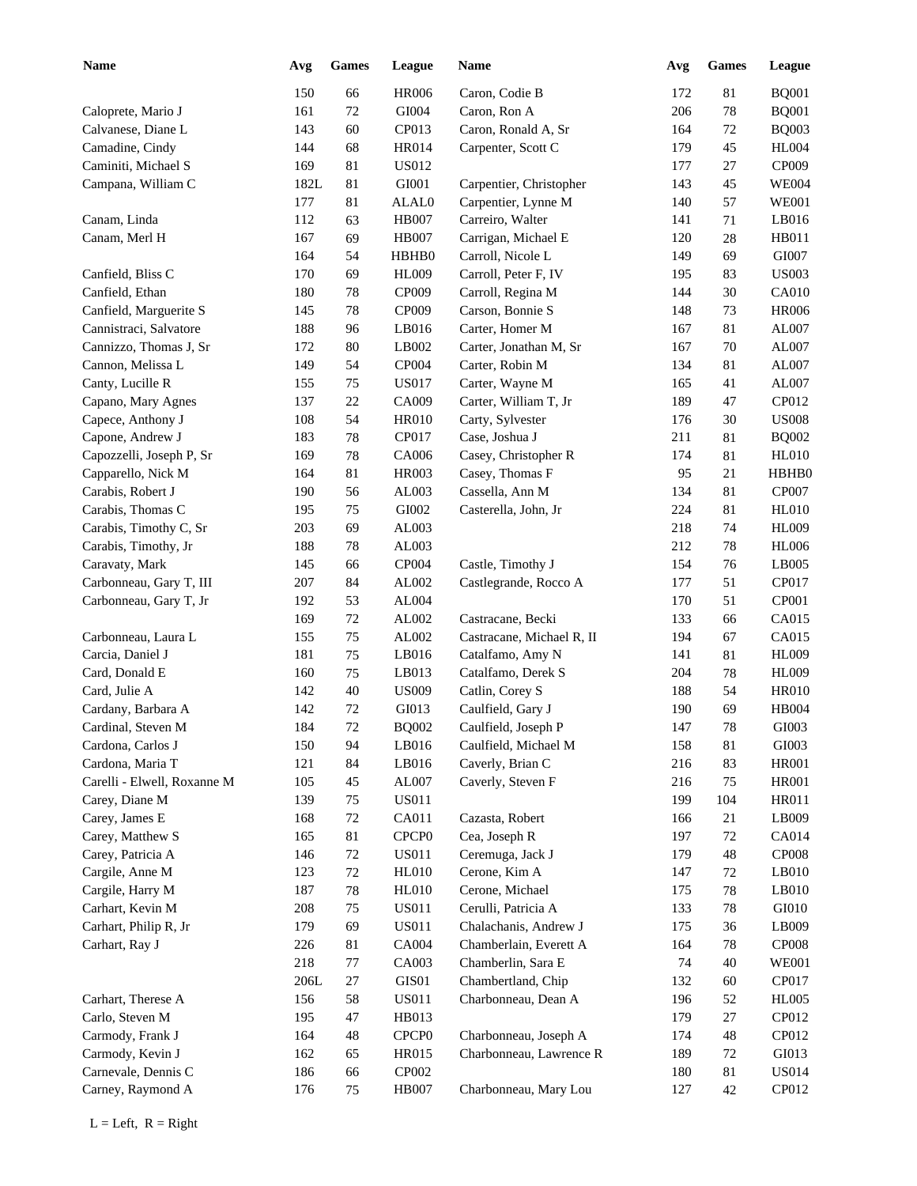| <b>Name</b>                             | Avg    | <b>Games</b> | League            | <b>Name</b>               | Avg | <b>Games</b> | League       |
|-----------------------------------------|--------|--------------|-------------------|---------------------------|-----|--------------|--------------|
|                                         | 150    | 66           | <b>HR006</b>      | Caron, Codie B            | 172 | $81\,$       | <b>BQ001</b> |
| Caloprete, Mario J                      | 161    | 72           | GI004             | Caron, Ron A              | 206 | $78\,$       | <b>BQ001</b> |
| Calvanese, Diane L                      | 143    | 60           | CP013             | Caron, Ronald A, Sr       | 164 | 72           | <b>BQ003</b> |
| Camadine, Cindy                         | 144    | 68           | HR014             | Carpenter, Scott C        | 179 | 45           | <b>HL004</b> |
| Caminiti, Michael S                     | 169    | 81           | US012             |                           | 177 | 27           | CP009        |
| Campana, William C                      | 182L   | 81           | GI001             | Carpentier, Christopher   | 143 | 45           | <b>WE004</b> |
|                                         | 177    | 81           | ALAL0             | Carpentier, Lynne M       | 140 | 57           | <b>WE001</b> |
| Canam, Linda                            | 112    | 63           | <b>HB007</b>      | Carreiro, Walter          | 141 | 71           | LB016        |
| Canam, Merl H                           | 167    | 69           | <b>HB007</b>      | Carrigan, Michael E       | 120 | 28           | HB011        |
|                                         | 164    | 54           | HBHB0             | Carroll, Nicole L         | 149 | 69           | GI007        |
| Canfield, Bliss C                       | 170    | 69           | <b>HL009</b>      | Carroll, Peter F, IV      | 195 | 83           | <b>US003</b> |
| Canfield, Ethan                         | 180    | 78           | CP009             | Carroll, Regina M         | 144 | 30           | <b>CA010</b> |
| Canfield, Marguerite S                  | 145    | 78           | CP009             | Carson, Bonnie S          | 148 | 73           | <b>HR006</b> |
| Cannistraci, Salvatore                  | 188    | 96           | LB016             | Carter, Homer M           | 167 | 81           | AL007        |
| Cannizzo, Thomas J, Sr                  | 172    | 80           | LB002             | Carter, Jonathan M, Sr    | 167 | 70           | AL007        |
| Cannon, Melissa L                       | 149    | 54           | CP004             | Carter, Robin M           | 134 | 81           | AL007        |
| Canty, Lucille R                        | 155    | 75           | <b>US017</b>      | Carter, Wayne M           | 165 | 41           | AL007        |
| Capano, Mary Agnes                      | 137    | 22           | CA009             | Carter, William T, Jr     | 189 | 47           | CP012        |
| Capece, Anthony J                       | 108    | 54           | <b>HR010</b>      | Carty, Sylvester          | 176 | 30           | <b>US008</b> |
| Capone, Andrew J                        | 183    | 78           | CP017             | Case, Joshua J            | 211 | 81           | <b>BQ002</b> |
| Capozzelli, Joseph P, Sr                | 169    | 78           | CA006             | Casey, Christopher R      | 174 | 81           | <b>HL010</b> |
| Capparello, Nick M                      | 164    | 81           | <b>HR003</b>      | Casey, Thomas F           | 95  | 21           | HBHB0        |
| Carabis, Robert J                       | 190    | 56           | AL003             | Cassella, Ann M           | 134 | 81           | CP007        |
| Carabis, Thomas C                       | 195    | 75           | GI002             | Casterella, John, Jr      | 224 | 81           | <b>HL010</b> |
| Carabis, Timothy C, Sr                  | 203    | 69           | AL003             |                           | 218 | 74           | <b>HL009</b> |
| Carabis, Timothy, Jr                    | 188    | 78           | AL003             |                           | 212 | 78           | <b>HL006</b> |
| Caravaty, Mark                          | 145    | 66           | CP004             | Castle, Timothy J         | 154 | 76           | LB005        |
| Carbonneau, Gary T, III                 | 207    | 84           | AL002             | Castlegrande, Rocco A     | 177 | 51           | CP017        |
| Carbonneau, Gary T, Jr                  | 192    | 53           | AL004             |                           | 170 | 51           | CP001        |
|                                         | 169    | 72           | AL002             | Castracane, Becki         | 133 | 66           | CA015        |
| Carbonneau, Laura L                     | 155    | 75           | AL002             | Castracane, Michael R, II | 194 | 67           | CA015        |
| Carcia, Daniel J                        | 181    | 75           | LB016             | Catalfamo, Amy N          | 141 | 81           | <b>HL009</b> |
| Card, Donald E                          | 160    | 75           | LB013             | Catalfamo, Derek S        | 204 | 78           | <b>HL009</b> |
| Card, Julie A                           | 142    | 40           | <b>US009</b>      | Catlin, Corey S           | 188 | 54           | <b>HR010</b> |
| Cardany, Barbara A                      | 142    | 72           | GI013             | Caulfield, Gary J         | 190 | 69           | <b>HB004</b> |
| Cardinal, Steven M                      | 184    | $72\,$       | <b>BQ002</b>      | Caulfield, Joseph P       | 147 | 78           | GI003        |
| Cardona, Carlos J                       | 150    | 94           | LB016             | Caulfield, Michael M      | 158 | 81           | GI003        |
| Cardona, Maria T                        | 121    | 84           | LB016             | Caverly, Brian C          | 216 | 83           | <b>HR001</b> |
| Carelli - Elwell, Roxanne M             | 105    | 45           | AL007             | Caverly, Steven F         | 216 | 75           | <b>HR001</b> |
| Carey, Diane M                          | 139    | 75           | <b>US011</b>      |                           | 199 | 104          | HR011        |
| Carey, James E                          | 168    | $72\,$       | CA011             | Cazasta, Robert           | 166 | 21           | LB009        |
| Carey, Matthew S                        | 165    | $81\,$       | CPCP <sub>0</sub> | Cea, Joseph R             | 197 | 72           | <b>CA014</b> |
| Carey, Patricia A                       | 146    | 72           | <b>US011</b>      | Ceremuga, Jack J          | 179 | 48           | <b>CP008</b> |
| Cargile, Anne M                         | 123    | 72           | <b>HL010</b>      | Cerone, Kim A             | 147 | 72           | LB010        |
| Cargile, Harry M                        | 187    | $78\,$       | <b>HL010</b>      | Cerone, Michael           | 175 | 78           | LB010        |
| Carhart, Kevin M                        | 208    | 75           | <b>US011</b>      | Cerulli, Patricia A       | 133 | 78           | GI010        |
| Carhart, Philip R, Jr                   | 179    | 69           | <b>US011</b>      | Chalachanis, Andrew J     | 175 | 36           | LB009        |
| Carhart, Ray J                          | 226    | 81           | CA004             | Chamberlain, Everett A    | 164 | 78           | <b>CP008</b> |
|                                         | 218    | $77\,$       | CA003             | Chamberlin, Sara E        | 74  | $40\,$       | <b>WE001</b> |
|                                         | $206L$ | $27\,$       | GIS01             | Chambertland, Chip        | 132 | 60           | CP017        |
| Carhart, Therese A                      | 156    | 58           | <b>US011</b>      | Charbonneau, Dean A       | 196 | 52           | <b>HL005</b> |
| Carlo, Steven M                         | 195    | 47           | HB013             |                           | 179 | 27           | CP012        |
| Carmody, Frank J                        | 164    | 48           | CPCP <sub>0</sub> | Charbonneau, Joseph A     | 174 | 48           | CP012        |
|                                         | 162    | 65           | HR015             | Charbonneau, Lawrence R   | 189 | 72           | GI013        |
| Carmody, Kevin J<br>Carnevale, Dennis C |        |              |                   |                           |     |              | <b>US014</b> |
|                                         | 186    | 66           | CP002             |                           | 180 | $81\,$       |              |
| Carney, Raymond A                       | 176    | 75           | <b>HB007</b>      | Charbonneau, Mary Lou     | 127 | $42\,$       | CP012        |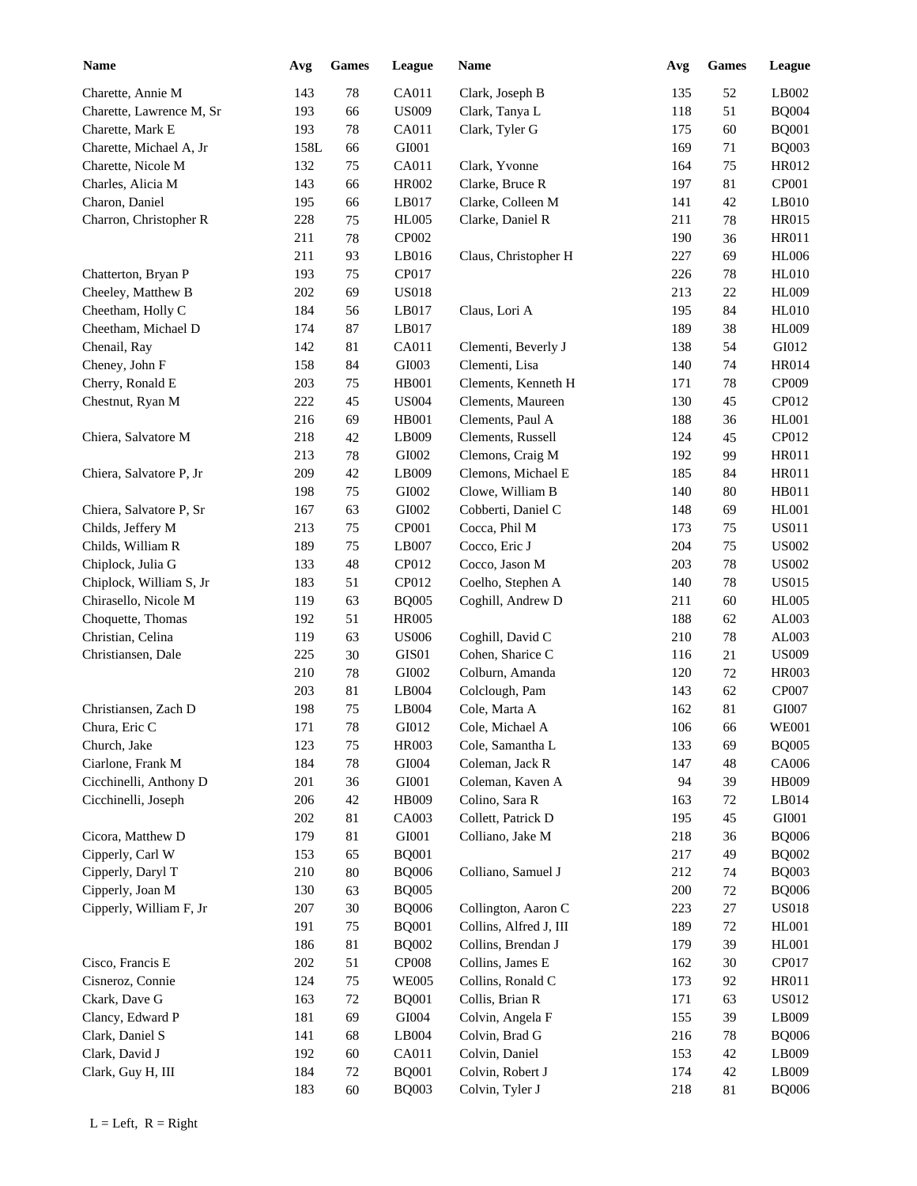| Name                     | Avg  | <b>Games</b> | League        | Name                   | Avg | <b>Games</b> | League       |
|--------------------------|------|--------------|---------------|------------------------|-----|--------------|--------------|
| Charette, Annie M        | 143  | 78           | CA011         | Clark, Joseph B        | 135 | 52           | LB002        |
| Charette, Lawrence M, Sr | 193  | 66           | <b>US009</b>  | Clark, Tanya L         | 118 | 51           | <b>BQ004</b> |
| Charette, Mark E         | 193  | 78           | CA011         | Clark, Tyler G         | 175 | 60           | <b>BQ001</b> |
| Charette, Michael A, Jr  | 158L | 66           | GI001         |                        | 169 | 71           | <b>BQ003</b> |
| Charette, Nicole M       | 132  | 75           | CA011         | Clark, Yvonne          | 164 | 75           | HR012        |
| Charles, Alicia M        | 143  | 66           | <b>HR002</b>  | Clarke, Bruce R        | 197 | 81           | CP001        |
| Charon, Daniel           | 195  | 66           | LB017         | Clarke, Colleen M      | 141 | 42           | LB010        |
| Charron, Christopher R   | 228  | 75           | <b>HL005</b>  | Clarke, Daniel R       | 211 | 78           | <b>HR015</b> |
|                          | 211  | 78           | CP002         |                        | 190 | 36           | <b>HR011</b> |
|                          | 211  | 93           | LB016         | Claus, Christopher H   | 227 | 69           | <b>HL006</b> |
| Chatterton, Bryan P      | 193  | 75           | CP017         |                        | 226 | 78           | <b>HL010</b> |
| Cheeley, Matthew B       | 202  | 69           | <b>US018</b>  |                        | 213 | 22           | <b>HL009</b> |
| Cheetham, Holly C        | 184  | 56           | LB017         | Claus, Lori A          | 195 | 84           | <b>HL010</b> |
| Cheetham, Michael D      | 174  | 87           | LB017         |                        | 189 | 38           | <b>HL009</b> |
| Chenail, Ray             | 142  | 81           | CA011         | Clementi, Beverly J    | 138 | 54           | GI012        |
| Cheney, John F           | 158  | 84           | GI003         | Clementi, Lisa         | 140 | 74           | <b>HR014</b> |
| Cherry, Ronald E         | 203  | 75           | <b>HB001</b>  | Clements, Kenneth H    | 171 | 78           | CP009        |
| Chestnut, Ryan M         | 222  | 45           | <b>US004</b>  | Clements, Maureen      | 130 | 45           | CP012        |
|                          | 216  | 69           | HB001         | Clements, Paul A       | 188 | 36           | <b>HL001</b> |
| Chiera, Salvatore M      | 218  | 42           | LB009         | Clements, Russell      | 124 | 45           | CP012        |
|                          | 213  | 78           | GI002         | Clemons, Craig M       | 192 | 99           | HR011        |
| Chiera, Salvatore P, Jr  | 209  | 42           | LB009         | Clemons, Michael E     | 185 | 84           | <b>HR011</b> |
|                          | 198  | 75           | GI002         | Clowe, William B       | 140 | 80           | HB011        |
| Chiera, Salvatore P, Sr  | 167  | 63           | GI002         | Cobberti, Daniel C     | 148 | 69           | <b>HL001</b> |
| Childs, Jeffery M        | 213  | 75           | CP001         | Cocca, Phil M          | 173 | 75           | <b>US011</b> |
| Childs, William R        | 189  | 75           | LB007         | Cocco, Eric J          | 204 | 75           | <b>US002</b> |
| Chiplock, Julia G        | 133  | 48           | CP012         | Cocco, Jason M         | 203 | 78           | <b>US002</b> |
| Chiplock, William S, Jr  | 183  | 51           | CP012         | Coelho, Stephen A      | 140 | 78           | <b>US015</b> |
| Chirasello, Nicole M     | 119  | 63           | <b>BQ005</b>  | Coghill, Andrew D      | 211 |              | <b>HL005</b> |
|                          |      |              |               |                        |     | 60           |              |
| Choquette, Thomas        | 192  | 51           | <b>HR005</b>  |                        | 188 | 62           | AL003        |
| Christian, Celina        | 119  | 63           | <b>US006</b>  | Coghill, David C       | 210 | $78\,$       | AL003        |
| Christiansen, Dale       | 225  | 30           | GIS01         | Cohen, Sharice C       | 116 | 21           | <b>US009</b> |
|                          | 210  | 78           | GI002         | Colburn, Amanda        | 120 | 72           | <b>HR003</b> |
|                          | 203  | $81\,$       | LB004         | Colclough, Pam         | 143 | 62           | CP007        |
| Christiansen, Zach D     | 198  | 75           | LB004         | Cole, Marta A          | 162 | 81           | GI007        |
| Chura, Eric C            | 171  | $78\,$       | GI012         | Cole, Michael A        | 106 | 66           | <b>WE001</b> |
| Church, Jake             | 123  | 75           | HR003         | Cole, Samantha L       | 133 | 69           | <b>BQ005</b> |
| Ciarlone, Frank M        | 184  | $78\,$       | ${\rm G}1004$ | Coleman, Jack R        | 147 | 48           | CA006        |
| Cicchinelli, Anthony D   | 201  | 36           | GI001         | Coleman, Kaven A       | 94  | 39           | HB009        |
| Cicchinelli, Joseph      | 206  | 42           | HB009         | Colino, Sara R         | 163 | 72           | LB014        |
|                          | 202  | 81           | CA003         | Collett, Patrick D     | 195 | 45           | GI001        |
| Cicora, Matthew D        | 179  | 81           | ${\rm GIO}01$ | Colliano, Jake M       | 218 | 36           | <b>BQ006</b> |
| Cipperly, Carl W         | 153  | 65           | <b>BQ001</b>  |                        | 217 | 49           | <b>BQ002</b> |
| Cipperly, Daryl T        | 210  | $80\,$       | <b>BQ006</b>  | Colliano, Samuel J     | 212 | 74           | <b>BQ003</b> |
| Cipperly, Joan M         | 130  | 63           | <b>BQ005</b>  |                        | 200 | $72\,$       | <b>BQ006</b> |
| Cipperly, William F, Jr  | 207  | $30\,$       | <b>BQ006</b>  | Collington, Aaron C    | 223 | $27\,$       | <b>US018</b> |
|                          | 191  | 75           | <b>BQ001</b>  | Collins, Alfred J, III | 189 | 72           | HL001        |
|                          | 186  | 81           | <b>BQ002</b>  | Collins, Brendan J     | 179 | 39           | <b>HL001</b> |
| Cisco, Francis E         | 202  | 51           | <b>CP008</b>  | Collins, James E       | 162 | $30\,$       | CP017        |
| Cisneroz, Connie         | 124  | 75           | <b>WE005</b>  | Collins, Ronald C      | 173 | 92           | HR011        |
| Ckark, Dave G            | 163  | $72\,$       | <b>BQ001</b>  | Collis, Brian R        | 171 | 63           | <b>US012</b> |
| Clancy, Edward P         | 181  | 69           | GI004         | Colvin, Angela F       | 155 | 39           | LB009        |
| Clark, Daniel S          | 141  | 68           | LB004         | Colvin, Brad G         | 216 | 78           | <b>BQ006</b> |
| Clark, David J           | 192  | 60           | CA011         | Colvin, Daniel         | 153 | 42           | LB009        |
| Clark, Guy H, III        | 184  | 72           | <b>BQ001</b>  | Colvin, Robert J       | 174 | 42           | LB009        |
|                          | 183  | 60           | <b>BQ003</b>  | Colvin, Tyler J        | 218 | 81           | <b>BQ006</b> |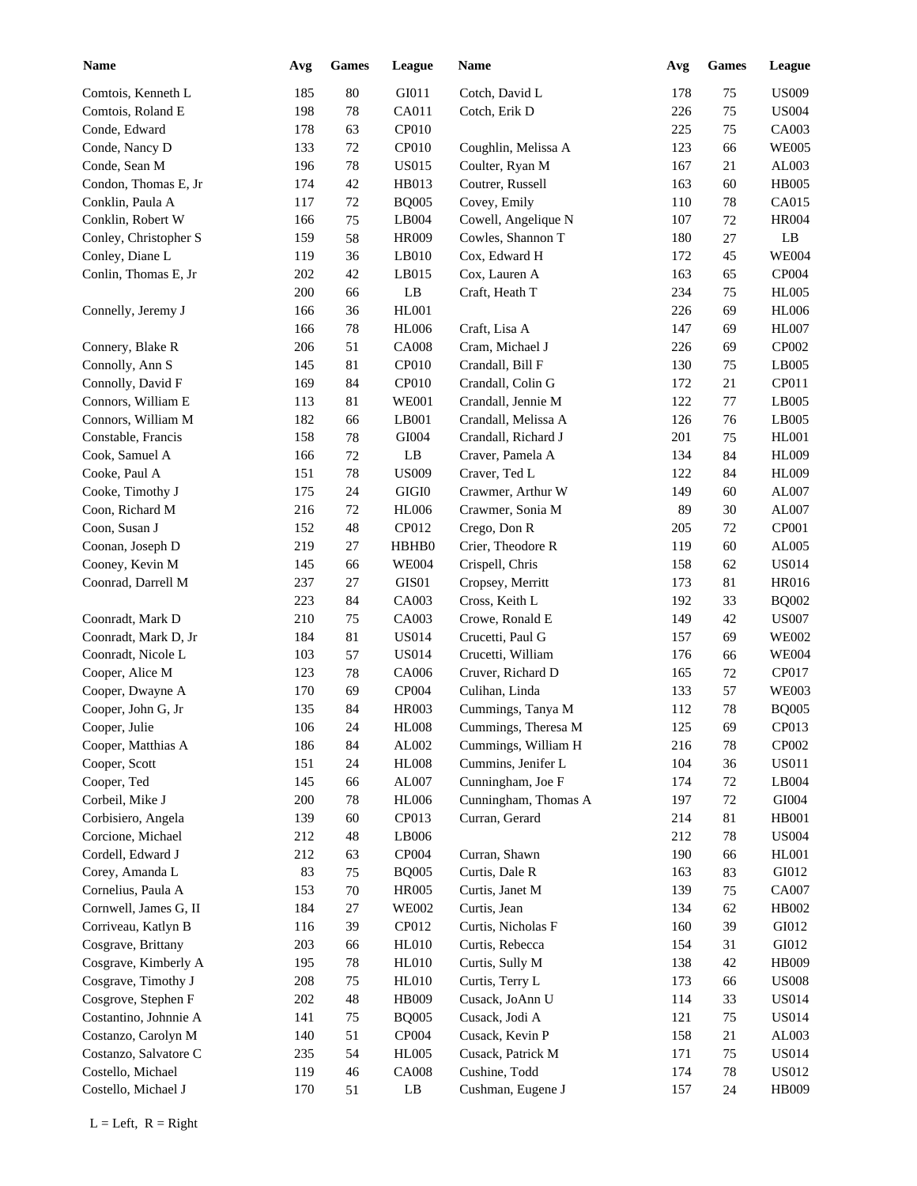| <b>Name</b>           | Avg | <b>Games</b> | League        | <b>Name</b>          | Avg | <b>Games</b> | League       |
|-----------------------|-----|--------------|---------------|----------------------|-----|--------------|--------------|
| Comtois, Kenneth L    | 185 | 80           | GI011         | Cotch, David L       | 178 | 75           | <b>US009</b> |
| Comtois, Roland E     | 198 | 78           | CA011         | Cotch, Erik D        | 226 | 75           | <b>US004</b> |
| Conde, Edward         | 178 | 63           | CP010         |                      | 225 | 75           | CA003        |
| Conde, Nancy D        | 133 | 72           | CP010         | Coughlin, Melissa A  | 123 | 66           | <b>WE005</b> |
| Conde, Sean M         | 196 | 78           | <b>US015</b>  | Coulter, Ryan M      | 167 | 21           | AL003        |
| Condon, Thomas E, Jr  | 174 | 42           | HB013         | Coutrer, Russell     | 163 | 60           | <b>HB005</b> |
| Conklin, Paula A      | 117 | 72           | <b>BQ005</b>  | Covey, Emily         | 110 | 78           | CA015        |
| Conklin, Robert W     | 166 | 75           | LB004         | Cowell, Angelique N  | 107 | 72           | <b>HR004</b> |
| Conley, Christopher S | 159 | 58           | <b>HR009</b>  | Cowles, Shannon T    | 180 | 27           | LB           |
| Conley, Diane L       | 119 | 36           | LB010         | Cox, Edward H        | 172 | 45           | <b>WE004</b> |
| Conlin, Thomas E, Jr  | 202 | 42           | LB015         | Cox, Lauren A        | 163 | 65           | CP004        |
|                       | 200 | 66           | LB            | Craft, Heath T       | 234 | 75           | <b>HL005</b> |
| Connelly, Jeremy J    | 166 | 36           | HL001         |                      | 226 | 69           | <b>HL006</b> |
|                       |     |              |               |                      |     |              | <b>HL007</b> |
|                       | 166 | 78           | <b>HL006</b>  | Craft, Lisa A        | 147 | 69           |              |
| Connery, Blake R      | 206 | 51           | <b>CA008</b>  | Cram, Michael J      | 226 | 69           | CP002        |
| Connolly, Ann S       | 145 | 81           | CP010         | Crandall, Bill F     | 130 | 75           | LB005        |
| Connolly, David F     | 169 | 84           | CP010         | Crandall, Colin G    | 172 | 21           | CP011        |
| Connors, William E    | 113 | 81           | <b>WE001</b>  | Crandall, Jennie M   | 122 | 77           | LB005        |
| Connors, William M    | 182 | 66           | LB001         | Crandall, Melissa A  | 126 | 76           | LB005        |
| Constable, Francis    | 158 | 78           | GI004         | Crandall, Richard J  | 201 | 75           | <b>HL001</b> |
| Cook, Samuel A        | 166 | $72\,$       | LB            | Craver, Pamela A     | 134 | 84           | <b>HL009</b> |
| Cooke, Paul A         | 151 | 78           | <b>US009</b>  | Craver, Ted L        | 122 | 84           | <b>HL009</b> |
| Cooke, Timothy J      | 175 | 24           | $\rm GIGI0$   | Crawmer, Arthur W    | 149 | 60           | AL007        |
| Coon, Richard M       | 216 | 72           | <b>HL006</b>  | Crawmer, Sonia M     | 89  | 30           | AL007        |
| Coon, Susan J         | 152 | 48           | CP012         | Crego, Don R         | 205 | 72           | CP001        |
| Coonan, Joseph D      | 219 | 27           | HBHB0         | Crier, Theodore R    | 119 | 60           | AL005        |
| Cooney, Kevin M       | 145 | 66           | <b>WE004</b>  | Crispell, Chris      | 158 | 62           | <b>US014</b> |
| Coonrad, Darrell M    | 237 | 27           | GIS01         | Cropsey, Merritt     | 173 | 81           | HR016        |
|                       | 223 | 84           | CA003         | Cross, Keith L       | 192 | 33           | <b>BQ002</b> |
| Coonradt, Mark D      | 210 | 75           | CA003         | Crowe, Ronald E      | 149 | 42           | <b>US007</b> |
| Coonradt, Mark D, Jr  | 184 | 81           | <b>US014</b>  | Crucetti, Paul G     | 157 | 69           | <b>WE002</b> |
| Coonradt, Nicole L    | 103 | 57           | <b>US014</b>  | Crucetti, William    | 176 | 66           | <b>WE004</b> |
| Cooper, Alice M       | 123 | 78           | CA006         | Cruver, Richard D    | 165 | 72           | CP017        |
| Cooper, Dwayne A      | 170 | 69           | CP004         | Culihan, Linda       | 133 | 57           | <b>WE003</b> |
| Cooper, John G, Jr    | 135 | 84           | <b>HR003</b>  | Cummings, Tanya M    | 112 | 78           | <b>BQ005</b> |
| Cooper, Julie         | 106 | 24           | ${\rm HL008}$ | Cummings, Theresa M  | 125 | 69           | CP013        |
| Cooper, Matthias A    | 186 | 84           | AL002         | Cummings, William H  | 216 | 78           | CP002        |
| Cooper, Scott         | 151 | 24           | <b>HL008</b>  | Cummins, Jenifer L   | 104 | 36           | <b>US011</b> |
| Cooper, Ted           | 145 | 66           | AL007         | Cunningham, Joe F    | 174 | 72           | LB004        |
| Corbeil, Mike J       | 200 | 78           | HL006         | Cunningham, Thomas A | 197 | 72           | $\rm GIO04$  |
| Corbisiero, Angela    | 139 | 60           | CP013         | Curran, Gerard       | 214 | 81           | <b>HB001</b> |
| Corcione, Michael     | 212 | 48           | LB006         |                      | 212 | 78           | <b>US004</b> |
|                       |     |              |               |                      |     |              |              |
| Cordell, Edward J     | 212 | 63           | CP004         | Curran, Shawn        | 190 | 66           | HL001        |
| Corey, Amanda L       | 83  | 75           | <b>BQ005</b>  | Curtis, Dale R       | 163 | 83           | GI012        |
| Cornelius, Paula A    | 153 | 70           | <b>HR005</b>  | Curtis, Janet M      | 139 | 75           | CA007        |
| Cornwell, James G, II | 184 | 27           | <b>WE002</b>  | Curtis, Jean         | 134 | 62           | HB002        |
| Corriveau, Katlyn B   | 116 | 39           | CP012         | Curtis, Nicholas F   | 160 | 39           | GI012        |
| Cosgrave, Brittany    | 203 | 66           | <b>HL010</b>  | Curtis, Rebecca      | 154 | 31           | GI012        |
| Cosgrave, Kimberly A  | 195 | 78           | <b>HL010</b>  | Curtis, Sully M      | 138 | $42\,$       | HB009        |
| Cosgrave, Timothy J   | 208 | 75           | <b>HL010</b>  | Curtis, Terry L      | 173 | 66           | <b>US008</b> |
| Cosgrove, Stephen F   | 202 | 48           | HB009         | Cusack, JoAnn U      | 114 | 33           | <b>US014</b> |
| Costantino, Johnnie A | 141 | 75           | <b>BQ005</b>  | Cusack, Jodi A       | 121 | 75           | <b>US014</b> |
| Costanzo, Carolyn M   | 140 | 51           | CP004         | Cusack, Kevin P      | 158 | 21           | AL003        |
| Costanzo, Salvatore C | 235 | 54           | <b>HL005</b>  | Cusack, Patrick M    | 171 | 75           | <b>US014</b> |
| Costello, Michael     | 119 | 46           | <b>CA008</b>  | Cushine, Todd        | 174 | 78           | <b>US012</b> |
| Costello, Michael J   | 170 | 51           | LB            | Cushman, Eugene J    | 157 | 24           | HB009        |
|                       |     |              |               |                      |     |              |              |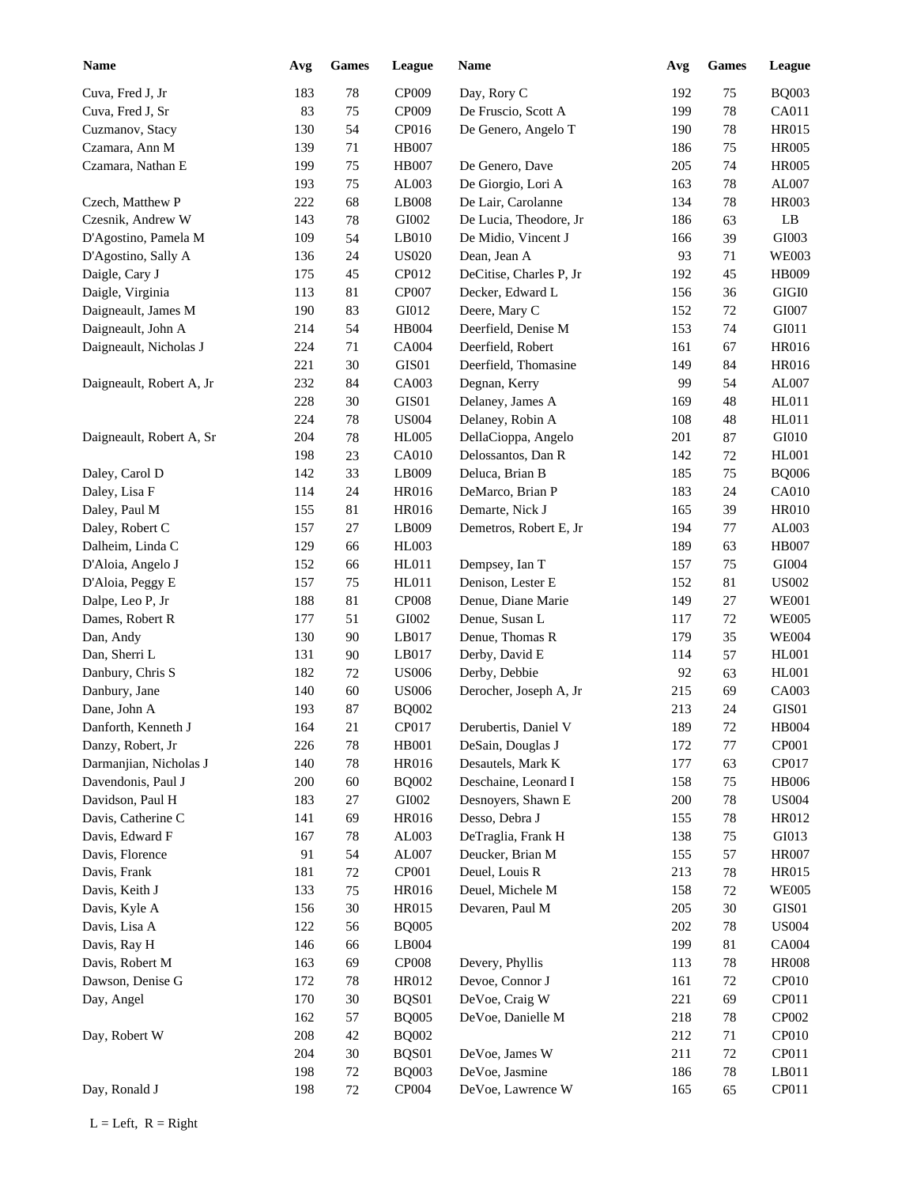| <b>Name</b>              | Avg | <b>Games</b> | League         | <b>Name</b>             | Avg        | <b>Games</b> | League                |  |
|--------------------------|-----|--------------|----------------|-------------------------|------------|--------------|-----------------------|--|
| Cuva, Fred J, Jr         | 183 | 78           | CP009          | Day, Rory C             | 192        | 75           | <b>BQ003</b>          |  |
| Cuva, Fred J, Sr         | 83  | 75           | CP009          | De Fruscio, Scott A     | 199        | $78\,$       | CA011                 |  |
| Cuzmanov, Stacy          | 130 | 54           | CP016          | De Genero, Angelo T     | 190        | 78           | <b>HR015</b>          |  |
| Czamara, Ann M           | 139 | 71           | <b>HB007</b>   |                         | 186        | 75           | <b>HR005</b>          |  |
| Czamara, Nathan E        | 199 | 75           | <b>HB007</b>   | De Genero, Dave         | 205        | 74           | <b>HR005</b>          |  |
|                          | 193 | 75           | AL003          | De Giorgio, Lori A      | 163        | 78           | AL007                 |  |
| Czech, Matthew P         | 222 | 68           | LB008          | De Lair, Carolanne      | 134        | 78           | <b>HR003</b>          |  |
| Czesnik, Andrew W        | 143 | 78           | GI002          | De Lucia, Theodore, Jr  | 186        | 63           | LB                    |  |
| D'Agostino, Pamela M     | 109 | 54           | LB010          | De Midio, Vincent J     | 166        | 39           | GI003                 |  |
| D'Agostino, Sally A      | 136 | 24           | <b>US020</b>   | Dean, Jean A            | 93         | 71           | <b>WE003</b>          |  |
| Daigle, Cary J           | 175 | 45           | CP012          | DeCitise, Charles P, Jr | 192        | 45           | HB009                 |  |
| Daigle, Virginia         | 113 | 81           | CP007          | Decker, Edward L        | 156        | 36           | $\rm GIGI0$           |  |
| Daigneault, James M      | 190 | 83           | GI012          | Deere, Mary C           | 152        | 72           | GI007                 |  |
| Daigneault, John A       | 214 | 54           | HB004          | Deerfield, Denise M     | 153        | 74           | GI011                 |  |
| Daigneault, Nicholas J   | 224 | 71           | <b>CA004</b>   | Deerfield, Robert       | 161        | 67           | HR016                 |  |
|                          | 221 | 30           | GIS01          | Deerfield, Thomasine    | 149        | 84           | HR016                 |  |
| Daigneault, Robert A, Jr | 232 | 84           | CA003          | Degnan, Kerry           | 99         | 54           | AL007                 |  |
|                          | 228 | 30           | GIS01          | Delaney, James A        | 169        | 48           | HL011                 |  |
|                          | 224 | 78           | <b>US004</b>   | Delaney, Robin A        | 108        | 48           | HL011                 |  |
| Daigneault, Robert A, Sr | 204 | 78           | <b>HL005</b>   | DellaCioppa, Angelo     | 201        | 87           | GI010                 |  |
|                          | 198 | 23           | <b>CA010</b>   | Delossantos, Dan R      | 142        | 72           | <b>HL001</b>          |  |
|                          | 142 | 33           | LB009          | Deluca, Brian B         | 185        |              | <b>BQ006</b>          |  |
| Daley, Carol D           |     | 24           | HR016          | DeMarco, Brian P        | 183        | 75           | <b>CA010</b>          |  |
| Daley, Lisa F            | 114 |              |                |                         |            | 24           |                       |  |
| Daley, Paul M            | 155 | 81           | HR016<br>LB009 | Demarte, Nick J         | 165<br>194 | 39           | <b>HR010</b><br>AL003 |  |
| Daley, Robert C          | 157 | 27           |                | Demetros, Robert E, Jr  |            | 77           |                       |  |
| Dalheim, Linda C         | 129 | 66           | <b>HL003</b>   |                         | 189        | 63           | <b>HB007</b>          |  |
| D'Aloia, Angelo J        | 152 | 66           | HL011          | Dempsey, Ian T          | 157        | 75           | GI004                 |  |
| D'Aloia, Peggy E         | 157 | 75           | HL011          | Denison, Lester E       | 152        | 81           | <b>US002</b>          |  |
| Dalpe, Leo P, Jr         | 188 | 81           | <b>CP008</b>   | Denue, Diane Marie      | 149        | 27           | <b>WE001</b>          |  |
| Dames, Robert R          | 177 | 51           | GI002          | Denue, Susan L          | 117        | 72           | <b>WE005</b>          |  |
| Dan, Andy                | 130 | 90           | LB017          | Denue, Thomas R         | 179        | 35           | <b>WE004</b>          |  |
| Dan, Sherri L            | 131 | 90           | LB017          | Derby, David E          | 114        | 57           | <b>HL001</b>          |  |
| Danbury, Chris S         | 182 | 72           | <b>US006</b>   | Derby, Debbie           | 92         | 63           | <b>HL001</b>          |  |
| Danbury, Jane            | 140 | 60           | <b>US006</b>   | Derocher, Joseph A, Jr  | 215        | 69           | CA003                 |  |
| Dane, John A             | 193 | 87           | <b>BQ002</b>   |                         | 213        | 24           | GIS01                 |  |
| Danforth, Kenneth J      | 164 | 21           | CP017          | Derubertis, Daniel V    | 189        | 72           | <b>HB004</b>          |  |
| Danzy, Robert, Jr        | 226 | 78           | HB001          | DeSain, Douglas J       | 172        | 77           | CP001                 |  |
| Darmanjian, Nicholas J   | 140 | 78           | HR016          | Desautels, Mark K       | 177        | 63           | CP017                 |  |
| Davendonis, Paul J       | 200 | 60           | <b>BQ002</b>   | Deschaine, Leonard I    | 158        | 75           | <b>HB006</b>          |  |
| Davidson, Paul H         | 183 | 27           | GI002          | Desnoyers, Shawn E      | 200        | 78           | <b>US004</b>          |  |
| Davis, Catherine C       | 141 | 69           | HR016          | Desso, Debra J          | 155        | 78           | HR012                 |  |
| Davis, Edward F          | 167 | 78           | AL003          | DeTraglia, Frank H      | 138        | 75           | GI013                 |  |
| Davis, Florence          | 91  | 54           | AL007          | Deucker, Brian M        | 155        | 57           | <b>HR007</b>          |  |
| Davis, Frank             | 181 | 72           | CP001          | Deuel, Louis R          | 213        | $78\,$       | HR015                 |  |
| Davis, Keith J           | 133 | 75           | HR016          | Deuel, Michele M        | 158        | 72           | <b>WE005</b>          |  |
| Davis, Kyle A            | 156 | 30           | HR015          | Devaren, Paul M         | 205        | 30           | GIS01                 |  |
| Davis, Lisa A            | 122 | 56           | <b>BQ005</b>   |                         | 202        | 78           | <b>US004</b>          |  |
| Davis, Ray H             | 146 | 66           | LB004          |                         | 199        | 81           | <b>CA004</b>          |  |
| Davis, Robert M          | 163 | 69           | CP008          | Devery, Phyllis         | 113        | 78           | <b>HR008</b>          |  |
| Dawson, Denise G         | 172 | 78           | HR012          | Devoe, Connor J         | 161        | 72           | CP010                 |  |
| Day, Angel               | 170 | $30\,$       | BQS01          | DeVoe, Craig W          | 221        | 69           | CP011                 |  |
|                          | 162 | 57           | <b>BQ005</b>   | DeVoe, Danielle M       | 218        | 78           | CP002                 |  |
| Day, Robert W            | 208 | 42           | <b>BQ002</b>   |                         | 212        | 71           | CP010                 |  |
|                          | 204 | 30           | BQS01          | DeVoe, James W          | 211        | 72           | CP011                 |  |
|                          | 198 | 72           | <b>BQ003</b>   | DeVoe, Jasmine          | 186        | 78           | LB011                 |  |
| Day, Ronald J            | 198 | 72           | CP004          | DeVoe, Lawrence W       | 165        | 65           | CP011                 |  |
|                          |     |              |                |                         |            |              |                       |  |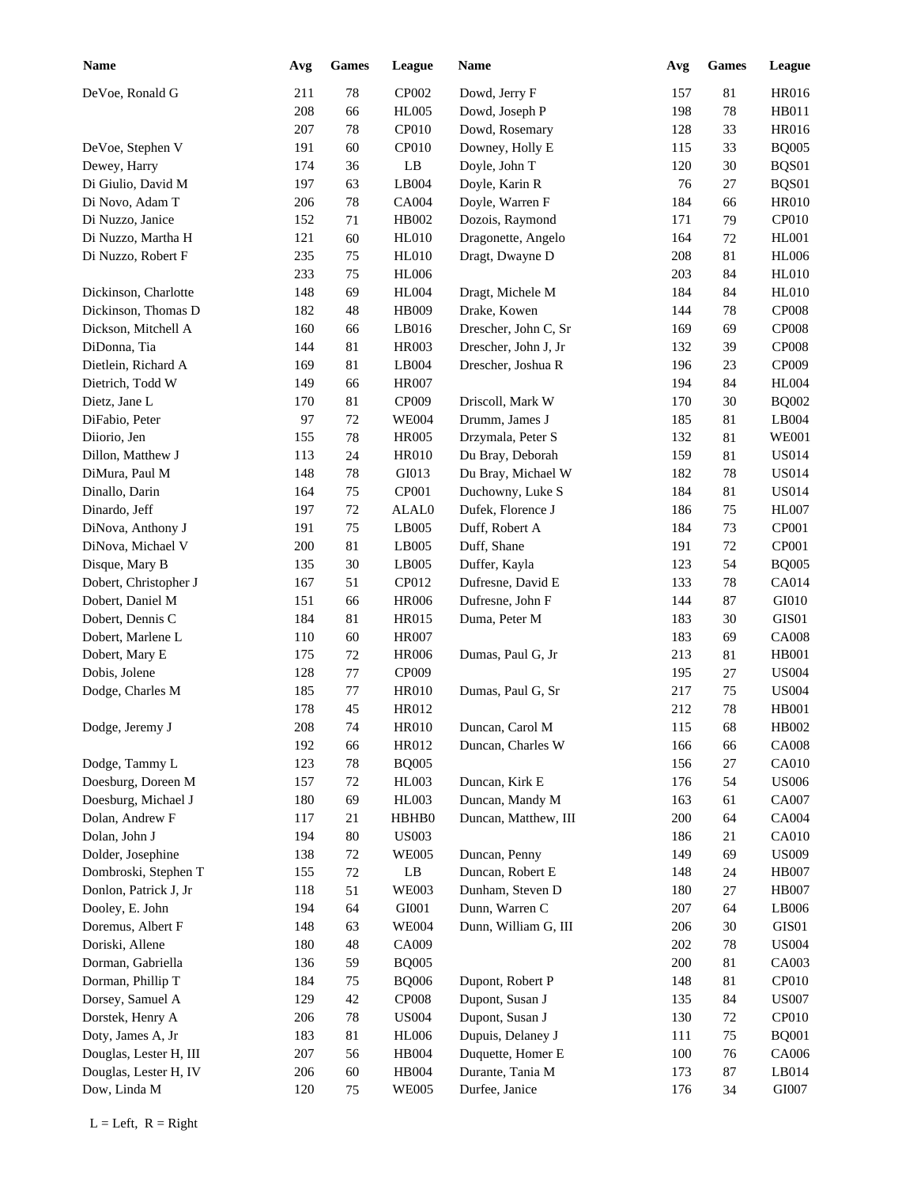| <b>Name</b>            | Avg        | <b>Games</b> | League                 | Name                 | Avg        | Games    | <b>League</b>                |
|------------------------|------------|--------------|------------------------|----------------------|------------|----------|------------------------------|
| DeVoe, Ronald G        | 211        | 78           | CP002                  | Dowd, Jerry F        | 157        | 81       | <b>HR016</b>                 |
|                        | 208        | 66           | <b>HL005</b>           | Dowd, Joseph P       | 198        | 78       | HB011                        |
|                        | 207        | 78           | CP010                  | Dowd, Rosemary       | 128        | 33       | <b>HR016</b>                 |
| DeVoe, Stephen V       | 191        | 60           | CP010                  | Downey, Holly E      | 115        | 33       | <b>BQ005</b>                 |
| Dewey, Harry           | 174        | 36           | LB                     | Doyle, John T        | 120        | 30       | BQS01                        |
| Di Giulio, David M     | 197        | 63           | LB004                  | Doyle, Karin R       | 76         | 27       | BQS01                        |
| Di Novo, Adam T        | 206        | 78           | CA004                  | Doyle, Warren F      | 184        | 66       | <b>HR010</b>                 |
| Di Nuzzo, Janice       | 152        | 71           | HB002                  | Dozois, Raymond      | 171        | 79       | CP010                        |
| Di Nuzzo, Martha H     | 121        | 60           | HL010                  | Dragonette, Angelo   | 164        | 72       | <b>HL001</b>                 |
| Di Nuzzo, Robert F     | 235        | 75           | <b>HL010</b>           | Dragt, Dwayne D      | 208        | 81       | <b>HL006</b>                 |
|                        | 233        | 75           | <b>HL006</b>           |                      | 203        | 84       | <b>HL010</b>                 |
| Dickinson, Charlotte   | 148        | 69           | <b>HL004</b>           | Dragt, Michele M     | 184        | 84       | <b>HL010</b>                 |
| Dickinson, Thomas D    | 182        | 48           | HB009                  | Drake, Kowen         | 144        | 78       | <b>CP008</b>                 |
| Dickson, Mitchell A    | 160        | 66           | LB016                  | Drescher, John C, Sr | 169        | 69       | <b>CP008</b>                 |
| DiDonna, Tia           | 144        | 81           | <b>HR003</b>           | Drescher, John J, Jr | 132        | 39       | <b>CP008</b>                 |
| Dietlein, Richard A    | 169        | 81           | LB004                  | Drescher, Joshua R   | 196        | 23       | CP009                        |
| Dietrich, Todd W       | 149        | 66           | <b>HR007</b>           |                      | 194        | 84       | <b>HL004</b>                 |
| Dietz, Jane L          | 170        | 81           | CP009                  | Driscoll, Mark W     | 170        | 30       | <b>BQ002</b>                 |
| DiFabio, Peter         | 97         | $72\,$       | <b>WE004</b>           | Drumm, James J       | 185        | 81       | LB004                        |
| Diiorio, Jen           | 155        | 78           | <b>HR005</b>           | Drzymala, Peter S    | 132        | 81       | <b>WE001</b>                 |
| Dillon, Matthew J      | 113        | 24           | <b>HR010</b>           | Du Bray, Deborah     | 159        | 81       | <b>US014</b>                 |
| DiMura, Paul M         | 148        | $78\,$       | GI013                  | Du Bray, Michael W   | 182        | 78       | <b>US014</b>                 |
| Dinallo, Darin         | 164        | 75           | CP001                  | Duchowny, Luke S     | 184        | 81       | <b>US014</b>                 |
| Dinardo, Jeff          | 197        | 72           | ALAL0                  | Dufek, Florence J    | 186        | 75       | <b>HL007</b>                 |
| DiNova, Anthony J      | 191        | 75           | LB005                  | Duff, Robert A       | 184        | 73       | CP001                        |
| DiNova, Michael V      | 200        | 81           | LB005                  | Duff, Shane          | 191        | 72       | CP001                        |
| Disque, Mary B         | 135        | 30           | LB005                  | Duffer, Kayla        | 123        | 54       | <b>BQ005</b>                 |
| Dobert, Christopher J  | 167        | 51           | CP012                  | Dufresne, David E    | 133        | 78       | CA014                        |
| Dobert, Daniel M       | 151        | 66           | <b>HR006</b>           | Dufresne, John F     | 144        | 87       | GI010                        |
| Dobert, Dennis C       | 184        | 81           | <b>HR015</b>           | Duma, Peter M        | 183        | 30       | GIS01                        |
| Dobert, Marlene L      | 110        | 60           | <b>HR007</b>           |                      | 183        | 69       | <b>CA008</b>                 |
| Dobert, Mary E         | 175        | 72           | <b>HR006</b>           | Dumas, Paul G, Jr    | 213        | 81       | <b>HB001</b>                 |
|                        |            |              |                        |                      |            |          | <b>US004</b>                 |
| Dobis, Jolene          | 128        | 77           | CP009                  | Dumas, Paul G, Sr    | 195        | 27       |                              |
| Dodge, Charles M       | 185<br>178 | $77\,$<br>45 | <b>HR010</b>           |                      | 217<br>212 | 75<br>78 | <b>US004</b><br><b>HB001</b> |
|                        |            | $74\,$       | HR012                  |                      | 115        | 68       |                              |
| Dodge, Jeremy J        | $208\,$    |              | <b>HR010</b>           | Duncan, Carol M      |            |          | HB002                        |
|                        | 192        | 66           | HR012                  | Duncan, Charles W    | 166        | 66       | <b>CA008</b>                 |
| Dodge, Tammy L         | 123        | $78\,$       | <b>BQ005</b>           |                      | 156        | $27\,$   | CA010                        |
| Doesburg, Doreen M     | 157        | $72\,$       | HL003                  | Duncan, Kirk E       | 176        | 54       | <b>US006</b>                 |
| Doesburg, Michael J    | 180        | 69           | HL003                  | Duncan, Mandy M      | 163        | 61       | CA007                        |
| Dolan, Andrew F        | 117        | 21           | HBHB0                  | Duncan, Matthew, III | 200        | 64       | CA004                        |
| Dolan, John J          | 194        | $80\,$       | <b>US003</b>           |                      | 186        | 21       | CA010                        |
| Dolder, Josephine      | 138        | $72\,$       | <b>WE005</b>           | Duncan, Penny        | 149        | 69       | <b>US009</b>                 |
| Dombroski, Stephen T   | 155        | $72\,$       | $\mathbf{L}\mathbf{B}$ | Duncan, Robert E     | 148        | 24       | <b>HB007</b>                 |
| Donlon, Patrick J, Jr  | 118        | 51           | <b>WE003</b>           | Dunham, Steven D     | 180        | $27\,$   | <b>HB007</b>                 |
| Dooley, E. John        | 194        | 64           | ${\rm GIO}01$          | Dunn, Warren C       | 207        | 64       | LB006                        |
| Doremus, Albert F      | 148        | 63           | <b>WE004</b>           | Dunn, William G, III | 206        | $30\,$   | GIS01                        |
| Doriski, Allene        | 180        | $\sqrt{48}$  | CA009                  |                      | 202        | 78       | <b>US004</b>                 |
| Dorman, Gabriella      | 136        | 59           | <b>BQ005</b>           |                      | 200        | 81       | CA003                        |
| Dorman, Phillip T      | 184        | $75\,$       | <b>BQ006</b>           | Dupont, Robert P     | 148        | 81       | CP010                        |
| Dorsey, Samuel A       | 129        | $42\,$       | CP008                  | Dupont, Susan J      | 135        | 84       | <b>US007</b>                 |
| Dorstek, Henry A       | 206        | $78\,$       | <b>US004</b>           | Dupont, Susan J      | 130        | 72       | CP010                        |
| Doty, James A, Jr      | 183        | 81           | <b>HL006</b>           | Dupuis, Delaney J    | 111        | 75       | <b>BQ001</b>                 |
| Douglas, Lester H, III | 207        | 56           | HB004                  | Duquette, Homer E    | 100        | 76       | CA006                        |
| Douglas, Lester H, IV  | 206        | $60\,$       | HB004                  | Durante, Tania M     | 173        | 87       | LB014                        |
| Dow, Linda M           | 120        | 75           | <b>WE005</b>           | Durfee, Janice       | 176        | 34       | GI007                        |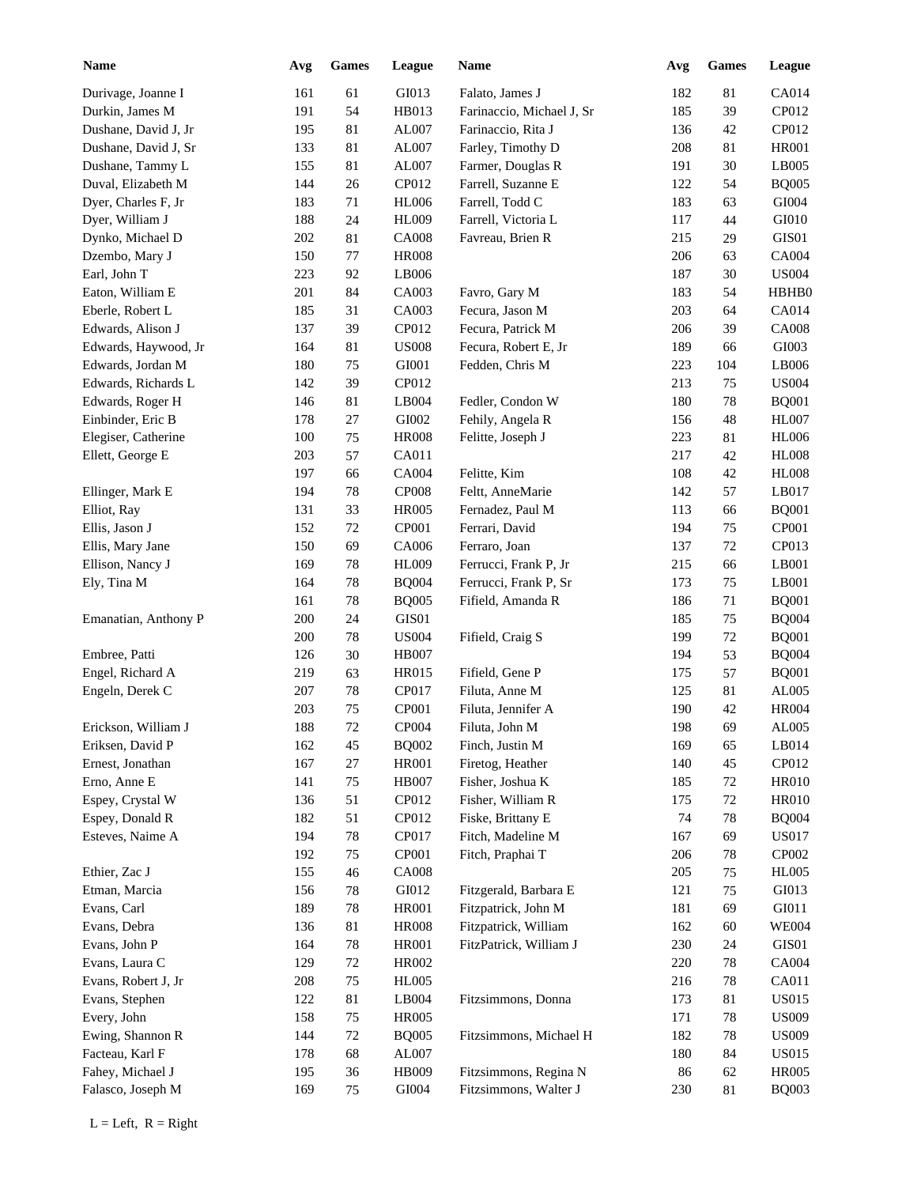| <b>Name</b>          | Avg | <b>Games</b> | League        | <b>Name</b>               | Avg | <b>Games</b> | League       |
|----------------------|-----|--------------|---------------|---------------------------|-----|--------------|--------------|
| Durivage, Joanne I   | 161 | 61           | GI013         | Falato, James J           | 182 | 81           | CA014        |
| Durkin, James M      | 191 | 54           | HB013         | Farinaccio, Michael J, Sr | 185 | 39           | CP012        |
| Dushane, David J, Jr | 195 | 81           | AL007         | Farinaccio, Rita J        | 136 | 42           | CP012        |
| Dushane, David J, Sr | 133 | 81           | AL007         | Farley, Timothy D         | 208 | 81           | <b>HR001</b> |
| Dushane, Tammy L     | 155 | 81           | AL007         | Farmer, Douglas R         | 191 | 30           | LB005        |
| Duval, Elizabeth M   | 144 | 26           | CP012         | Farrell, Suzanne E        | 122 | 54           | <b>BQ005</b> |
| Dyer, Charles F, Jr  | 183 | 71           | <b>HL006</b>  | Farrell, Todd C           | 183 | 63           | GI004        |
| Dyer, William J      | 188 | 24           | <b>HL009</b>  | Farrell, Victoria L       | 117 | 44           | GI010        |
| Dynko, Michael D     | 202 | 81           | <b>CA008</b>  | Favreau, Brien R          | 215 | 29           | GIS01        |
| Dzembo, Mary J       | 150 | 77           | <b>HR008</b>  |                           | 206 | 63           | CA004        |
| Earl, John T         | 223 | 92           | LB006         |                           | 187 | 30           | <b>US004</b> |
| Eaton, William E     | 201 | 84           | CA003         | Favro, Gary M             | 183 | 54           | HBHB0        |
| Eberle, Robert L     | 185 | 31           | CA003         | Fecura, Jason M           | 203 | 64           | CA014        |
| Edwards, Alison J    | 137 | 39           | CP012         | Fecura, Patrick M         | 206 | 39           | <b>CA008</b> |
| Edwards, Haywood, Jr | 164 | 81           | <b>US008</b>  | Fecura, Robert E, Jr      | 189 | 66           | GI003        |
| Edwards, Jordan M    | 180 | 75           | ${\rm GIO}01$ | Fedden, Chris M           | 223 | 104          | LB006        |
| Edwards, Richards L  | 142 | 39           | CP012         |                           | 213 | 75           | <b>US004</b> |
| Edwards, Roger H     | 146 | 81           | LB004         | Fedler, Condon W          | 180 | 78           | <b>BQ001</b> |
|                      |     |              |               |                           |     |              |              |
| Einbinder, Eric B    | 178 | 27           | GI002         | Fehily, Angela R          | 156 | 48           | <b>HL007</b> |
| Elegiser, Catherine  | 100 | 75           | <b>HR008</b>  | Felitte, Joseph J         | 223 | 81           | <b>HL006</b> |
| Ellett, George E     | 203 | 57           | CA011         |                           | 217 | 42           | <b>HL008</b> |
|                      | 197 | 66           | <b>CA004</b>  | Felitte, Kim              | 108 | 42           | <b>HL008</b> |
| Ellinger, Mark E     | 194 | 78           | <b>CP008</b>  | Feltt, AnneMarie          | 142 | 57           | LB017        |
| Elliot, Ray          | 131 | 33           | <b>HR005</b>  | Fernadez, Paul M          | 113 | 66           | <b>BQ001</b> |
| Ellis, Jason J       | 152 | 72           | CP001         | Ferrari, David            | 194 | 75           | <b>CP001</b> |
| Ellis, Mary Jane     | 150 | 69           | CA006         | Ferraro, Joan             | 137 | 72           | CP013        |
| Ellison, Nancy J     | 169 | 78           | <b>HL009</b>  | Ferrucci, Frank P, Jr     | 215 | 66           | LB001        |
| Ely, Tina M          | 164 | 78           | <b>BQ004</b>  | Ferrucci, Frank P, Sr     | 173 | 75           | LB001        |
|                      | 161 | 78           | <b>BQ005</b>  | Fifield, Amanda R         | 186 | 71           | <b>BQ001</b> |
| Emanatian, Anthony P | 200 | 24           | GIS01         |                           | 185 | 75           | <b>BQ004</b> |
|                      | 200 | 78           | <b>US004</b>  | Fifield, Craig S          | 199 | 72           | <b>BQ001</b> |
| Embree, Patti        | 126 | 30           | <b>HB007</b>  |                           | 194 | 53           | <b>BQ004</b> |
| Engel, Richard A     | 219 | 63           | <b>HR015</b>  | Fifield, Gene P           | 175 | 57           | <b>BQ001</b> |
| Engeln, Derek C      | 207 | 78           | CP017         | Filuta, Anne M            | 125 | $81\,$       | AL005        |
|                      | 203 | 75           | CP001         | Filuta, Jennifer A        | 190 | $42\,$       | <b>HR004</b> |
| Erickson, William J  | 188 | $72\,$       | CP004         | Filuta, John M            | 198 | 69           | AL005        |
| Eriksen, David P     | 162 | 45           | <b>BQ002</b>  | Finch, Justin M           | 169 | 65           | LB014        |
| Ernest, Jonathan     | 167 | 27           | <b>HR001</b>  | Firetog, Heather          | 140 | 45           | CP012        |
| Erno, Anne E         | 141 | $75\,$       | <b>HB007</b>  | Fisher, Joshua K          | 185 | 72           | <b>HR010</b> |
| Espey, Crystal W     | 136 | 51           | CP012         | Fisher, William R         | 175 | 72           | <b>HR010</b> |
| Espey, Donald R      | 182 | 51           | CP012         | Fiske, Brittany E         | 74  | 78           | <b>BQ004</b> |
| Esteves, Naime A     | 194 | 78           | CP017         | Fitch, Madeline M         | 167 | 69           | <b>US017</b> |
|                      | 192 | $75\,$       | CP001         | Fitch, Praphai T          | 206 | 78           | CP002        |
| Ethier, Zac J        | 155 | $46\,$       | <b>CA008</b>  |                           | 205 | 75           | <b>HL005</b> |
| Etman, Marcia        | 156 | 78           | GI012         | Fitzgerald, Barbara E     | 121 | 75           | GI013        |
| Evans, Carl          | 189 | 78           | <b>HR001</b>  | Fitzpatrick, John M       | 181 | 69           | GI011        |
| Evans, Debra         | 136 | $81\,$       | <b>HR008</b>  | Fitzpatrick, William      | 162 | 60           | <b>WE004</b> |
| Evans, John P        | 164 | 78           | <b>HR001</b>  | FitzPatrick, William J    | 230 | 24           | GIS01        |
| Evans, Laura C       | 129 | $72\,$       | HR002         |                           | 220 | 78           | CA004        |
|                      |     |              |               |                           |     |              |              |
| Evans, Robert J, Jr  | 208 | $75\,$       | <b>HL005</b>  |                           | 216 | 78           | CA011        |
| Evans, Stephen       | 122 | 81           | LB004         | Fitzsimmons, Donna        | 173 | 81           | <b>US015</b> |
| Every, John          | 158 | $75\,$       | <b>HR005</b>  |                           | 171 | 78           | <b>US009</b> |
| Ewing, Shannon R     | 144 | $72\,$       | <b>BQ005</b>  | Fitzsimmons, Michael H    | 182 | 78           | <b>US009</b> |
| Facteau, Karl F      | 178 | 68           | AL007         |                           | 180 | 84           | <b>US015</b> |
| Fahey, Michael J     | 195 | 36           | HB009         | Fitzsimmons, Regina N     | 86  | 62           | <b>HR005</b> |
| Falasco, Joseph M    | 169 | 75           | GI004         | Fitzsimmons, Walter J     | 230 | 81           | <b>BQ003</b> |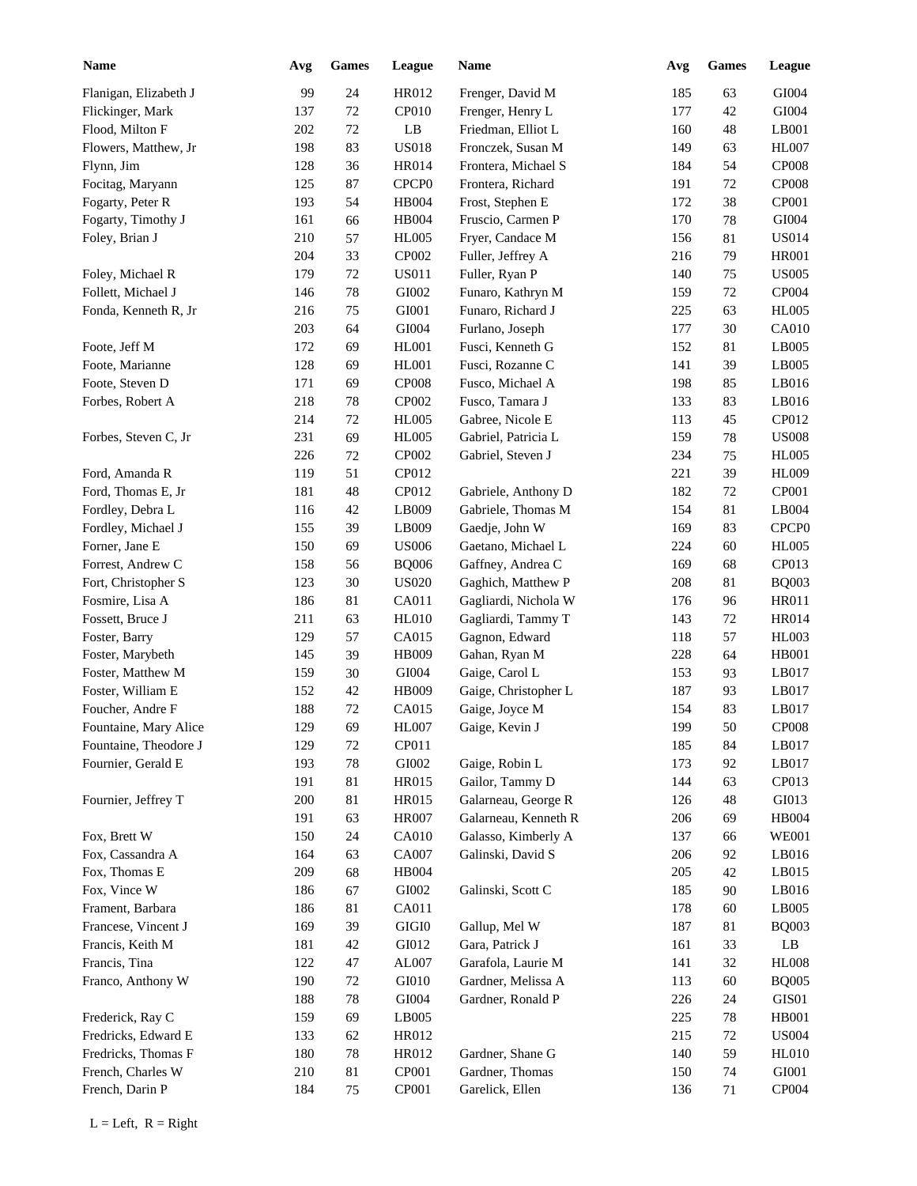| <b>Name</b>           | Avg | <b>Games</b> | League            | <b>Name</b>          | Avg | <b>Games</b> | League            |
|-----------------------|-----|--------------|-------------------|----------------------|-----|--------------|-------------------|
| Flanigan, Elizabeth J | 99  | 24           | HR012             | Frenger, David M     | 185 | 63           | GI004             |
| Flickinger, Mark      | 137 | 72           | CP010             | Frenger, Henry L     | 177 | 42           | GI004             |
| Flood, Milton F       | 202 | 72           | LB                | Friedman, Elliot L   | 160 | 48           | LB001             |
| Flowers, Matthew, Jr  | 198 | 83           | <b>US018</b>      | Fronczek, Susan M    | 149 | 63           | <b>HL007</b>      |
| Flynn, Jim            | 128 | 36           | HR014             | Frontera, Michael S  | 184 | 54           | <b>CP008</b>      |
| Focitag, Maryann      | 125 | 87           | CPCP <sub>0</sub> | Frontera, Richard    | 191 | 72           | <b>CP008</b>      |
| Fogarty, Peter R      | 193 | 54           | HB004             | Frost, Stephen E     | 172 | 38           | CP001             |
| Fogarty, Timothy J    | 161 | 66           | <b>HB004</b>      | Fruscio, Carmen P    | 170 | 78           | $\rm GIO04$       |
| Foley, Brian J        | 210 | 57           | <b>HL005</b>      | Fryer, Candace M     | 156 | 81           | <b>US014</b>      |
|                       | 204 | 33           | CP002             | Fuller, Jeffrey A    | 216 | 79           | <b>HR001</b>      |
| Foley, Michael R      | 179 | 72           | <b>US011</b>      | Fuller, Ryan P       | 140 | 75           | <b>US005</b>      |
| Follett, Michael J    | 146 | 78           | GI002             | Funaro, Kathryn M    | 159 | 72           | CP004             |
| Fonda, Kenneth R, Jr  | 216 | 75           | GI001             | Funaro, Richard J    | 225 | 63           | <b>HL005</b>      |
|                       | 203 | 64           | GI004             | Furlano, Joseph      | 177 | 30           | <b>CA010</b>      |
|                       | 172 |              |                   |                      |     |              | LB005             |
| Foote, Jeff M         |     | 69           | <b>HL001</b>      | Fusci, Kenneth G     | 152 | 81           |                   |
| Foote, Marianne       | 128 | 69           | HL001             | Fusci, Rozanne C     | 141 | 39           | LB005             |
| Foote, Steven D       | 171 | 69           | <b>CP008</b>      | Fusco, Michael A     | 198 | 85           | LB016             |
| Forbes, Robert A      | 218 | 78           | CP002             | Fusco, Tamara J      | 133 | 83           | LB016             |
|                       | 214 | 72           | <b>HL005</b>      | Gabree, Nicole E     | 113 | 45           | CP012             |
| Forbes, Steven C, Jr  | 231 | 69           | <b>HL005</b>      | Gabriel, Patricia L  | 159 | 78           | <b>US008</b>      |
|                       | 226 | 72           | CP002             | Gabriel, Steven J    | 234 | 75           | <b>HL005</b>      |
| Ford, Amanda R        | 119 | 51           | CP012             |                      | 221 | 39           | <b>HL009</b>      |
| Ford, Thomas E, Jr    | 181 | 48           | CP012             | Gabriele, Anthony D  | 182 | 72           | CP001             |
| Fordley, Debra L      | 116 | 42           | LB009             | Gabriele, Thomas M   | 154 | 81           | LB004             |
| Fordley, Michael J    | 155 | 39           | LB009             | Gaedje, John W       | 169 | 83           | CPCP <sub>0</sub> |
| Forner, Jane E        | 150 | 69           | <b>US006</b>      | Gaetano, Michael L   | 224 | 60           | <b>HL005</b>      |
| Forrest, Andrew C     | 158 | 56           | <b>BQ006</b>      | Gaffney, Andrea C    | 169 | 68           | CP013             |
| Fort, Christopher S   | 123 | 30           | <b>US020</b>      | Gaghich, Matthew P   | 208 | 81           | <b>BQ003</b>      |
| Fosmire, Lisa A       | 186 | 81           | CA011             | Gagliardi, Nichola W | 176 | 96           | <b>HR011</b>      |
| Fossett, Bruce J      | 211 | 63           | <b>HL010</b>      | Gagliardi, Tammy T   | 143 | 72           | <b>HR014</b>      |
| Foster, Barry         | 129 | 57           | CA015             | Gagnon, Edward       | 118 | 57           | <b>HL003</b>      |
| Foster, Marybeth      | 145 | 39           | HB009             | Gahan, Ryan M        | 228 | 64           | <b>HB001</b>      |
| Foster, Matthew M     | 159 | 30           | GI004             | Gaige, Carol L       | 153 | 93           | LB017             |
| Foster, William E     | 152 | 42           | HB009             | Gaige, Christopher L | 187 | 93           | LB017             |
| Foucher, Andre F      | 188 | 72           | CA015             | Gaige, Joyce M       | 154 | 83           | LB017             |
| Fountaine, Mary Alice | 129 | 69           | HL007             | Gaige, Kevin J       | 199 | $50\,$       | <b>CP008</b>      |
| Fountaine, Theodore J | 129 | 72           | CP011             |                      | 185 | 84           | LB017             |
| Fournier, Gerald E    | 193 | 78           | ${\rm GIO}02$     | Gaige, Robin L       | 173 | 92           | LB017             |
|                       | 191 | 81           | HR015             | Gailor, Tammy D      | 144 | 63           | CP013             |
| Fournier, Jeffrey T   |     |              |                   |                      |     |              |                   |
|                       | 200 | 81           | HR015             | Galarneau, George R  | 126 | 48           | GI013             |
|                       | 191 | 63           | <b>HR007</b>      | Galarneau, Kenneth R | 206 | 69           | <b>HB004</b>      |
| Fox, Brett W          | 150 | 24           | <b>CA010</b>      | Galasso, Kimberly A  | 137 | 66           | <b>WE001</b>      |
| Fox, Cassandra A      | 164 | 63           | CA007             | Galinski, David S    | 206 | 92           | LB016             |
| Fox, Thomas E         | 209 | 68           | HB004             |                      | 205 | 42           | LB015             |
| Fox, Vince W          | 186 | 67           | ${\rm GIO}02$     | Galinski, Scott C    | 185 | 90           | LB016             |
| Frament, Barbara      | 186 | 81           | CA011             |                      | 178 | 60           | LB005             |
| Francese, Vincent J   | 169 | 39           | $\rm GIGI0$       | Gallup, Mel W        | 187 | 81           | <b>BQ003</b>      |
| Francis, Keith M      | 181 | $42\,$       | GI012             | Gara, Patrick J      | 161 | 33           | $\rm LB$          |
| Francis, Tina         | 122 | 47           | AL007             | Garafola, Laurie M   | 141 | 32           | <b>HL008</b>      |
| Franco, Anthony W     | 190 | 72           | GI010             | Gardner, Melissa A   | 113 | 60           | <b>BQ005</b>      |
|                       | 188 | 78           | ${\rm GIO}04$     | Gardner, Ronald P    | 226 | 24           | GIS01             |
| Frederick, Ray C      | 159 | 69           | LB005             |                      | 225 | 78           | <b>HB001</b>      |
| Fredricks, Edward E   | 133 | 62           | HR012             |                      | 215 | $72\,$       | <b>US004</b>      |
| Fredricks, Thomas F   | 180 | 78           | HR012             | Gardner, Shane G     | 140 | 59           | <b>HL010</b>      |
| French, Charles W     | 210 | 81           | CP001             | Gardner, Thomas      | 150 | 74           | GI001             |
| French, Darin P       | 184 | 75           | CP001             | Garelick, Ellen      | 136 | 71           | CP004             |
|                       |     |              |                   |                      |     |              |                   |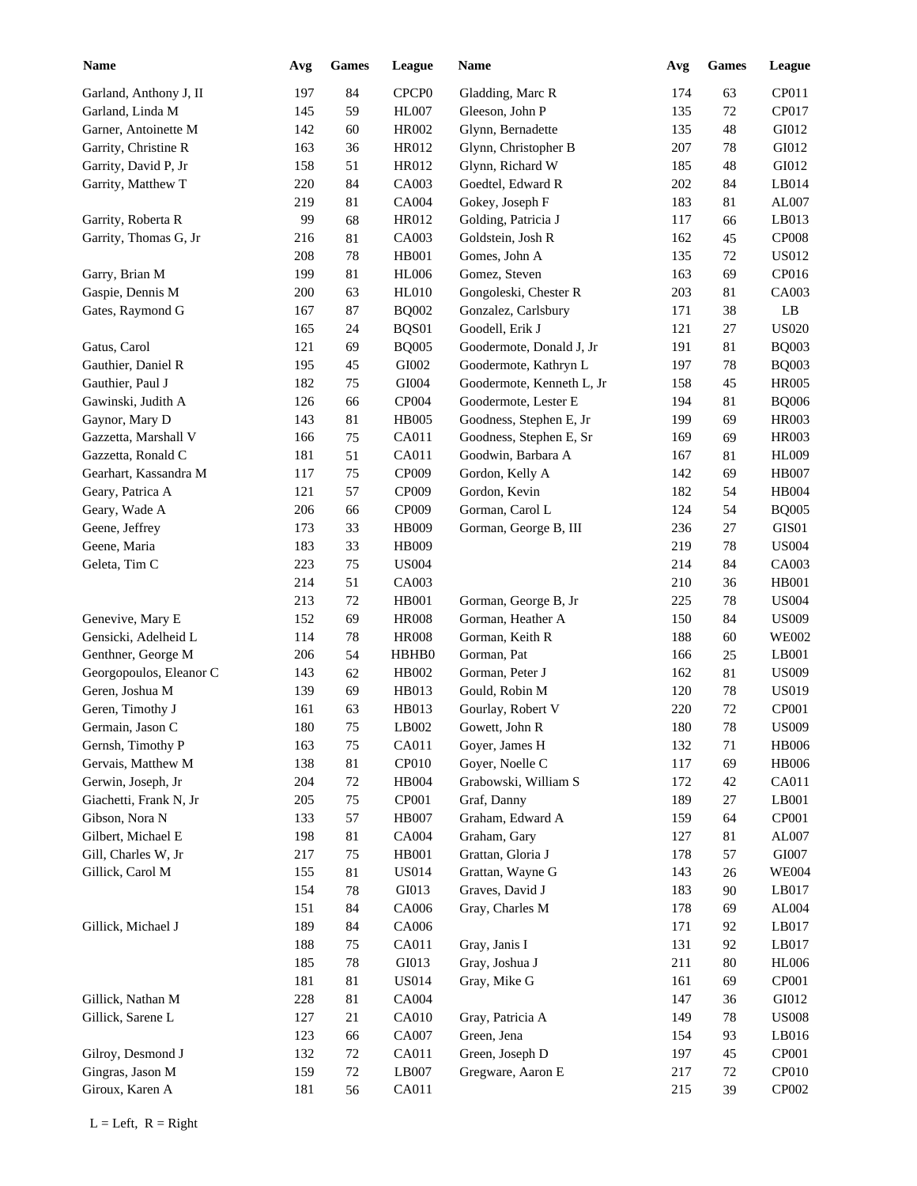| <b>Name</b>             | Avg | <b>Games</b> | League            | Name                      | Avg | <b>Games</b> | League       |
|-------------------------|-----|--------------|-------------------|---------------------------|-----|--------------|--------------|
| Garland, Anthony J, II  | 197 | 84           | CPCP <sub>0</sub> | Gladding, Marc R          | 174 | 63           | CP011        |
| Garland, Linda M        | 145 | 59           | <b>HL007</b>      | Gleeson, John P           | 135 | 72           | CP017        |
| Garner, Antoinette M    | 142 | 60           | HR002             | Glynn, Bernadette         | 135 | 48           | GI012        |
| Garrity, Christine R    | 163 | 36           | HR012             | Glynn, Christopher B      | 207 | 78           | GI012        |
| Garrity, David P, Jr    | 158 | 51           | HR012             | Glynn, Richard W          | 185 | 48           | GI012        |
| Garrity, Matthew T      | 220 | 84           | CA003             | Goedtel, Edward R         | 202 | 84           | LB014        |
|                         | 219 | 81           | CA004             | Gokey, Joseph F           | 183 | 81           | AL007        |
| Garrity, Roberta R      | 99  | 68           | HR012             | Golding, Patricia J       | 117 | 66           | LB013        |
| Garrity, Thomas G, Jr   | 216 | 81           | CA003             | Goldstein, Josh R         | 162 | 45           | <b>CP008</b> |
|                         | 208 | 78           | HB001             | Gomes, John A             | 135 | 72           | US012        |
| Garry, Brian M          | 199 | 81           | <b>HL006</b>      | Gomez, Steven             | 163 | 69           | CP016        |
| Gaspie, Dennis M        | 200 | 63           | <b>HL010</b>      | Gongoleski, Chester R     | 203 | 81           | CA003        |
| Gates, Raymond G        | 167 | 87           | <b>BQ002</b>      | Gonzalez, Carlsbury       | 171 | 38           | LB           |
|                         | 165 | 24           | BQS01             | Goodell, Erik J           | 121 | 27           | <b>US020</b> |
| Gatus, Carol            | 121 | 69           | <b>BQ005</b>      | Goodermote, Donald J, Jr  | 191 | 81           | <b>BQ003</b> |
| Gauthier, Daniel R      | 195 | 45           | ${\rm GIO}02$     | Goodermote, Kathryn L     | 197 | 78           | <b>BQ003</b> |
| Gauthier, Paul J        | 182 | 75           | GI004             | Goodermote, Kenneth L, Jr | 158 | 45           | <b>HR005</b> |
| Gawinski, Judith A      | 126 | 66           | CP004             | Goodermote, Lester E      | 194 | 81           | <b>BQ006</b> |
| Gaynor, Mary D          | 143 | 81           | <b>HB005</b>      | Goodness, Stephen E, Jr   | 199 | 69           | <b>HR003</b> |
| Gazzetta, Marshall V    | 166 | 75           | CA011             | Goodness, Stephen E, Sr   | 169 | 69           | <b>HR003</b> |
| Gazzetta, Ronald C      | 181 | 51           | CA011             | Goodwin, Barbara A        | 167 | 81           | <b>HL009</b> |
| Gearhart, Kassandra M   | 117 | 75           | CP009             | Gordon, Kelly A           | 142 | 69           | <b>HB007</b> |
| Geary, Patrica A        | 121 | 57           | CP009             | Gordon, Kevin             | 182 | 54           | <b>HB004</b> |
| Geary, Wade A           | 206 | 66           | CP009             | Gorman, Carol L           | 124 | 54           | <b>BQ005</b> |
| Geene, Jeffrey          | 173 | 33           | <b>HB009</b>      | Gorman, George B, III     | 236 | 27           | GIS01        |
| Geene, Maria            | 183 | 33           | <b>HB009</b>      |                           | 219 | 78           | <b>US004</b> |
| Geleta, Tim C           | 223 | 75           | <b>US004</b>      |                           | 214 | 84           | CA003        |
|                         | 214 | 51           | CA003             |                           | 210 | 36           | <b>HB001</b> |
|                         | 213 | 72           | <b>HB001</b>      | Gorman, George B, Jr      | 225 | 78           | <b>US004</b> |
| Genevive, Mary E        | 152 | 69           | <b>HR008</b>      | Gorman, Heather A         | 150 | 84           | <b>US009</b> |
| Gensicki, Adelheid L    | 114 | 78           | <b>HR008</b>      | Gorman, Keith R           | 188 | 60           | <b>WE002</b> |
| Genthner, George M      | 206 | 54           | HBHB0             | Gorman, Pat               | 166 | 25           | LB001        |
| Georgopoulos, Eleanor C | 143 | 62           | HB002             | Gorman, Peter J           | 162 | 81           | <b>US009</b> |
| Geren, Joshua M         | 139 | 69           | HB013             | Gould, Robin M            | 120 | 78           | <b>US019</b> |
| Geren, Timothy J        | 161 | 63           | HB013             | Gourlay, Robert V         | 220 | 72           | <b>CP001</b> |
| Germain, Jason C        | 180 | $75\,$       | LB002             | Gowett, John R            | 180 | $78\,$       | <b>US009</b> |
| Gernsh, Timothy P       | 163 | 75           | CA011             | Goyer, James H            | 132 | 71           | <b>HB006</b> |
| Gervais, Matthew M      | 138 | 81           | CP010             | Goyer, Noelle C           | 117 | 69           | <b>HB006</b> |
| Gerwin, Joseph, Jr      | 204 | 72           | HB004             | Grabowski, William S      | 172 | $42\,$       | CA011        |
| Giachetti, Frank N, Jr  | 205 | 75           | CP001             | Graf, Danny               | 189 | 27           | LB001        |
| Gibson, Nora N          | 133 | 57           | HB007             | Graham, Edward A          | 159 | 64           | CP001        |
| Gilbert, Michael E      | 198 | 81           | CA004             | Graham, Gary              | 127 | 81           | AL007        |
| Gill, Charles W, Jr     | 217 | 75           | HB001             | Grattan, Gloria J         | 178 | 57           | GI007        |
| Gillick, Carol M        | 155 | 81           | <b>US014</b>      | Grattan, Wayne G          | 143 | 26           | <b>WE004</b> |
|                         | 154 | 78           | GI013             | Graves, David J           | 183 | 90           | LB017        |
|                         | 151 | 84           | CA006             | Gray, Charles M           | 178 | 69           | AL004        |
| Gillick, Michael J      | 189 | 84           | CA006             |                           | 171 | 92           | LB017        |
|                         | 188 | 75           | CA011             | Gray, Janis I             | 131 | 92           | LB017        |
|                         | 185 | 78           | GI013             | Gray, Joshua J            | 211 | 80           | <b>HL006</b> |
|                         |     |              |                   |                           |     |              | CP001        |
|                         | 181 | 81           | <b>US014</b>      | Gray, Mike G              | 161 | 69           |              |
| Gillick, Nathan M       | 228 | 81           | CA004             |                           | 147 | 36           | GI012        |
| Gillick, Sarene L       | 127 | 21           | CA010             | Gray, Patricia A          | 149 | 78           | <b>US008</b> |
|                         | 123 | 66           | CA007             | Green, Jena               | 154 | 93           | LB016        |
| Gilroy, Desmond J       | 132 | 72           | CA011             | Green, Joseph D           | 197 | 45           | CP001        |
| Gingras, Jason M        | 159 | $72\,$       | LB007             | Gregware, Aaron E         | 217 | 72           | CP010        |
| Giroux, Karen A         | 181 | 56           | CA011             |                           | 215 | 39           | CP002        |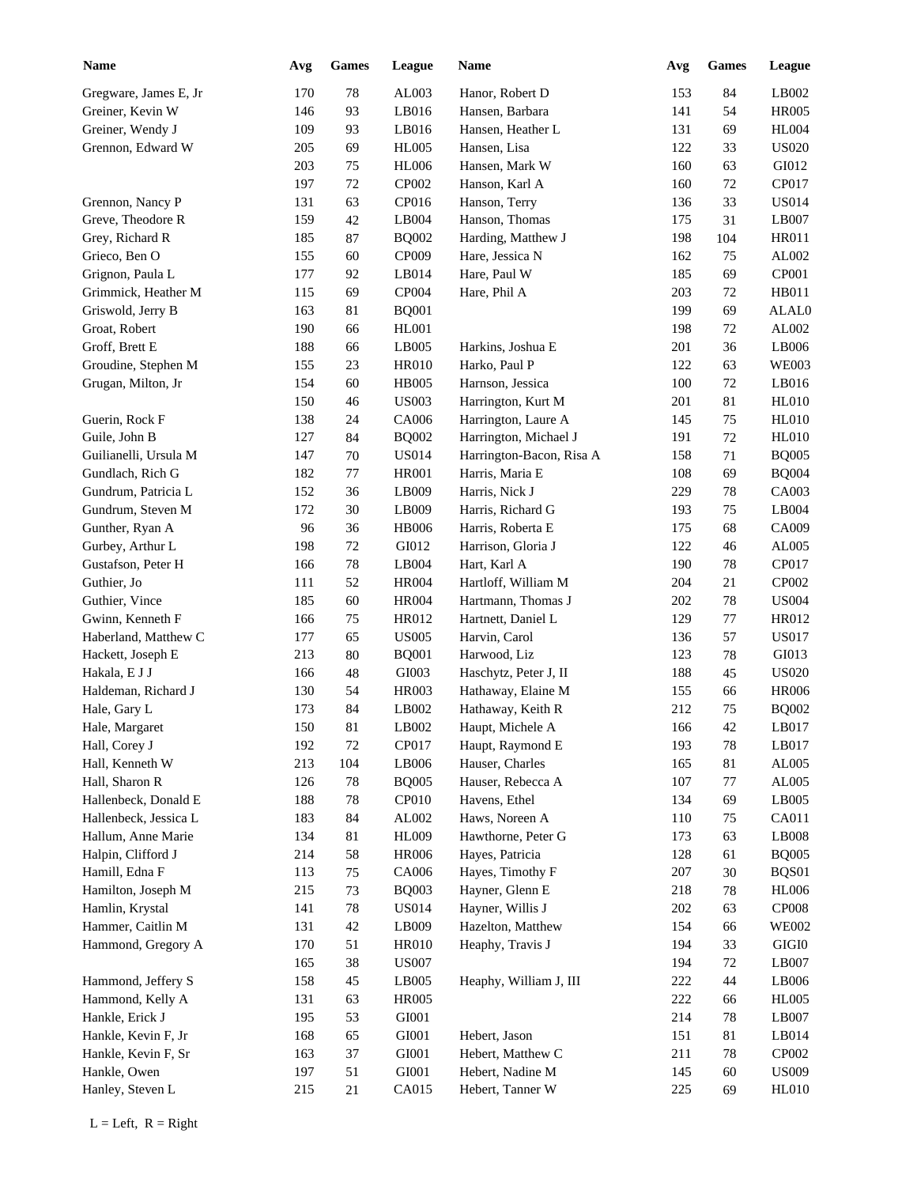| <b>Name</b>           | Avg | Games  | League                 | Name                     | Avg | <b>Games</b> | League        |
|-----------------------|-----|--------|------------------------|--------------------------|-----|--------------|---------------|
| Gregware, James E, Jr | 170 | 78     | AL003                  | Hanor, Robert D          | 153 | 84           | LB002         |
| Greiner, Kevin W      | 146 | 93     | LB016                  | Hansen, Barbara          | 141 | 54           | <b>HR005</b>  |
| Greiner, Wendy J      | 109 | 93     | LB016                  | Hansen, Heather L        | 131 | 69           | <b>HL004</b>  |
| Grennon, Edward W     | 205 | 69     | <b>HL005</b>           | Hansen, Lisa             | 122 | 33           | <b>US020</b>  |
|                       | 203 | 75     | <b>HL006</b>           | Hansen, Mark W           | 160 | 63           | GI012         |
|                       | 197 | 72     | CP002                  | Hanson, Karl A           | 160 | 72           | CP017         |
| Grennon, Nancy P      | 131 | 63     | CP016                  | Hanson, Terry            | 136 | 33           | <b>US014</b>  |
| Greve, Theodore R     | 159 | 42     | LB004                  | Hanson, Thomas           | 175 | 31           | LB007         |
| Grey, Richard R       | 185 | 87     | <b>BQ002</b>           | Harding, Matthew J       | 198 | 104          | <b>HR011</b>  |
| Grieco, Ben O         | 155 | 60     | CP009                  | Hare, Jessica N          | 162 | 75           | AL002         |
| Grignon, Paula L      | 177 | 92     | LB014                  | Hare, Paul W             | 185 | 69           | CP001         |
| Grimmick, Heather M   | 115 | 69     | CP004                  | Hare, Phil A             | 203 | 72           | HB011         |
| Griswold, Jerry B     | 163 | 81     | <b>BQ001</b>           |                          | 199 | 69           | ALAL0         |
| Groat, Robert         | 190 | 66     | HL001                  |                          | 198 | 72           | AL002         |
| Groff, Brett E        | 188 | 66     | LB005                  | Harkins, Joshua E        | 201 | 36           | LB006         |
| Groudine, Stephen M   | 155 | 23     | <b>HR010</b>           | Harko, Paul P            | 122 | 63           | <b>WE003</b>  |
| Grugan, Milton, Jr    | 154 | 60     | <b>HB005</b>           | Harnson, Jessica         | 100 | 72           | LB016         |
|                       | 150 | 46     | <b>US003</b>           | Harrington, Kurt M       | 201 | 81           | <b>HL010</b>  |
| Guerin, Rock F        | 138 | 24     | CA006                  | Harrington, Laure A      | 145 | 75           | <b>HL010</b>  |
| Guile, John B         | 127 | 84     | <b>BQ002</b>           | Harrington, Michael J    | 191 | 72           | <b>HL010</b>  |
| Guilianelli, Ursula M | 147 | 70     | <b>US014</b>           | Harrington-Bacon, Risa A | 158 | 71           | <b>BQ005</b>  |
| Gundlach, Rich G      | 182 | 77     | <b>HR001</b>           | Harris, Maria E          | 108 | 69           | <b>BQ004</b>  |
| Gundrum, Patricia L   | 152 | 36     | LB009                  | Harris, Nick J           | 229 | 78           | CA003         |
| Gundrum, Steven M     | 172 | 30     | LB009                  | Harris, Richard G        | 193 | 75           | LB004         |
| Gunther, Ryan A       | 96  | 36     | <b>HB006</b>           | Harris, Roberta E        | 175 | 68           | CA009         |
| Gurbey, Arthur L      | 198 | 72     | GI012                  | Harrison, Gloria J       | 122 | 46           | AL005         |
| Gustafson, Peter H    | 166 | 78     | LB004                  | Hart, Karl A             | 190 | 78           | CP017         |
| Guthier, Jo           | 111 | 52     | <b>HR004</b>           | Hartloff, William M      | 204 | 21           | CP002         |
| Guthier, Vince        | 185 | 60     | <b>HR004</b>           | Hartmann, Thomas J       | 202 | 78           | <b>US004</b>  |
| Gwinn, Kenneth F      | 166 | 75     | HR012                  | Hartnett, Daniel L       | 129 | 77           | HR012         |
| Haberland, Matthew C  | 177 | 65     | <b>US005</b>           | Harvin, Carol            | 136 | 57           | <b>US017</b>  |
| Hackett, Joseph E     | 213 | 80     | <b>BQ001</b>           | Harwood, Liz             | 123 | $78\,$       | GI013         |
| Hakala, E J J         | 166 | 48     | GI003                  | Haschytz, Peter J, II    | 188 | 45           | <b>US020</b>  |
| Haldeman, Richard J   | 130 | 54     | <b>HR003</b>           | Hathaway, Elaine M       | 155 | 66           | <b>HR006</b>  |
| Hale, Gary L          | 173 | 84     | LB002                  | Hathaway, Keith R        | 212 | 75           | <b>BQ002</b>  |
| Hale, Margaret        | 150 | $81\,$ | $\operatorname{LB}002$ | Haupt, Michele A         | 166 | 42           | LB017         |
| Hall, Corey J         | 192 | $72\,$ | CP017                  | Haupt, Raymond E         | 193 | $78\,$       | LB017         |
| Hall, Kenneth W       | 213 | 104    | LB006                  | Hauser, Charles          | 165 | 81           | AL005         |
| Hall, Sharon R        | 126 | $78\,$ | <b>BQ005</b>           | Hauser, Rebecca A        | 107 | $77\,$       | ${\rm AL005}$ |
| Hallenbeck, Donald E  | 188 | $78\,$ | CP010                  | Havens, Ethel            | 134 | 69           | LB005         |
| Hallenbeck, Jessica L | 183 | 84     | AL002                  | Haws, Noreen A           | 110 | 75           | CA011         |
| Hallum, Anne Marie    | 134 | $81\,$ | <b>HL009</b>           | Hawthorne, Peter G       | 173 | 63           | LB008         |
| Halpin, Clifford J    | 214 | 58     | <b>HR006</b>           | Hayes, Patricia          | 128 | 61           | <b>BQ005</b>  |
| Hamill, Edna F        | 113 | $75\,$ | CA006                  | Hayes, Timothy F         | 207 | $30\,$       | BQS01         |
| Hamilton, Joseph M    | 215 | $73\,$ | <b>BQ003</b>           | Hayner, Glenn E          | 218 | $78\,$       | <b>HL006</b>  |
| Hamlin, Krystal       | 141 | $78\,$ | <b>US014</b>           | Hayner, Willis J         | 202 | 63           | CP008         |
| Hammer, Caitlin M     | 131 | $42\,$ | LB009                  | Hazelton, Matthew        | 154 | 66           | <b>WE002</b>  |
| Hammond, Gregory A    | 170 | 51     | <b>HR010</b>           | Heaphy, Travis J         | 194 | 33           | $\rm GIGI0$   |
|                       | 165 | $38\,$ | <b>US007</b>           |                          | 194 | $72\,$       | LB007         |
| Hammond, Jeffery S    | 158 | $45\,$ | LB005                  | Heaphy, William J, III   | 222 | 44           | LB006         |
| Hammond, Kelly A      | 131 | 63     | <b>HR005</b>           |                          | 222 | 66           | <b>HL005</b>  |
| Hankle, Erick J       | 195 | 53     | ${\rm GIO}01$          |                          | 214 | $78\,$       | LB007         |
| Hankle, Kevin F, Jr   | 168 | 65     | ${\rm GIO}01$          | Hebert, Jason            | 151 | 81           | LB014         |
| Hankle, Kevin F, Sr   | 163 | 37     | ${\rm GIO}01$          | Hebert, Matthew C        | 211 | $78\,$       | CP002         |
| Hankle, Owen          | 197 | 51     | ${\rm GIO}01$          | Hebert, Nadine M         | 145 | 60           | <b>US009</b>  |
| Hanley, Steven L      | 215 | 21     | CA015                  | Hebert, Tanner W         | 225 | 69           | HL010         |
|                       |     |        |                        |                          |     |              |               |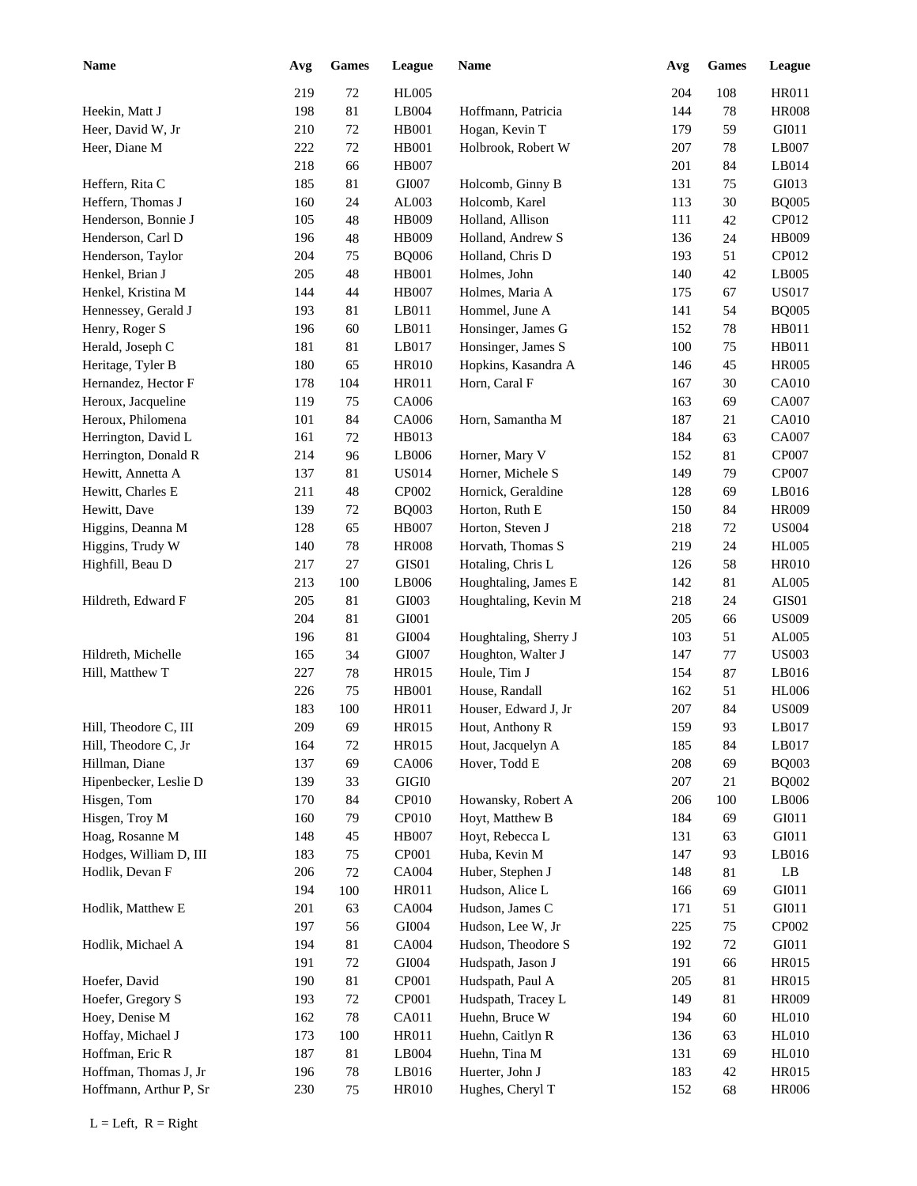| <b>Name</b>            | Avg | Games  | League        | <b>Name</b>           | Avg | Games | League       |
|------------------------|-----|--------|---------------|-----------------------|-----|-------|--------------|
|                        | 219 | 72     | <b>HL005</b>  |                       | 204 | 108   | HR011        |
| Heekin, Matt J         | 198 | $81\,$ | LB004         | Hoffmann, Patricia    | 144 | 78    | <b>HR008</b> |
| Heer, David W, Jr      | 210 | 72     | <b>HB001</b>  | Hogan, Kevin T        | 179 | 59    | GI011        |
| Heer, Diane M          | 222 | 72     | <b>HB001</b>  | Holbrook, Robert W    | 207 | 78    | LB007        |
|                        | 218 | 66     | <b>HB007</b>  |                       | 201 | 84    | LB014        |
| Heffern, Rita C        | 185 | 81     | GI007         | Holcomb, Ginny B      | 131 | 75    | GI013        |
| Heffern, Thomas J      | 160 | 24     | AL003         | Holcomb, Karel        | 113 | 30    | <b>BQ005</b> |
| Henderson, Bonnie J    | 105 | 48     | HB009         | Holland, Allison      | 111 | 42    | CP012        |
| Henderson, Carl D      | 196 | 48     | HB009         | Holland, Andrew S     | 136 | 24    | HB009        |
| Henderson, Taylor      | 204 | 75     | <b>BQ006</b>  | Holland, Chris D      | 193 | 51    | CP012        |
| Henkel, Brian J        | 205 | 48     | HB001         | Holmes, John          | 140 | 42    | LB005        |
| Henkel, Kristina M     | 144 | 44     | <b>HB007</b>  | Holmes, Maria A       | 175 | 67    | <b>US017</b> |
| Hennessey, Gerald J    | 193 | 81     | LB011         | Hommel, June A        | 141 | 54    | <b>BQ005</b> |
| Henry, Roger S         | 196 | 60     | LB011         | Honsinger, James G    | 152 | 78    | HB011        |
| Herald, Joseph C       | 181 | 81     | LB017         | Honsinger, James S    | 100 | 75    | HB011        |
| Heritage, Tyler B      | 180 | 65     | HR010         | Hopkins, Kasandra A   | 146 | 45    | <b>HR005</b> |
| Hernandez, Hector F    | 178 | 104    | HR011         | Horn, Caral F         | 167 | 30    | <b>CA010</b> |
| Heroux, Jacqueline     | 119 | 75     | CA006         |                       | 163 | 69    | CA007        |
| Heroux, Philomena      | 101 | 84     | CA006         | Horn, Samantha M      | 187 | 21    | <b>CA010</b> |
| Herrington, David L    | 161 | 72     | HB013         |                       | 184 | 63    | CA007        |
| Herrington, Donald R   | 214 | 96     | LB006         | Horner, Mary V        | 152 | 81    | CP007        |
| Hewitt, Annetta A      | 137 | 81     | <b>US014</b>  | Horner, Michele S     | 149 | 79    | CP007        |
| Hewitt, Charles E      | 211 | 48     | CP002         | Hornick, Geraldine    | 128 | 69    | LB016        |
| Hewitt, Dave           | 139 | 72     | <b>BQ003</b>  | Horton, Ruth E        | 150 | 84    | <b>HR009</b> |
| Higgins, Deanna M      | 128 | 65     | <b>HB007</b>  | Horton, Steven J      | 218 | 72    | <b>US004</b> |
| Higgins, Trudy W       | 140 | 78     | <b>HR008</b>  | Horvath, Thomas S     | 219 | 24    | <b>HL005</b> |
| Highfill, Beau D       | 217 | 27     | GIS01         | Hotaling, Chris L     | 126 | 58    | <b>HR010</b> |
|                        | 213 | 100    | LB006         | Houghtaling, James E  | 142 | 81    | AL005        |
| Hildreth, Edward F     | 205 | 81     | GI003         | Houghtaling, Kevin M  | 218 | 24    | GIS01        |
|                        | 204 | 81     | GI001         |                       | 205 | 66    | <b>US009</b> |
|                        | 196 | 81     | GI004         | Houghtaling, Sherry J | 103 | 51    | AL005        |
| Hildreth, Michelle     | 165 | 34     | GI007         | Houghton, Walter J    | 147 | 77    | <b>US003</b> |
| Hill, Matthew T        | 227 | 78     | HR015         | Houle, Tim J          | 154 | 87    | LB016        |
|                        | 226 | 75     | <b>HB001</b>  | House, Randall        | 162 | 51    | <b>HL006</b> |
|                        | 183 | 100    | HR011         | Houser, Edward J, Jr  | 207 | 84    | <b>US009</b> |
| Hill, Theodore C, III  | 209 | 69     | HR015         | Hout, Anthony R       | 159 | 93    | LB017        |
| Hill, Theodore C, Jr   | 164 | 72     | HR015         | Hout, Jacquelyn A     | 185 | 84    | LB017        |
| Hillman, Diane         | 137 | 69     | CA006         | Hover, Todd E         | 208 | 69    | <b>BQ003</b> |
| Hipenbecker, Leslie D  | 139 | 33     | GIGI0         |                       | 207 | 21    | <b>BQ002</b> |
| Hisgen, Tom            | 170 | 84     | CP010         | Howansky, Robert A    | 206 | 100   | LB006        |
| Hisgen, Troy M         | 160 | 79     | CP010         | Hoyt, Matthew B       | 184 | 69    | GI011        |
| Hoag, Rosanne M        | 148 | 45     | <b>HB007</b>  | Hoyt, Rebecca L       | 131 | 63    | GI011        |
| Hodges, William D, III | 183 | $75\,$ | CP001         | Huba, Kevin M         | 147 | 93    | LB016        |
| Hodlik, Devan F        | 206 | 72     | CA004         | Huber, Stephen J      | 148 | 81    | LB           |
|                        | 194 | 100    | HR011         | Hudson, Alice L       | 166 | 69    | GI011        |
| Hodlik, Matthew E      | 201 | 63     | CA004         | Hudson, James C       | 171 | 51    | GI011        |
|                        | 197 | 56     | ${\rm G}1004$ | Hudson, Lee W, Jr     | 225 | 75    | CP002        |
| Hodlik, Michael A      | 194 | 81     | CA004         | Hudson, Theodore S    | 192 | 72    | GI011        |
|                        | 191 | 72     | ${\rm GIO}04$ | Hudspath, Jason J     | 191 | 66    | HR015        |
| Hoefer, David          | 190 | 81     | CP001         | Hudspath, Paul A      | 205 | 81    | HR015        |
| Hoefer, Gregory S      | 193 | 72     | CP001         | Hudspath, Tracey L    | 149 | 81    | HR009        |
| Hoey, Denise M         | 162 | 78     | CA011         | Huehn, Bruce W        | 194 | 60    | <b>HL010</b> |
| Hoffay, Michael J      | 173 | 100    | HR011         | Huehn, Caitlyn R      | 136 | 63    | <b>HL010</b> |
| Hoffman, Eric R        | 187 | 81     | LB004         | Huehn, Tina M         | 131 | 69    | <b>HL010</b> |
| Hoffman, Thomas J, Jr  | 196 | 78     | LB016         | Huerter, John J       | 183 | 42    | HR015        |
| Hoffmann, Arthur P, Sr | 230 | $75\,$ | <b>HR010</b>  | Hughes, Cheryl T      | 152 | 68    | <b>HR006</b> |
|                        |     |        |               |                       |     |       |              |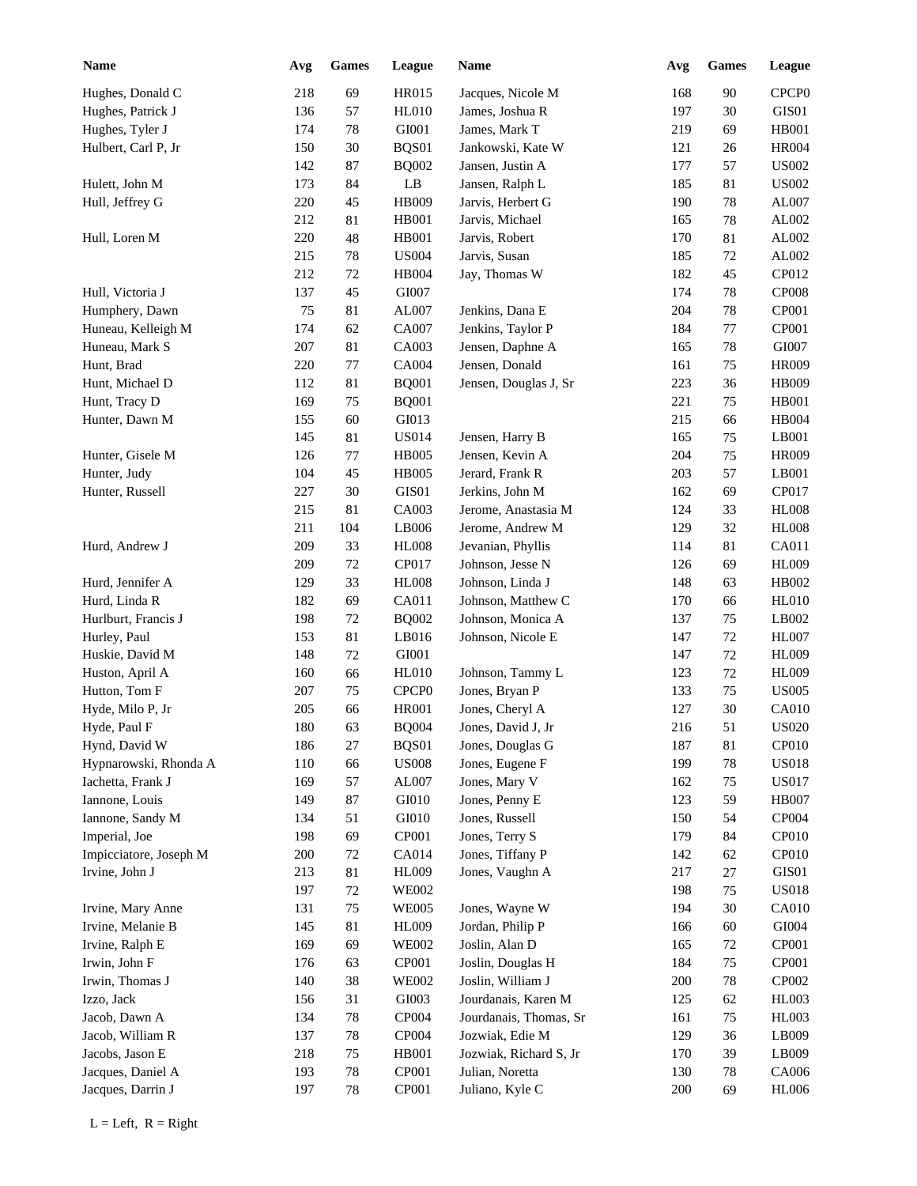| <b>Name</b>            | Avg | ${\bf Games}$ | League                        | Name                   | Avg | <b>Games</b> | League            |
|------------------------|-----|---------------|-------------------------------|------------------------|-----|--------------|-------------------|
| Hughes, Donald C       | 218 | 69            | HR015                         | Jacques, Nicole M      | 168 | $90\,$       | CPCP <sub>0</sub> |
| Hughes, Patrick J      | 136 | 57            | <b>HL010</b>                  | James, Joshua R        | 197 | 30           | GIS01             |
| Hughes, Tyler J        | 174 | 78            | GI001                         | James, Mark T          | 219 | 69           | <b>HB001</b>      |
| Hulbert, Carl P, Jr    | 150 | 30            | BQS01                         | Jankowski, Kate W      | 121 | 26           | <b>HR004</b>      |
|                        | 142 | 87            | <b>BQ002</b>                  | Jansen, Justin A       | 177 | 57           | <b>US002</b>      |
| Hulett, John M         | 173 | 84            | $\mathbf{L}\mathbf{B}$        | Jansen, Ralph L        | 185 | 81           | <b>US002</b>      |
| Hull, Jeffrey G        | 220 | 45            | HB009                         | Jarvis, Herbert G      | 190 | 78           | AL007             |
|                        | 212 | 81            | HB001                         | Jarvis, Michael        | 165 | 78           | AL002             |
| Hull, Loren M          | 220 | 48            | HB001                         | Jarvis, Robert         | 170 | 81           | AL002             |
|                        | 215 | 78            | <b>US004</b>                  | Jarvis, Susan          | 185 | 72           | AL002             |
|                        | 212 | 72            | HB004                         | Jay, Thomas W          | 182 | 45           | CP012             |
| Hull, Victoria J       | 137 | 45            | GI007                         |                        | 174 | 78           | <b>CP008</b>      |
| Humphery, Dawn         | 75  | 81            | AL007                         | Jenkins, Dana E        | 204 | 78           | CP001             |
| Huneau, Kelleigh M     | 174 | 62            | CA007                         | Jenkins, Taylor P      | 184 | 77           | CP001             |
| Huneau, Mark S         | 207 | 81            | CA003                         | Jensen, Daphne A       | 165 | 78           | GI007             |
| Hunt, Brad             | 220 | 77            | CA004                         | Jensen, Donald         | 161 | 75           | <b>HR009</b>      |
| Hunt, Michael D        | 112 | 81            | <b>BQ001</b>                  | Jensen, Douglas J, Sr  | 223 | 36           | HB009             |
| Hunt, Tracy D          | 169 | 75            | <b>BQ001</b>                  |                        | 221 | 75           | <b>HB001</b>      |
| Hunter, Dawn M         | 155 | 60            | GI013                         |                        | 215 | 66           | HB004             |
|                        | 145 | 81            | <b>US014</b>                  | Jensen, Harry B        | 165 | 75           | LB001             |
| Hunter, Gisele M       | 126 | 77            | <b>HB005</b>                  | Jensen, Kevin A        | 204 | 75           | <b>HR009</b>      |
| Hunter, Judy           | 104 | 45            | <b>HB005</b>                  | Jerard, Frank R        | 203 | 57           | LB001             |
| Hunter, Russell        | 227 | 30            | GIS <sub>01</sub>             | Jerkins, John M        | 162 | 69           | CP017             |
|                        | 215 | 81            | CA003                         | Jerome, Anastasia M    | 124 | 33           | <b>HL008</b>      |
|                        | 211 | 104           | LB006                         | Jerome, Andrew M       | 129 | 32           | <b>HL008</b>      |
| Hurd, Andrew J         | 209 | 33            | <b>HL008</b>                  | Jevanian, Phyllis      | 114 | 81           | CA011             |
|                        | 209 | 72            | CP017                         | Johnson, Jesse N       | 126 | 69           | <b>HL009</b>      |
| Hurd, Jennifer A       | 129 | 33            | <b>HL008</b>                  | Johnson, Linda J       | 148 | 63           | HB002             |
| Hurd, Linda R          | 182 | 69            | CA011                         | Johnson, Matthew C     | 170 | 66           | HL010             |
| Hurlburt, Francis J    | 198 | 72            | <b>BQ002</b>                  | Johnson, Monica A      | 137 | 75           | LB002             |
| Hurley, Paul           | 153 | 81            | LB016                         | Johnson, Nicole E      | 147 | 72           | <b>HL007</b>      |
| Huskie, David M        | 148 | $72\,$        | GI001                         |                        | 147 | 72           | <b>HL009</b>      |
| Huston, April A        | 160 | 66            | <b>HL010</b>                  | Johnson, Tammy L       | 123 | 72           | <b>HL009</b>      |
| Hutton, Tom F          | 207 | 75            | CPCP <sub>0</sub>             | Jones, Bryan P         | 133 | 75           | <b>US005</b>      |
| Hyde, Milo P, Jr       | 205 | 66            | <b>HR001</b>                  | Jones, Cheryl A        | 127 | 30           | CA010             |
| Hyde, Paul F           | 180 | 63            | <b>BQ004</b>                  | Jones, David J, Jr     | 216 | 51           | ${\rm US020}$     |
| Hynd, David W          | 186 | 27            | BQS01                         | Jones, Douglas G       | 187 | 81           | CP010             |
| Hypnarowski, Rhonda A  | 110 | 66            | $\ensuremath{\mathrm{USO08}}$ | Jones, Eugene F        | 199 | $78\,$       | <b>US018</b>      |
| Iachetta, Frank J      | 169 | 57            | AL007                         | Jones, Mary V          | 162 | $75\,$       | <b>US017</b>      |
| Iannone, Louis         | 149 | 87            | GI010                         | Jones, Penny E         | 123 | 59           | <b>HB007</b>      |
| Iannone, Sandy M       | 134 | 51            | GI010                         | Jones, Russell         | 150 | 54           | CP004             |
| Imperial, Joe          | 198 | 69            | CP001                         | Jones, Terry S         | 179 | 84           | CP010             |
| Impicciatore, Joseph M | 200 | 72            | CA014                         | Jones, Tiffany P       | 142 | 62           | CP010             |
| Irvine, John J         | 213 | $81\,$        | <b>HL009</b>                  | Jones, Vaughn A        | 217 | 27           | GIS01             |
|                        | 197 | 72            | <b>WE002</b>                  |                        | 198 | $75\,$       | <b>US018</b>      |
| Irvine, Mary Anne      | 131 | 75            | <b>WE005</b>                  | Jones, Wayne W         | 194 | 30           | CA010             |
| Irvine, Melanie B      | 145 | 81            | <b>HL009</b>                  | Jordan, Philip P       | 166 | 60           | GI004             |
| Irvine, Ralph E        | 169 | 69            | <b>WE002</b>                  | Joslin, Alan D         | 165 | 72           | CP001             |
| Irwin, John F          | 176 | 63            | CP001                         | Joslin, Douglas H      | 184 | $75\,$       | CP001             |
| Irwin, Thomas J        | 140 | 38            | <b>WE002</b>                  | Joslin, William J      | 200 | $78\,$       | CP002             |
| Izzo, Jack             | 156 | 31            | GI003                         | Jourdanais, Karen M    | 125 | 62           | HL003             |
| Jacob, Dawn A          | 134 | $78\,$        | CP004                         | Jourdanais, Thomas, Sr | 161 | 75           | HL003             |
| Jacob, William R       | 137 | $78\,$        | CP004                         | Jozwiak, Edie M        | 129 | 36           | LB009             |
| Jacobs, Jason E        | 218 | 75            | HB001                         | Jozwiak, Richard S, Jr | 170 | 39           | LB009             |
| Jacques, Daniel A      | 193 | $78\,$        | CP001                         | Julian, Noretta        | 130 | 78           | CA006             |
| Jacques, Darrin J      | 197 | 78            | CP001                         | Juliano, Kyle C        | 200 | 69           | <b>HL006</b>      |
|                        |     |               |                               |                        |     |              |                   |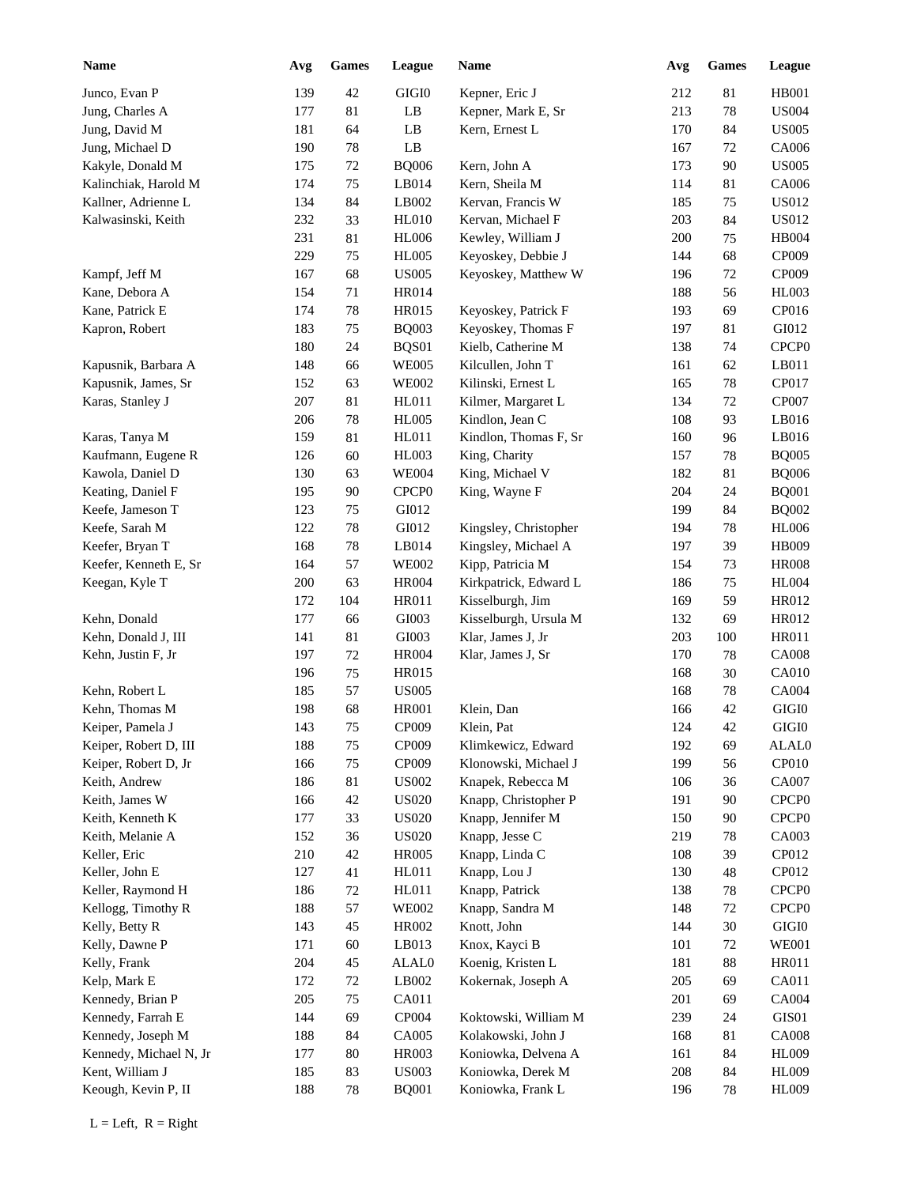| <b>Name</b>            | Avg | <b>Games</b> | League            | <b>Name</b>                                | Avg | <b>Games</b> | League            |
|------------------------|-----|--------------|-------------------|--------------------------------------------|-----|--------------|-------------------|
| Junco, Evan P          | 139 | 42           | GIGI0             | Kepner, Eric J                             | 212 | 81           | HB001             |
| Jung, Charles A        | 177 | 81           | LB                | Kepner, Mark E, Sr                         | 213 | $78\,$       | <b>US004</b>      |
| Jung, David M          | 181 | 64           | LB                | Kern, Ernest L                             | 170 | 84           | <b>US005</b>      |
| Jung, Michael D        | 190 | 78           | LB                |                                            | 167 | 72           | CA006             |
| Kakyle, Donald M       | 175 | 72           | <b>BQ006</b>      | Kern, John A                               | 173 | 90           | <b>US005</b>      |
| Kalinchiak, Harold M   | 174 | 75           | LB014             | Kern, Sheila M                             | 114 | 81           | CA006             |
| Kallner, Adrienne L    | 134 | 84           | LB002             | Kervan, Francis W                          | 185 | 75           | <b>US012</b>      |
| Kalwasinski, Keith     | 232 | 33           | HL010             | Kervan, Michael F                          | 203 | 84           | <b>US012</b>      |
|                        | 231 | 81           | <b>HL006</b>      | Kewley, William J                          | 200 | 75           | <b>HB004</b>      |
|                        | 229 | 75           | <b>HL005</b>      | Keyoskey, Debbie J                         | 144 | 68           | CP009             |
| Kampf, Jeff M          | 167 | 68           | <b>US005</b>      | Keyoskey, Matthew W                        | 196 | 72           | CP009             |
| Kane, Debora A         | 154 | 71           | HR014             |                                            | 188 | 56           | <b>HL003</b>      |
| Kane, Patrick E        | 174 | $78\,$       | HR015             | Keyoskey, Patrick F                        | 193 | 69           | CP016             |
| Kapron, Robert         | 183 | 75           | <b>BQ003</b>      | Keyoskey, Thomas F                         | 197 | 81           | GI012             |
|                        | 180 | 24           | BQS01             | Kielb, Catherine M                         | 138 | 74           | CPCP <sub>0</sub> |
| Kapusnik, Barbara A    | 148 | 66           | <b>WE005</b>      | Kilcullen, John T                          | 161 | 62           | LB011             |
| Kapusnik, James, Sr    | 152 | 63           | <b>WE002</b>      | Kilinski, Ernest L                         | 165 | 78           | CP017             |
| Karas, Stanley J       | 207 | 81           | HL011             | Kilmer, Margaret L                         | 134 | 72           | CP007             |
|                        | 206 | 78           | <b>HL005</b>      | Kindlon, Jean C                            | 108 | 93           | LB016             |
| Karas, Tanya M         | 159 | $81\,$       | HL011             | Kindlon, Thomas F, Sr                      | 160 | 96           | LB016             |
| Kaufmann, Eugene R     | 126 | 60           | <b>HL003</b>      | King, Charity                              | 157 | 78           | <b>BQ005</b>      |
| Kawola, Daniel D       | 130 | 63           | <b>WE004</b>      | King, Michael V                            | 182 | 81           | <b>BQ006</b>      |
| Keating, Daniel F      | 195 | 90           | CPCP <sub>0</sub> | King, Wayne F                              | 204 | 24           | <b>BQ001</b>      |
| Keefe, Jameson T       | 123 | 75           | GI012             |                                            | 199 | 84           | <b>BQ002</b>      |
| Keefe, Sarah M         | 122 | 78           | GI012             | Kingsley, Christopher                      | 194 | 78           | <b>HL006</b>      |
| Keefer, Bryan T        | 168 | 78           | LB014             | Kingsley, Michael A                        | 197 | 39           | HB009             |
| Keefer, Kenneth E, Sr  | 164 | 57           | <b>WE002</b>      | Kipp, Patricia M                           | 154 | 73           | <b>HR008</b>      |
| Keegan, Kyle T         | 200 | 63           | <b>HR004</b>      | Kirkpatrick, Edward L                      | 186 | 75           | <b>HL004</b>      |
|                        | 172 | 104          | HR011             | Kisselburgh, Jim                           | 169 | 59           | HR012             |
| Kehn, Donald           | 177 | 66           | GI003             | Kisselburgh, Ursula M                      | 132 | 69           | HR012             |
| Kehn, Donald J, III    | 141 | 81           | GI003             | Klar, James J, Jr                          | 203 | 100          | <b>HR011</b>      |
| Kehn, Justin F, Jr     | 197 | $72\,$       | <b>HR004</b>      | Klar, James J, Sr                          | 170 | 78           | <b>CA008</b>      |
|                        | 196 | 75           | HR015             |                                            | 168 | 30           | CA010             |
| Kehn, Robert L         | 185 | 57           | <b>US005</b>      |                                            | 168 | $78\,$       | CA004             |
| Kehn, Thomas M         | 198 | 68           | <b>HR001</b>      | Klein, Dan                                 | 166 | 42           | $\rm GIGI0$       |
|                        | 143 | $75\,$       | CP009             | Klein, Pat                                 | 124 |              | $\rm GIGI0$       |
| Keiper, Pamela J       |     |              |                   |                                            |     | 42           |                   |
| Keiper, Robert D, III  | 188 | 75           | CP009             | Klimkewicz, Edward<br>Klonowski, Michael J | 192 | 69           | ALAL0<br>CP010    |
| Keiper, Robert D, Jr   | 166 | 75           | CP009             |                                            | 199 | 56           |                   |
| Keith, Andrew          | 186 | 81           | <b>US002</b>      | Knapek, Rebecca M                          | 106 | 36           | CA007             |
| Keith, James W         | 166 | 42           | <b>US020</b>      | Knapp, Christopher P                       | 191 | 90           | CPCP <sub>0</sub> |
| Keith, Kenneth K       | 177 | 33           | <b>US020</b>      | Knapp, Jennifer M                          | 150 | 90           | CPCP <sub>0</sub> |
| Keith, Melanie A       | 152 | 36           | <b>US020</b>      | Knapp, Jesse C                             | 219 | 78           | CA003             |
| Keller, Eric           | 210 | $42\,$       | <b>HR005</b>      | Knapp, Linda C                             | 108 | 39           | CP012             |
| Keller, John E         | 127 | 41           | HL011             | Knapp, Lou J                               | 130 | 48           | CP012             |
| Keller, Raymond H      | 186 | $72\,$       | HL011             | Knapp, Patrick                             | 138 | 78           | CPCP <sub>0</sub> |
| Kellogg, Timothy R     | 188 | 57           | <b>WE002</b>      | Knapp, Sandra M                            | 148 | 72           | CPCP <sub>0</sub> |
| Kelly, Betty R         | 143 | 45           | HR002             | Knott, John                                | 144 | $30\,$       | $\rm GIGI0$       |
| Kelly, Dawne P         | 171 | 60           | LB013             | Knox, Kayci B                              | 101 | 72           | <b>WE001</b>      |
| Kelly, Frank           | 204 | 45           | ALAL0             | Koenig, Kristen L                          | 181 | $88\,$       | HR011             |
| Kelp, Mark E           | 172 | 72           | LB002             | Kokernak, Joseph A                         | 205 | 69           | CA011             |
| Kennedy, Brian P       | 205 | 75           | CA011             |                                            | 201 | 69           | <b>CA004</b>      |
| Kennedy, Farrah E      | 144 | 69           | CP004             | Koktowski, William M                       | 239 | 24           | GIS01             |
| Kennedy, Joseph M      | 188 | 84           | CA005             | Kolakowski, John J                         | 168 | 81           | <b>CA008</b>      |
| Kennedy, Michael N, Jr | 177 | $80\,$       | HR003             | Koniowka, Delvena A                        | 161 | 84           | HL009             |
| Kent, William J        | 185 | 83           | <b>US003</b>      | Koniowka, Derek M                          | 208 | 84           | <b>HL009</b>      |
| Keough, Kevin P, II    | 188 | 78           | <b>BQ001</b>      | Koniowka, Frank L                          | 196 | 78           | <b>HL009</b>      |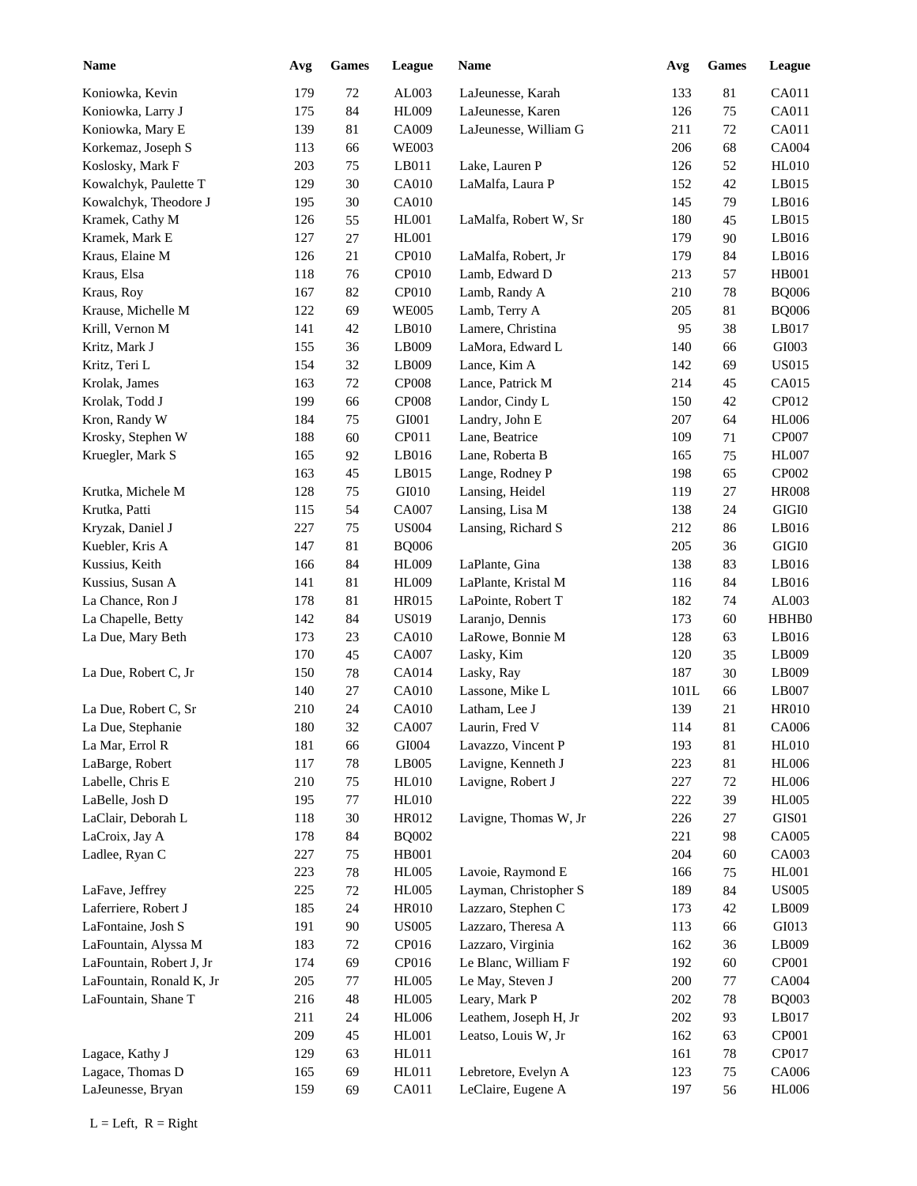| <b>Name</b>              | Avg     | <b>Games</b> | League        | Name                  | Avg  | <b>Games</b> | League                      |
|--------------------------|---------|--------------|---------------|-----------------------|------|--------------|-----------------------------|
| Koniowka, Kevin          | 179     | $72\,$       | AL003         | LaJeunesse, Karah     | 133  | 81           | CA011                       |
| Koniowka, Larry J        | 175     | 84           | HL009         | LaJeunesse, Karen     | 126  | 75           | CA011                       |
| Koniowka, Mary E         | 139     | 81           | CA009         | LaJeunesse, William G | 211  | 72           | CA011                       |
| Korkemaz, Joseph S       | 113     | 66           | <b>WE003</b>  |                       | 206  | 68           | <b>CA004</b>                |
| Koslosky, Mark F         | 203     | 75           | LB011         | Lake, Lauren P        | 126  | 52           | <b>HL010</b>                |
| Kowalchyk, Paulette T    | 129     | 30           | CA010         | LaMalfa, Laura P      | 152  | 42           | LB015                       |
| Kowalchyk, Theodore J    | 195     | 30           | CA010         |                       | 145  | 79           | LB016                       |
| Kramek, Cathy M          | 126     | 55           | HL001         | LaMalfa, Robert W, Sr | 180  | 45           | LB015                       |
| Kramek, Mark E           | 127     | 27           | <b>HL001</b>  |                       | 179  | 90           | LB016                       |
| Kraus, Elaine M          | 126     | 21           | CP010         | LaMalfa, Robert, Jr   | 179  | 84           | LB016                       |
| Kraus, Elsa              | 118     | 76           | CP010         | Lamb, Edward D        | 213  | 57           | <b>HB001</b>                |
| Kraus, Roy               | 167     | 82           | CP010         | Lamb, Randy A         | 210  | 78           | <b>BQ006</b>                |
| Krause, Michelle M       | 122     | 69           | <b>WE005</b>  | Lamb, Terry A         | 205  | 81           | <b>BQ006</b>                |
| Krill, Vernon M          | 141     | 42           | LB010         | Lamere, Christina     | 95   | 38           | LB017                       |
| Kritz, Mark J            | 155     | 36           | LB009         | LaMora, Edward L      | 140  | 66           | GI003                       |
| Kritz, Teri L            | 154     | 32           | LB009         | Lance, Kim A          | 142  | 69           | <b>US015</b>                |
| Krolak, James            | 163     | 72           | <b>CP008</b>  | Lance, Patrick M      | 214  | 45           | CA015                       |
| Krolak, Todd J           | 199     | 66           | <b>CP008</b>  | Landor, Cindy L       | 150  | $42\,$       | CP012                       |
| Kron, Randy W            | 184     | 75           | GI001         | Landry, John E        | 207  | 64           | <b>HL006</b>                |
| Krosky, Stephen W        | 188     | 60           | CP011         | Lane, Beatrice        | 109  | 71           | CP007                       |
| Kruegler, Mark S         | 165     | 92           | LB016         | Lane, Roberta B       | 165  | 75           | <b>HL007</b>                |
|                          |         |              |               |                       |      |              |                             |
|                          | 163     | 45           | LB015         | Lange, Rodney P       | 198  | 65           | CP002                       |
| Krutka, Michele M        | 128     | 75           | GI010         | Lansing, Heidel       | 119  | 27           | <b>HR008</b><br>$\rm GIGI0$ |
| Krutka, Patti            | 115     | 54           | <b>CA007</b>  | Lansing, Lisa M       | 138  | 24           |                             |
| Kryzak, Daniel J         | 227     | 75           | <b>US004</b>  | Lansing, Richard S    | 212  | 86           | LB016                       |
| Kuebler, Kris A          | 147     | 81           | <b>BQ006</b>  |                       | 205  | 36           | $\rm GIGI0$                 |
| Kussius, Keith           | 166     | 84           | <b>HL009</b>  | LaPlante, Gina        | 138  | 83           | LB016                       |
| Kussius, Susan A         | 141     | 81           | <b>HL009</b>  | LaPlante, Kristal M   | 116  | 84           | LB016                       |
| La Chance, Ron J         | 178     | 81           | <b>HR015</b>  | LaPointe, Robert T    | 182  | 74           | AL003                       |
| La Chapelle, Betty       | 142     | 84           | <b>US019</b>  | Laranjo, Dennis       | 173  | 60           | HBHB0                       |
| La Due, Mary Beth        | 173     | 23           | CA010         | LaRowe, Bonnie M      | 128  | 63           | LB016                       |
|                          | 170     | 45           | CA007         | Lasky, Kim            | 120  | 35           | LB009                       |
| La Due, Robert C, Jr     | 150     | 78           | CA014         | Lasky, Ray            | 187  | 30           | LB009                       |
|                          | 140     | $27\,$       | CA010         | Lassone, Mike L       | 101L | 66           | LB007                       |
| La Due, Robert C, Sr     | 210     | 24           | <b>CA010</b>  | Latham, Lee J         | 139  | 21           | <b>HR010</b>                |
| La Due, Stephanie        | $180\,$ | 32           | CA007         | Laurin, Fred V        | 114  | $81\,$       | CA006                       |
| La Mar, Errol R          | 181     | 66           | ${\rm G}1004$ | Lavazzo, Vincent P    | 193  | 81           | <b>HL010</b>                |
| LaBarge, Robert          | 117     | $78\,$       | LB005         | Lavigne, Kenneth J    | 223  | 81           | <b>HL006</b>                |
| Labelle, Chris E         | $210\,$ | $75\,$       | <b>HL010</b>  | Lavigne, Robert J     | 227  | 72           | <b>HL006</b>                |
| LaBelle, Josh D          | 195     | $77 \,$      | HL010         |                       | 222  | 39           | <b>HL005</b>                |
| LaClair, Deborah L       | 118     | 30           | HR012         | Lavigne, Thomas W, Jr | 226  | $27\,$       | GIS01                       |
| LaCroix, Jay A           | 178     | 84           | <b>BQ002</b>  |                       | 221  | 98           | CA005                       |
| Ladlee, Ryan C           | 227     | 75           | <b>HB001</b>  |                       | 204  | 60           | CA003                       |
|                          | 223     | $78\,$       | <b>HL005</b>  | Lavoie, Raymond E     | 166  | 75           | HL001                       |
| LaFave, Jeffrey          | 225     | $72\,$       | <b>HL005</b>  | Layman, Christopher S | 189  | 84           | <b>US005</b>                |
| Laferriere, Robert J     | 185     | 24           | <b>HR010</b>  | Lazzaro, Stephen C    | 173  | $42\,$       | LB009                       |
| LaFontaine, Josh S       | 191     | 90           | <b>US005</b>  | Lazzaro, Theresa A    | 113  | 66           | GI013                       |
| LaFountain, Alyssa M     | 183     | $72\,$       | CP016         | Lazzaro, Virginia     | 162  | 36           | LB009                       |
| LaFountain, Robert J, Jr | 174     | 69           | CP016         | Le Blanc, William F   | 192  | 60           | CP001                       |
| LaFountain, Ronald K, Jr | 205     | $77 \,$      | <b>HL005</b>  | Le May, Steven J      | 200  | 77           | CA004                       |
| LaFountain, Shane T      | 216     | 48           | <b>HL005</b>  | Leary, Mark P         | 202  | 78           | <b>BQ003</b>                |
|                          | 211     | 24           | <b>HL006</b>  | Leathem, Joseph H, Jr | 202  | 93           | LB017                       |
|                          | 209     | 45           | HL001         | Leatso, Louis W, Jr   | 162  | 63           | CP001                       |
| Lagace, Kathy J          | 129     | 63           | HL011         |                       | 161  | 78           | CP017                       |
| Lagace, Thomas D         | 165     | 69           | HL011         | Lebretore, Evelyn A   | 123  | 75           | CA006                       |
| LaJeunesse, Bryan        | 159     | 69           | CA011         | LeClaire, Eugene A    | 197  | 56           | <b>HL006</b>                |
|                          |         |              |               |                       |      |              |                             |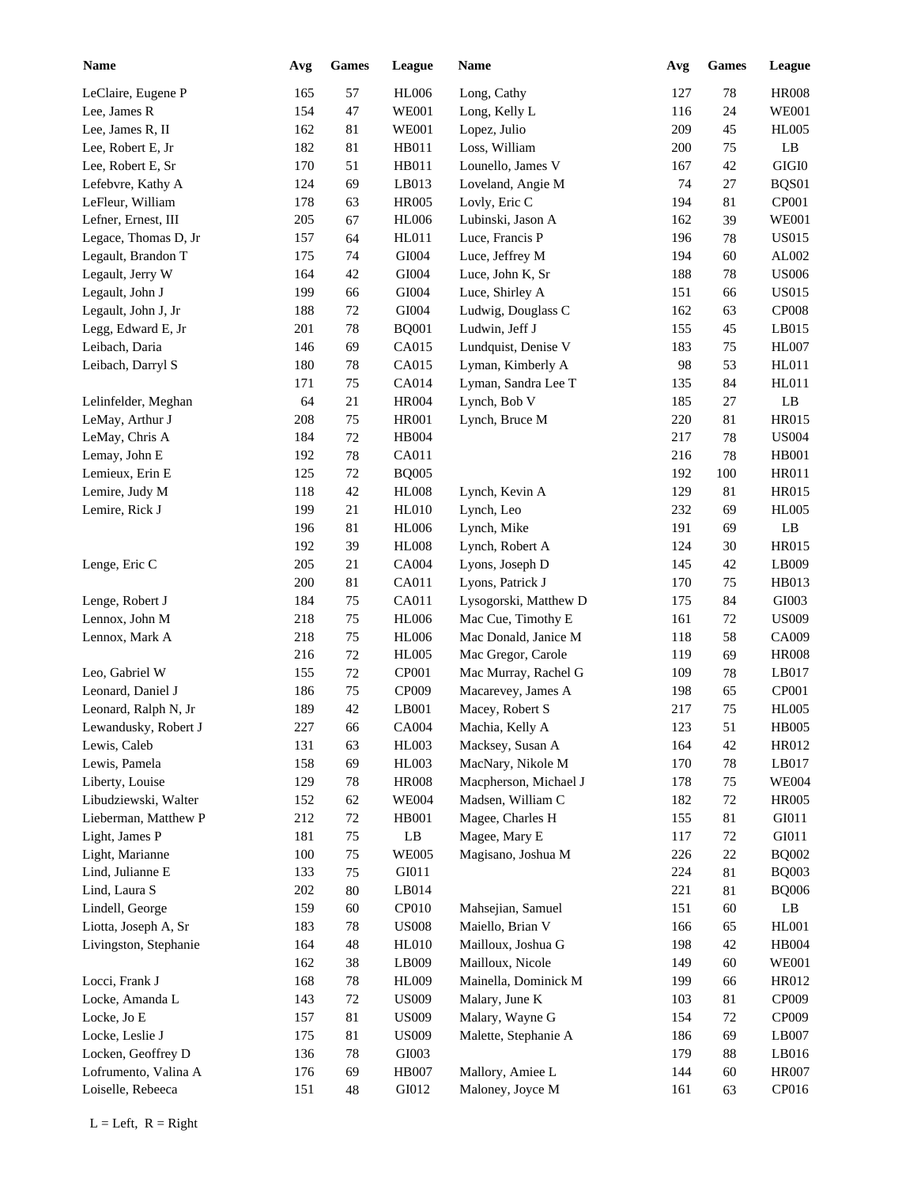| <b>Name</b>           | Avg     | <b>Games</b> | League                        | Name                  | Avg | <b>Games</b> | League         |
|-----------------------|---------|--------------|-------------------------------|-----------------------|-----|--------------|----------------|
| LeClaire, Eugene P    | 165     | 57           | <b>HL006</b>                  | Long, Cathy           | 127 | 78           | <b>HR008</b>   |
| Lee, James R          | 154     | 47           | <b>WE001</b>                  | Long, Kelly L         | 116 | 24           | <b>WE001</b>   |
| Lee, James R, II      | 162     | 81           | <b>WE001</b>                  | Lopez, Julio          | 209 | 45           | <b>HL005</b>   |
| Lee, Robert E, Jr     | 182     | 81           | HB011                         | Loss, William         | 200 | 75           | LB             |
| Lee, Robert E, Sr     | 170     | 51           | HB011                         | Lounello, James V     | 167 | 42           | $\rm GIGI0$    |
| Lefebvre, Kathy A     | 124     | 69           | LB013                         | Loveland, Angie M     | 74  | 27           | BQS01          |
| LeFleur, William      | 178     | 63           | <b>HR005</b>                  | Lovly, Eric C         | 194 | 81           | CP001          |
| Lefner, Ernest, III   | 205     | 67           | <b>HL006</b>                  | Lubinski, Jason A     | 162 | 39           | <b>WE001</b>   |
| Legace, Thomas D, Jr  | 157     | 64           | <b>HL011</b>                  | Luce, Francis P       | 196 | 78           | <b>US015</b>   |
| Legault, Brandon T    | 175     | 74           | GI004                         | Luce, Jeffrey M       | 194 | 60           | AL002          |
| Legault, Jerry W      | 164     | 42           | GI004                         | Luce, John K, Sr      | 188 | 78           | <b>US006</b>   |
| Legault, John J       | 199     | 66           | GI004                         | Luce, Shirley A       | 151 | 66           | <b>US015</b>   |
| Legault, John J, Jr   | 188     | 72           | GI004                         | Ludwig, Douglass C    | 162 | 63           | <b>CP008</b>   |
| Legg, Edward E, Jr    | 201     | 78           | <b>BQ001</b>                  | Ludwin, Jeff J        | 155 | 45           | LB015          |
| Leibach, Daria        | 146     | 69           | CA015                         | Lundquist, Denise V   | 183 | 75           | <b>HL007</b>   |
| Leibach, Darryl S     | 180     | 78           | CA015                         | Lyman, Kimberly A     | 98  | 53           | HL011          |
|                       | 171     | 75           | CA014                         | Lyman, Sandra Lee T   | 135 | 84           | HL011          |
| Lelinfelder, Meghan   | 64      | 21           | <b>HR004</b>                  | Lynch, Bob V          | 185 | 27           | LB             |
| LeMay, Arthur J       | 208     | 75           | <b>HR001</b>                  | Lynch, Bruce M        | 220 | 81           | HR015          |
| LeMay, Chris A        | 184     | 72           | <b>HB004</b>                  |                       | 217 | 78           | <b>US004</b>   |
| Lemay, John E         | 192     | 78           | CA011                         |                       | 216 | 78           | <b>HB001</b>   |
| Lemieux, Erin E       | 125     | 72           | <b>BQ005</b>                  |                       | 192 | 100          | <b>HR011</b>   |
| Lemire, Judy M        | 118     | 42           | <b>HL008</b>                  | Lynch, Kevin A        | 129 | 81           | HR015          |
| Lemire, Rick J        | 199     | 21           | <b>HL010</b>                  | Lynch, Leo            | 232 | 69           | <b>HL005</b>   |
|                       | 196     | 81           | <b>HL006</b>                  | Lynch, Mike           | 191 | 69           | LB             |
|                       | 192     | 39           | HL008                         | Lynch, Robert A       | 124 | 30           | HR015          |
| Lenge, Eric C         | 205     | 21           | CA004                         | Lyons, Joseph D       | 145 | $42\,$       | LB009          |
|                       | 200     | 81           | CA011                         | Lyons, Patrick J      | 170 | 75           | HB013          |
| Lenge, Robert J       | 184     | 75           | CA011                         | Lysogorski, Matthew D | 175 | 84           | GI003          |
| Lennox, John M        | 218     | 75           | <b>HL006</b>                  | Mac Cue, Timothy E    | 161 | 72           | <b>US009</b>   |
| Lennox, Mark A        | 218     | 75           | <b>HL006</b>                  | Mac Donald, Janice M  | 118 | 58           | CA009          |
|                       | 216     | 72           | <b>HL005</b>                  | Mac Gregor, Carole    | 119 | 69           | <b>HR008</b>   |
| Leo, Gabriel W        | 155     | $72\,$       | CP001                         | Mac Murray, Rachel G  | 109 | 78           | LB017          |
| Leonard, Daniel J     | 186     | 75           | CP009                         | Macarevey, James A    | 198 | 65           | CP001          |
| Leonard, Ralph N, Jr  | 189     | 42           | LB001                         | Macey, Robert S       | 217 | 75           | <b>HL005</b>   |
| Lewandusky, Robert J  | $227\,$ | 66           | CA004                         | Machia, Kelly A       | 123 | 51           | <b>HB005</b>   |
| Lewis, Caleb          | 131     | 63           | HL003                         | Macksey, Susan A      | 164 | 42           | HR012          |
| Lewis, Pamela         | 158     | 69           | HL003                         | MacNary, Nikole M     | 170 | 78           | LB017          |
| Liberty, Louise       | 129     | 78           | <b>HR008</b>                  | Macpherson, Michael J | 178 | $75\,$       | <b>WE004</b>   |
| Libudziewski, Walter  | 152     | 62           | <b>WE004</b>                  | Madsen, William C     | 182 | 72           | <b>HR005</b>   |
| Lieberman, Matthew P  | 212     | 72           | HB001                         | Magee, Charles H      | 155 | 81           | ${\rm G I}011$ |
| Light, James P        | 181     | 75           | $\mathbf{L}\mathbf{B}$        | Magee, Mary E         | 117 | 72           | ${\rm G I}011$ |
| Light, Marianne       | 100     | 75           | <b>WE005</b>                  | Magisano, Joshua M    | 226 | 22           | <b>BQ002</b>   |
| Lind, Julianne E      | 133     | 75           | GI011                         |                       | 224 | 81           | <b>BQ003</b>   |
| Lind, Laura S         | 202     | 80           | LB014                         |                       | 221 | 81           | <b>BQ006</b>   |
| Lindell, George       | 159     | 60           | CP <sub>010</sub>             | Mahsejian, Samuel     | 151 | 60           | $\rm LB$       |
| Liotta, Joseph A, Sr  | 183     | 78           | $\ensuremath{\mathrm{USO08}}$ | Maiello, Brian V      | 166 | 65           | HL001          |
| Livingston, Stephanie | 164     | 48           | HL010                         | Mailloux, Joshua G    | 198 | $42\,$       | HB004          |
|                       | 162     | 38           | LB009                         | Mailloux, Nicole      | 149 | 60           | <b>WE001</b>   |
| Locci, Frank J        | 168     | 78           | <b>HL009</b>                  | Mainella, Dominick M  | 199 | 66           | HR012          |
| Locke, Amanda L       | 143     | 72           | <b>US009</b>                  | Malary, June K        | 103 | 81           | CP009          |
| Locke, Jo E           | 157     | 81           | <b>US009</b>                  | Malary, Wayne G       | 154 | 72           | CP009          |
| Locke, Leslie J       | 175     | 81           | <b>US009</b>                  | Malette, Stephanie A  | 186 | 69           | LB007          |
| Locken, Geoffrey D    | 136     | 78           | GI003                         |                       | 179 | 88           | LB016          |
| Lofrumento, Valina A  | 176     | 69           | <b>HB007</b>                  | Mallory, Amiee L      | 144 | 60           | <b>HR007</b>   |
| Loiselle, Rebeeca     | 151     | 48           | GI012                         | Maloney, Joyce M      | 161 | 63           | CP016          |
|                       |         |              |                               |                       |     |              |                |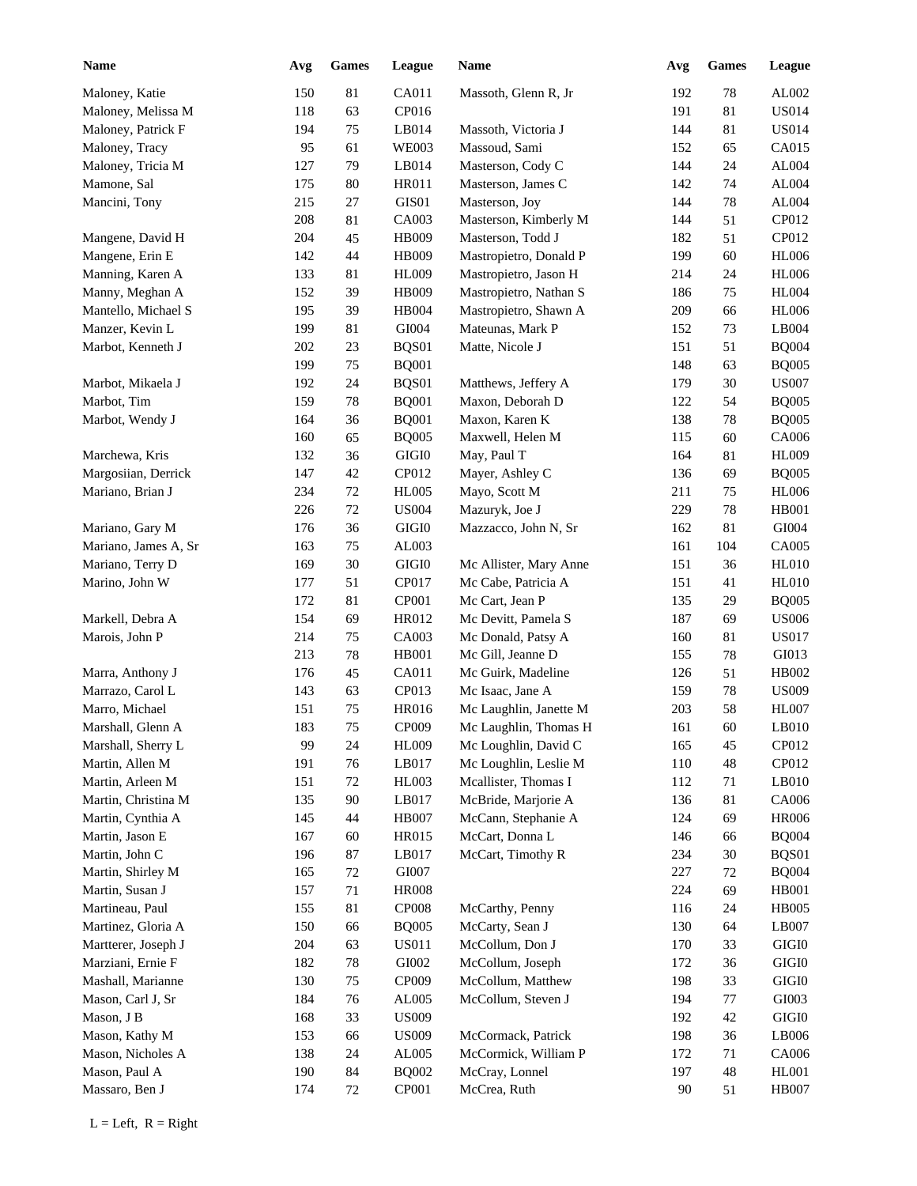| <b>Name</b>          | Avg | <b>Games</b> | League       | Name                   | Avg | <b>Games</b> | League        |
|----------------------|-----|--------------|--------------|------------------------|-----|--------------|---------------|
| Maloney, Katie       | 150 | 81           | CA011        | Massoth, Glenn R, Jr   | 192 | $78\,$       | AL002         |
| Maloney, Melissa M   | 118 | 63           | CP016        |                        | 191 | 81           | <b>US014</b>  |
| Maloney, Patrick F   | 194 | 75           | LB014        | Massoth, Victoria J    | 144 | 81           | <b>US014</b>  |
| Maloney, Tracy       | 95  | 61           | <b>WE003</b> | Massoud, Sami          | 152 | 65           | CA015         |
| Maloney, Tricia M    | 127 | 79           | LB014        | Masterson, Cody C      | 144 | 24           | AL004         |
| Mamone, Sal          | 175 | 80           | HR011        | Masterson, James C     | 142 | 74           | AL004         |
| Mancini, Tony        | 215 | 27           | GIS01        | Masterson, Joy         | 144 | 78           | AL004         |
|                      | 208 | 81           | CA003        | Masterson, Kimberly M  | 144 | 51           | CP012         |
| Mangene, David H     | 204 | 45           | HB009        | Masterson, Todd J      | 182 | 51           | CP012         |
| Mangene, Erin E      | 142 | 44           | HB009        | Mastropietro, Donald P | 199 | 60           | <b>HL006</b>  |
| Manning, Karen A     | 133 | 81           | <b>HL009</b> | Mastropietro, Jason H  | 214 | 24           | <b>HL006</b>  |
| Manny, Meghan A      | 152 | 39           | HB009        | Mastropietro, Nathan S | 186 | 75           | <b>HL004</b>  |
| Mantello, Michael S  | 195 | 39           | HB004        | Mastropietro, Shawn A  | 209 | 66           | <b>HL006</b>  |
| Manzer, Kevin L      | 199 | 81           | GI004        | Mateunas, Mark P       | 152 | 73           | LB004         |
| Marbot, Kenneth J    | 202 | 23           | BQS01        | Matte, Nicole J        | 151 | 51           | <b>BQ004</b>  |
|                      | 199 | 75           | <b>BQ001</b> |                        | 148 | 63           | <b>BQ005</b>  |
| Marbot, Mikaela J    | 192 | 24           | BQS01        | Matthews, Jeffery A    | 179 | 30           | <b>US007</b>  |
| Marbot, Tim          | 159 | 78           | <b>BQ001</b> | Maxon, Deborah D       | 122 | 54           | <b>BQ005</b>  |
| Marbot, Wendy J      | 164 | 36           | <b>BQ001</b> | Maxon, Karen K         | 138 | 78           | <b>BQ005</b>  |
|                      | 160 | 65           | <b>BQ005</b> | Maxwell, Helen M       | 115 | 60           | CA006         |
| Marchewa, Kris       | 132 | 36           | $\rm GIGI0$  | May, Paul T            | 164 | 81           | <b>HL009</b>  |
| Margosiian, Derrick  | 147 | 42           | CP012        | Mayer, Ashley C        | 136 | 69           | <b>BQ005</b>  |
| Mariano, Brian J     | 234 | 72           | HL005        | Mayo, Scott M          | 211 | 75           | <b>HL006</b>  |
|                      | 226 | 72           | <b>US004</b> | Mazuryk, Joe J         | 229 | 78           | <b>HB001</b>  |
| Mariano, Gary M      | 176 | 36           | $\rm GIGI0$  | Mazzacco, John N, Sr   | 162 | 81           | GI004         |
| Mariano, James A, Sr | 163 | 75           | AL003        |                        | 161 | 104          | CA005         |
| Mariano, Terry D     | 169 | 30           | $\rm GIGI0$  | Mc Allister, Mary Anne | 151 | 36           | <b>HL010</b>  |
| Marino, John W       | 177 | 51           | CP017        | Mc Cabe, Patricia A    | 151 | 41           | HL010         |
|                      | 172 | 81           | CP001        | Mc Cart, Jean P        | 135 | 29           | <b>BQ005</b>  |
| Markell, Debra A     | 154 | 69           | HR012        | Mc Devitt, Pamela S    | 187 | 69           | <b>US006</b>  |
| Marois, John P       | 214 | 75           | CA003        | Mc Donald, Patsy A     | 160 | 81           | <b>US017</b>  |
|                      | 213 | 78           | HB001        | Mc Gill, Jeanne D      | 155 | 78           | GI013         |
| Marra, Anthony J     | 176 | 45           | CA011        | Mc Guirk, Madeline     | 126 | 51           | HB002         |
| Marrazo, Carol L     | 143 | 63           | CP013        | Mc Isaac, Jane A       | 159 | 78           | <b>US009</b>  |
| Marro, Michael       | 151 | 75           | HR016        | Mc Laughlin, Janette M | 203 | 58           | <b>HL007</b>  |
| Marshall, Glenn A    | 183 | 75           | CP009        | Mc Laughlin, Thomas H  | 161 | 60           | LB010         |
| Marshall, Sherry L   | 99  | 24           | <b>HL009</b> | Mc Loughlin, David C   | 165 | 45           | CP012         |
| Martin, Allen M      | 191 | 76           | LB017        | Mc Loughlin, Leslie M  | 110 | 48           | CP012         |
| Martin, Arleen M     | 151 | 72           | HL003        | Mcallister, Thomas I   | 112 | 71           | $L$ B010      |
| Martin, Christina M  | 135 | 90           | LB017        | McBride, Marjorie A    | 136 | 81           | CA006         |
| Martin, Cynthia A    | 145 | 44           | HB007        | McCann, Stephanie A    | 124 | 69           | <b>HR006</b>  |
| Martin, Jason E      | 167 | 60           | HR015        | McCart, Donna L        | 146 | 66           | <b>BQ004</b>  |
| Martin, John C       | 196 | 87           | LB017        | McCart, Timothy R      | 234 | 30           | BQS01         |
| Martin, Shirley M    | 165 | 72           | GI007        |                        | 227 | 72           | <b>BQ004</b>  |
| Martin, Susan J      | 157 | 71           | <b>HR008</b> |                        | 224 | 69           | <b>HB001</b>  |
| Martineau, Paul      | 155 | 81           | <b>CP008</b> | McCarthy, Penny        | 116 | 24           | <b>HB005</b>  |
| Martinez, Gloria A   | 150 | 66           | <b>BQ005</b> | McCarty, Sean J        | 130 | 64           | LB007         |
| Martterer, Joseph J  | 204 | 63           | <b>US011</b> | McCollum, Don J        | 170 | 33           | GIGI0         |
| Marziani, Ernie F    | 182 | 78           | GI002        | McCollum, Joseph       | 172 | 36           | GIGI0         |
| Mashall, Marianne    | 130 | 75           | CP009        | McCollum, Matthew      | 198 | 33           | GIGI0         |
| Mason, Carl J, Sr    | 184 | 76           | AL005        | McCollum, Steven J     | 194 | $77\,$       | ${\rm G}1003$ |
| Mason, J B           | 168 | 33           | <b>US009</b> |                        | 192 | 42           | GIGI0         |
| Mason, Kathy M       | 153 | 66           | <b>US009</b> | McCormack, Patrick     | 198 | 36           | LB006         |
| Mason, Nicholes A    | 138 | 24           | AL005        | McCormick, William P   | 172 | 71           | CA006         |
| Mason, Paul A        | 190 | $\bf 84$     | <b>BQ002</b> | McCray, Lonnel         | 197 | 48           | HL001         |
| Massaro, Ben J       | 174 | 72           | CP001        | McCrea, Ruth           | 90  | 51           | <b>HB007</b>  |
|                      |     |              |              |                        |     |              |               |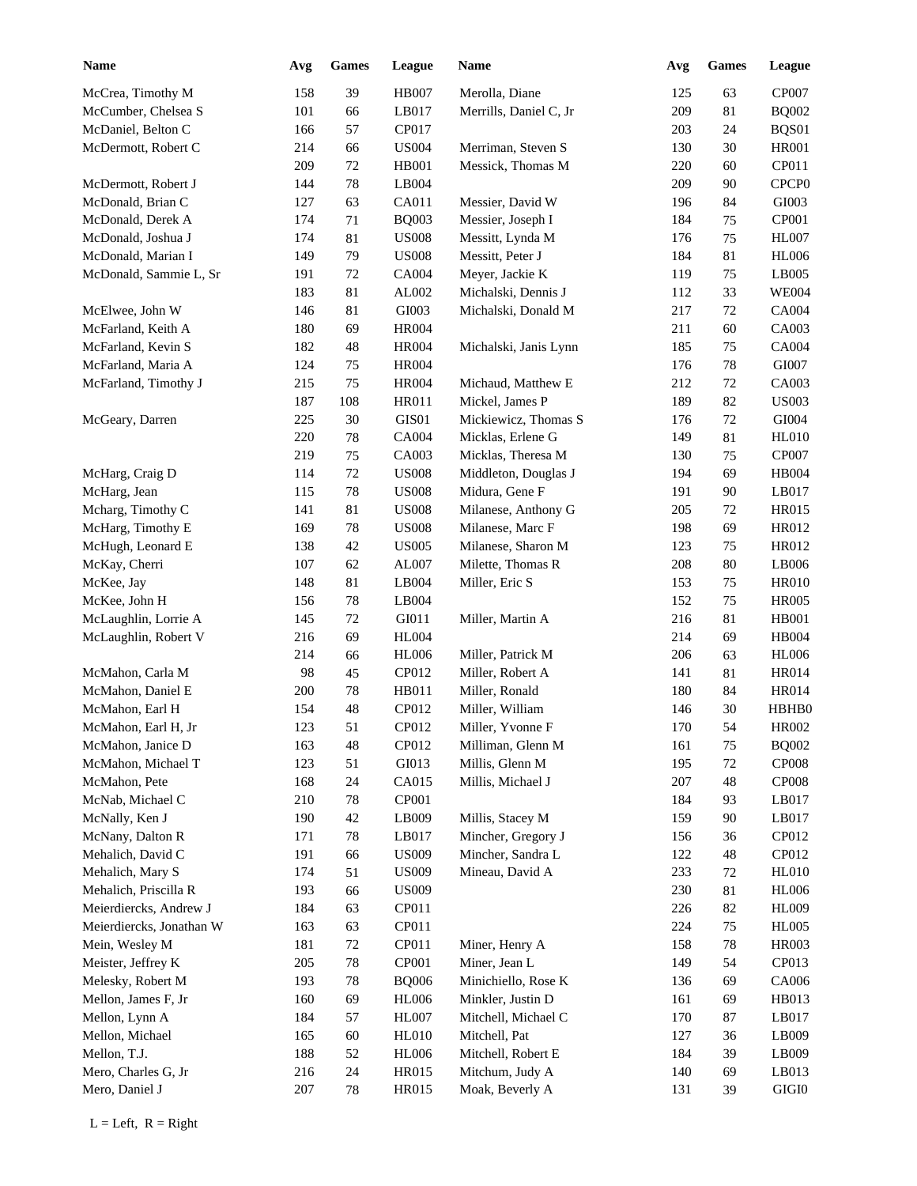| <b>Name</b>                             | Avg | <b>Games</b> | League       | Name                                 | Avg        | <b>Games</b> | League            |
|-----------------------------------------|-----|--------------|--------------|--------------------------------------|------------|--------------|-------------------|
| McCrea, Timothy M                       | 158 | 39           | <b>HB007</b> | Merolla, Diane                       | 125        | 63           | CP007             |
| McCumber, Chelsea S                     | 101 | 66           | LB017        | Merrills, Daniel C, Jr               | 209        | 81           | <b>BQ002</b>      |
| McDaniel, Belton C                      | 166 | 57           | CP017        |                                      | 203        | 24           | BQS01             |
| McDermott, Robert C                     | 214 | 66           | <b>US004</b> | Merriman, Steven S                   | 130        | 30           | <b>HR001</b>      |
|                                         | 209 | $72\,$       | <b>HB001</b> | Messick, Thomas M                    | 220        | 60           | CP011             |
| McDermott, Robert J                     | 144 | 78           | LB004        |                                      | 209        | 90           | CPCP <sub>0</sub> |
| McDonald, Brian C                       | 127 | 63           | CA011        | Messier, David W                     | 196        | 84           | GI003             |
| McDonald, Derek A                       | 174 | 71           | <b>BQ003</b> | Messier, Joseph I                    | 184        | 75           | CP001             |
| McDonald, Joshua J                      | 174 | 81           | <b>US008</b> | Messitt, Lynda M                     | 176        | 75           | <b>HL007</b>      |
| McDonald, Marian I                      | 149 | 79           | <b>US008</b> | Messitt, Peter J                     | 184        | 81           | <b>HL006</b>      |
| McDonald, Sammie L, Sr                  | 191 | $72\,$       | CA004        | Meyer, Jackie K                      | 119        | 75           | LB005             |
|                                         | 183 | 81           | AL002        | Michalski, Dennis J                  | 112        | 33           | <b>WE004</b>      |
| McElwee, John W                         | 146 | 81           | GI003        | Michalski, Donald M                  | 217        | 72           | CA004             |
| McFarland, Keith A                      | 180 | 69           | <b>HR004</b> |                                      | 211        | 60           | CA003             |
| McFarland, Kevin S                      | 182 | 48           | <b>HR004</b> | Michalski, Janis Lynn                | 185        | 75           | CA004             |
| McFarland, Maria A                      | 124 | 75           | <b>HR004</b> |                                      | 176        | 78           | GI007             |
| McFarland, Timothy J                    | 215 | 75           | <b>HR004</b> | Michaud, Matthew E                   | 212        | 72           | CA003             |
|                                         | 187 | 108          | HR011        | Mickel, James P                      | 189        | 82           | <b>US003</b>      |
| McGeary, Darren                         | 225 | 30           | GIS01        | Mickiewicz, Thomas S                 | 176        | 72           | GI004             |
|                                         | 220 | 78           | CA004        | Micklas, Erlene G                    | 149        | 81           | <b>HL010</b>      |
|                                         | 219 | 75           | CA003        | Micklas, Theresa M                   | 130        | 75           | CP007             |
| McHarg, Craig D                         | 114 | 72           | <b>US008</b> | Middleton, Douglas J                 | 194        | 69           | HB004             |
| McHarg, Jean                            | 115 | 78           | <b>US008</b> | Midura, Gene F                       | 191        | 90           | LB017             |
| Mcharg, Timothy C                       | 141 | 81           | <b>US008</b> | Milanese, Anthony G                  | 205        | 72           | HR015             |
| McHarg, Timothy E                       | 169 | 78           | <b>US008</b> | Milanese, Marc F                     | 198        | 69           | HR012             |
| McHugh, Leonard E                       | 138 | 42           | <b>US005</b> | Milanese, Sharon M                   | 123        | 75           | HR012             |
| McKay, Cherri                           | 107 | 62           | AL007        | Milette, Thomas R                    | 208        | 80           | LB006             |
| McKee, Jay                              | 148 | 81           | LB004        | Miller, Eric S                       | 153        | 75           | <b>HR010</b>      |
| McKee, John H                           | 156 | 78           | LB004        |                                      | 152        | 75           | <b>HR005</b>      |
| McLaughlin, Lorrie A                    | 145 | 72           | GI011        | Miller, Martin A                     | 216        | $81\,$       | <b>HB001</b>      |
| McLaughlin, Robert V                    | 216 | 69           | <b>HL004</b> |                                      | 214        | 69           | <b>HB004</b>      |
|                                         | 214 | 66           | <b>HL006</b> | Miller, Patrick M                    | 206        | 63           | <b>HL006</b>      |
| McMahon, Carla M                        | 98  | 45           | CP012        | Miller, Robert A                     | 141        | 81           | <b>HR014</b>      |
| McMahon, Daniel E                       | 200 | 78           | HB011        | Miller, Ronald                       | 180        | 84           | HR014             |
| McMahon, Earl H                         | 154 | 48           | CP012        | Miller, William                      | 146        | 30           | HBHB0             |
| McMahon, Earl H, Jr                     | 123 | 51           | CP012        | Miller, Yvonne F                     | 170        | 54           | HR002             |
|                                         | 163 | 48           | CP012        |                                      | 161        | 75           | <b>BQ002</b>      |
| McMahon, Janice D<br>McMahon, Michael T | 123 | 51           | GI013        | Milliman, Glenn M<br>Millis, Glenn M | 195        | 72           | <b>CP008</b>      |
|                                         | 168 |              | CA015        | Millis, Michael J                    | 207        | 48           | <b>CP008</b>      |
| McMahon, Pete<br>McNab, Michael C       | 210 | 24<br>78     | CP001        |                                      | 184        | 93           | LB017             |
| McNally, Ken J                          | 190 | 42           | LB009        | Millis, Stacey M                     | 159        | 90           | LB017             |
| McNany, Dalton R                        | 171 | 78           | LB017        | Mincher, Gregory J                   |            |              | CP012             |
| Mehalich, David C                       | 191 | 66           | <b>US009</b> | Mincher, Sandra L                    | 156<br>122 | 36<br>48     | CP012             |
| Mehalich, Mary S                        | 174 | 51           | <b>US009</b> | Mineau, David A                      | 233        | 72           | <b>HL010</b>      |
| Mehalich, Priscilla R                   | 193 |              | <b>US009</b> |                                      | 230        | 81           | <b>HL006</b>      |
|                                         |     | 66           |              |                                      |            |              | <b>HL009</b>      |
| Meierdiercks, Andrew J                  | 184 | 63           | CP011        |                                      | 226        | 82           |                   |
| Meierdiercks, Jonathan W                | 163 | 63           | CP011        |                                      | 224        | 75           | <b>HL005</b>      |
| Mein, Wesley M                          | 181 | $72\,$       | CP011        | Miner, Henry A                       | 158        | 78           | HR003             |
| Meister, Jeffrey K                      | 205 | 78           | CP001        | Miner, Jean L                        | 149        | 54           | CP013             |
| Melesky, Robert M                       | 193 | 78           | <b>BQ006</b> | Minichiello, Rose K                  | 136        | 69           | CA006             |
| Mellon, James F, Jr                     | 160 | 69           | <b>HL006</b> | Minkler, Justin D                    | 161        | 69           | HB013             |
| Mellon, Lynn A                          | 184 | 57           | HL007        | Mitchell, Michael C                  | 170        | 87           | LB017             |
| Mellon, Michael                         | 165 | 60           | <b>HL010</b> | Mitchell, Pat                        | 127        | 36           | LB009             |
| Mellon, T.J.                            | 188 | 52           | <b>HL006</b> | Mitchell, Robert E                   | 184        | 39           | LB009             |
| Mero, Charles G, Jr                     | 216 | 24           | HR015        | Mitchum, Judy A                      | 140        | 69           | LB013             |
| Mero, Daniel J                          | 207 | $78\,$       | HR015        | Moak, Beverly A                      | 131        | 39           | $\rm GIGI0$       |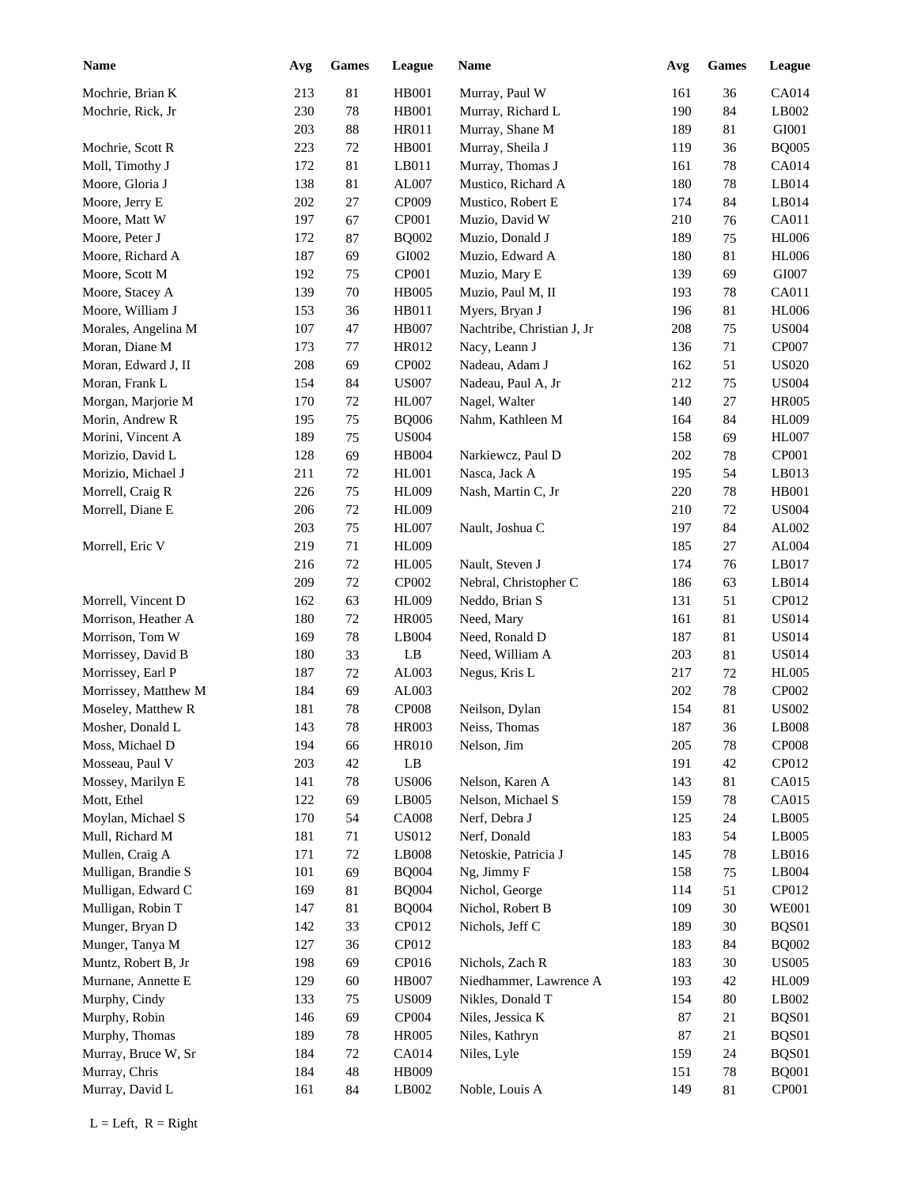| Name                 | Avg | Games    | League                 | Name                       | Avg | <b>Games</b> | League       |
|----------------------|-----|----------|------------------------|----------------------------|-----|--------------|--------------|
| Mochrie, Brian K     | 213 | 81       | <b>HB001</b>           | Murray, Paul W             | 161 | 36           | CA014        |
| Mochrie, Rick, Jr    | 230 | 78       | <b>HB001</b>           | Murray, Richard L          | 190 | 84           | LB002        |
|                      | 203 | 88       | HR011                  | Murray, Shane M            | 189 | 81           | GI001        |
| Mochrie, Scott R     | 223 | $72\,$   | <b>HB001</b>           | Murray, Sheila J           | 119 | 36           | <b>BQ005</b> |
| Moll, Timothy J      | 172 | 81       | LB011                  | Murray, Thomas J           | 161 | 78           | CA014        |
| Moore, Gloria J      | 138 | 81       | AL007                  | Mustico, Richard A         | 180 | 78           | LB014        |
| Moore, Jerry E       | 202 | 27       | CP009                  | Mustico, Robert E          | 174 | 84           | LB014        |
| Moore, Matt W        | 197 | 67       | CP001                  | Muzio, David W             | 210 | 76           | CA011        |
| Moore, Peter J       | 172 | 87       | <b>BQ002</b>           | Muzio, Donald J            | 189 | 75           | <b>HL006</b> |
| Moore, Richard A     | 187 | 69       | GI002                  | Muzio, Edward A            | 180 | 81           | <b>HL006</b> |
| Moore, Scott M       | 192 | 75       | CP001                  | Muzio, Mary E              | 139 | 69           | GI007        |
| Moore, Stacey A      | 139 | 70       | <b>HB005</b>           | Muzio, Paul M, II          | 193 | 78           | CA011        |
| Moore, William J     | 153 | 36       | HB011                  | Myers, Bryan J             | 196 | 81           | <b>HL006</b> |
| Morales, Angelina M  | 107 | 47       | <b>HB007</b>           | Nachtribe, Christian J, Jr | 208 | 75           | <b>US004</b> |
| Moran, Diane M       | 173 | 77       | HR012                  | Nacy, Leann J              | 136 | 71           | CP007        |
| Moran, Edward J, II  | 208 | 69       | CP002                  | Nadeau, Adam J             | 162 | 51           | <b>US020</b> |
| Moran, Frank L       | 154 | 84       | <b>US007</b>           | Nadeau, Paul A, Jr         | 212 | 75           | <b>US004</b> |
| Morgan, Marjorie M   | 170 | 72       | <b>HL007</b>           | Nagel, Walter              | 140 | 27           | <b>HR005</b> |
| Morin, Andrew R      | 195 | 75       | <b>BQ006</b>           | Nahm, Kathleen M           | 164 | 84           | <b>HL009</b> |
| Morini, Vincent A    | 189 | 75       | <b>US004</b>           |                            | 158 | 69           | <b>HL007</b> |
| Morizio, David L     | 128 | 69       | <b>HB004</b>           | Narkiewcz, Paul D          | 202 | 78           | CP001        |
| Morizio, Michael J   | 211 | 72       | <b>HL001</b>           | Nasca, Jack A              | 195 | 54           | LB013        |
| Morrell, Craig R     | 226 | 75       | <b>HL009</b>           | Nash, Martin C, Jr         | 220 | 78           | <b>HB001</b> |
| Morrell, Diane E     | 206 | $72\,$   | <b>HL009</b>           |                            | 210 | 72           | <b>US004</b> |
|                      | 203 | 75       | <b>HL007</b>           | Nault, Joshua C            | 197 | 84           | AL002        |
| Morrell, Eric V      | 219 | $71\,$   | <b>HL009</b>           |                            | 185 | 27           | AL004        |
|                      | 216 | 72       | <b>HL005</b>           | Nault, Steven J            | 174 | 76           | LB017        |
|                      | 209 | 72       | CP002                  | Nebral, Christopher C      | 186 | 63           | LB014        |
| Morrell, Vincent D   | 162 | 63       | <b>HL009</b>           | Neddo, Brian S             | 131 | 51           | CP012        |
| Morrison, Heather A  | 180 | 72       | <b>HR005</b>           | Need, Mary                 | 161 | $81\,$       | <b>US014</b> |
| Morrison, Tom W      | 169 | 78       | LB004                  | Need, Ronald D             | 187 | 81           | <b>US014</b> |
| Morrissey, David B   | 180 | 33       | LB                     | Need, William A            | 203 | 81           | <b>US014</b> |
| Morrissey, Earl P    | 187 | 72       | AL003                  | Negus, Kris L              | 217 | 72           | <b>HL005</b> |
| Morrissey, Matthew M | 184 | 69       | AL003                  |                            | 202 | $78\,$       | CP002        |
| Moseley, Matthew R   | 181 | 78       | <b>CP008</b>           | Neilson, Dylan             | 154 | 81           | <b>US002</b> |
| Mosher, Donald L     | 143 | $78\,$   | <b>HR003</b>           | Neiss, Thomas              | 187 | 36           | LB008        |
| Moss, Michael D      | 194 | 66       | <b>HR010</b>           | Nelson, Jim                | 205 | 78           | CP008        |
| Mosseau, Paul V      | 203 | 42       | $\mathbf{L}\mathbf{B}$ |                            | 191 | 42           | CP012        |
| Mossey, Marilyn E    | 141 | 78       | <b>US006</b>           | Nelson, Karen A            | 143 | 81           | CA015        |
| Mott, Ethel          | 122 |          | LB005                  | Nelson, Michael S          |     |              | CA015        |
| Moylan, Michael S    |     | 69<br>54 |                        | Nerf, Debra J              | 159 | 78           | LB005        |
| Mull, Richard M      | 170 |          | <b>CA008</b>           | Nerf, Donald               | 125 | 24           | LB005        |
|                      | 181 | 71       | <b>US012</b>           |                            | 183 | 54           | LB016        |
| Mullen, Craig A      | 171 | 72       | LB008                  | Netoskie, Patricia J       | 145 | 78           | LB004        |
| Mulligan, Brandie S  | 101 | 69       | <b>BQ004</b>           | Ng, Jimmy F                | 158 | 75           |              |
| Mulligan, Edward C   | 169 | $81\,$   | <b>BQ004</b>           | Nichol, George             | 114 | 51           | CP012        |
| Mulligan, Robin T    | 147 | 81       | <b>BQ004</b>           | Nichol, Robert B           | 109 | $30\,$       | <b>WE001</b> |
| Munger, Bryan D      | 142 | 33       | CP012                  | Nichols, Jeff C            | 189 | $30\,$       | BQS01        |
| Munger, Tanya M      | 127 | 36       | CP012                  |                            | 183 | 84           | <b>BQ002</b> |
| Muntz, Robert B, Jr  | 198 | 69       | CP016                  | Nichols, Zach R            | 183 | $30\,$       | <b>US005</b> |
| Murnane, Annette E   | 129 | 60       | <b>HB007</b>           | Niedhammer, Lawrence A     | 193 | 42           | <b>HL009</b> |
| Murphy, Cindy        | 133 | 75       | <b>US009</b>           | Nikles, Donald T           | 154 | $80\,$       | LB002        |
| Murphy, Robin        | 146 | 69       | CP004                  | Niles, Jessica K           | 87  | 21           | BQS01        |
| Murphy, Thomas       | 189 | 78       | <b>HR005</b>           | Niles, Kathryn             | 87  | 21           | BQS01        |
| Murray, Bruce W, Sr  | 184 | $72\,$   | CA014                  | Niles, Lyle                | 159 | 24           | BQS01        |
| Murray, Chris        | 184 | $48\,$   | HB009                  |                            | 151 | 78           | <b>BQ001</b> |
| Murray, David L      | 161 | 84       | LB002                  | Noble, Louis A             | 149 | 81           | CP001        |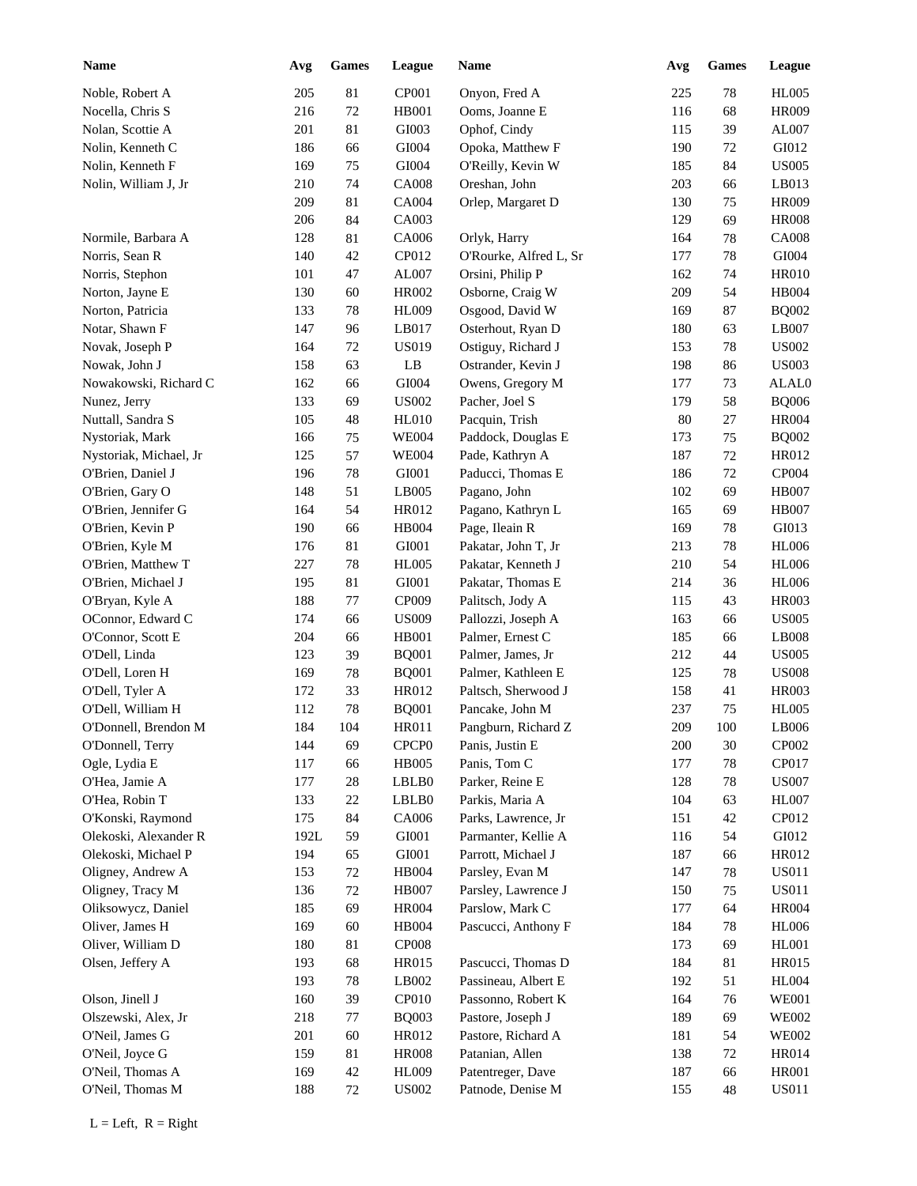| <b>Name</b>            | Avg  | <b>Games</b> | League                | Name                               | Avg | <b>Games</b> | League         |
|------------------------|------|--------------|-----------------------|------------------------------------|-----|--------------|----------------|
| Noble, Robert A        | 205  | 81           | CP001                 | Onyon, Fred A                      | 225 | 78           | <b>HL005</b>   |
| Nocella, Chris S       | 216  | $72\,$       | HB001                 | Ooms, Joanne E                     | 116 | 68           | <b>HR009</b>   |
| Nolan, Scottie A       | 201  | 81           | GI003                 | Ophof, Cindy                       | 115 | 39           | AL007          |
| Nolin, Kenneth C       | 186  | 66           | GI004                 | Opoka, Matthew F                   | 190 | 72           | GI012          |
| Nolin, Kenneth F       | 169  | 75           | GI004                 | O'Reilly, Kevin W                  | 185 | 84           | <b>US005</b>   |
| Nolin, William J, Jr   | 210  | 74           | <b>CA008</b>          | Oreshan, John                      | 203 | 66           | LB013          |
|                        | 209  | 81           | CA004                 | Orlep, Margaret D                  | 130 | 75           | <b>HR009</b>   |
|                        | 206  | 84           | CA003                 |                                    | 129 | 69           | <b>HR008</b>   |
| Normile, Barbara A     | 128  | 81           | CA006                 | Orlyk, Harry                       | 164 | 78           | <b>CA008</b>   |
| Norris, Sean R         | 140  | 42           | CP012                 | O'Rourke, Alfred L, Sr             | 177 | $78\,$       | GI004          |
| Norris, Stephon        | 101  | 47           | AL007                 | Orsini, Philip P                   | 162 | 74           | <b>HR010</b>   |
| Norton, Jayne E        | 130  | 60           | HR002                 | Osborne, Craig W                   | 209 | 54           | <b>HB004</b>   |
| Norton, Patricia       | 133  | 78           | <b>HL009</b>          | Osgood, David W                    | 169 | 87           | <b>BQ002</b>   |
| Notar, Shawn F         | 147  | 96           | LB017                 | Osterhout, Ryan D                  | 180 | 63           | LB007          |
| Novak, Joseph P        | 164  | 72           | <b>US019</b>          | Ostiguy, Richard J                 | 153 | 78           | <b>US002</b>   |
| Nowak, John J          | 158  | 63           | $\rm LB$              | Ostrander, Kevin J                 | 198 | 86           | <b>US003</b>   |
| Nowakowski, Richard C  | 162  | 66           | GI004                 | Owens, Gregory M                   | 177 | 73           | ALAL0          |
| Nunez, Jerry           | 133  | 69           | <b>US002</b>          | Pacher, Joel S                     | 179 | 58           | <b>BQ006</b>   |
| Nuttall, Sandra S      | 105  | 48           | <b>HL010</b>          | Pacquin, Trish                     | 80  | 27           | <b>HR004</b>   |
| Nystoriak, Mark        | 166  | 75           | <b>WE004</b>          | Paddock, Douglas E                 | 173 | 75           | <b>BQ002</b>   |
| Nystoriak, Michael, Jr | 125  | 57           | <b>WE004</b>          | Pade, Kathryn A                    | 187 | 72           | HR012          |
| O'Brien, Daniel J      | 196  | 78           | GI001                 | Paducci, Thomas E                  | 186 | 72           | CP004          |
| O'Brien, Gary O        | 148  | 51           | LB005                 | Pagano, John                       | 102 | 69           | <b>HB007</b>   |
| O'Brien, Jennifer G    | 164  | 54           | HR012                 | Pagano, Kathryn L                  | 165 | 69           | <b>HB007</b>   |
| O'Brien, Kevin P       | 190  | 66           | HB004                 | Page, Ileain R                     | 169 | $78\,$       | GI013          |
| O'Brien, Kyle M        | 176  | 81           | GI001                 | Pakatar, John T, Jr                | 213 | 78           | <b>HL006</b>   |
| O'Brien, Matthew T     | 227  | 78           | <b>HL005</b>          | Pakatar, Kenneth J                 | 210 | 54           | <b>HL006</b>   |
| O'Brien, Michael J     | 195  | 81           | GI001                 | Pakatar, Thomas E                  | 214 | 36           | <b>HL006</b>   |
| O'Bryan, Kyle A        | 188  | 77           | CP009                 | Palitsch, Jody A                   | 115 | 43           | <b>HR003</b>   |
| OConnor, Edward C      | 174  | 66           | <b>US009</b>          | Pallozzi, Joseph A                 | 163 | 66           | <b>US005</b>   |
| O'Connor, Scott E      | 204  | 66           | HB001                 | Palmer, Ernest C                   | 185 | 66           | LB008          |
| O'Dell, Linda          | 123  | 39           | <b>BQ001</b>          | Palmer, James, Jr                  | 212 | 44           | <b>US005</b>   |
| O'Dell, Loren H        | 169  | 78           | <b>BQ001</b>          | Palmer, Kathleen E                 | 125 | 78           | <b>US008</b>   |
| O'Dell, Tyler A        | 172  | 33           | HR012                 | Paltsch, Sherwood J                | 158 | 41           | <b>HR003</b>   |
| O'Dell, William H      | 112  | 78           |                       | Pancake, John M                    | 237 | 75           | <b>HL005</b>   |
| O'Donnell, Brendon M   | 184  | 104          | <b>BQ001</b><br>HR011 | Pangburn, Richard Z                | 209 | 100          | LB006          |
|                        |      |              |                       |                                    |     |              |                |
| O'Donnell, Terry       | 144  | 69           | CPCP <sub>0</sub>     | Panis, Justin E                    | 200 | $30\,$       | CP002<br>CP017 |
| Ogle, Lydia E          | 117  | 66           | <b>HB005</b>          | Panis, Tom C                       | 177 | 78           |                |
| O'Hea, Jamie A         | 177  | $28\,$       | LBLB0                 | Parker, Reine E<br>Parkis, Maria A | 128 | $78\,$       | <b>US007</b>   |
| O'Hea, Robin T         | 133  | 22           | LBLB0                 |                                    | 104 | 63           | HL007<br>CP012 |
| O'Konski, Raymond      | 175  | 84           | CA006                 | Parks, Lawrence, Jr                | 151 | 42           |                |
| Olekoski, Alexander R  | 192L | 59           | GI001                 | Parmanter, Kellie A                | 116 | 54           | GI012          |
| Olekoski, Michael P    | 194  | 65           | GI001                 | Parrott, Michael J                 | 187 | 66           | HR012          |
| Oligney, Andrew A      | 153  | 72           | HB004                 | Parsley, Evan M                    | 147 | 78           | <b>US011</b>   |
| Oligney, Tracy M       | 136  | 72           | <b>HB007</b>          | Parsley, Lawrence J                | 150 | 75           | <b>US011</b>   |
| Oliksowycz, Daniel     | 185  | 69           | <b>HR004</b>          | Parslow, Mark C                    | 177 | 64           | <b>HR004</b>   |
| Oliver, James H        | 169  | 60           | HB004                 | Pascucci, Anthony F                | 184 | 78           | <b>HL006</b>   |
| Oliver, William D      | 180  | 81           | <b>CP008</b>          |                                    | 173 | 69           | HL001          |
| Olsen, Jeffery A       | 193  | 68           | HR015                 | Pascucci, Thomas D                 | 184 | 81           | HR015          |
|                        | 193  | $78\,$       | LB002                 | Passineau, Albert E                | 192 | 51           | <b>HL004</b>   |
| Olson, Jinell J        | 160  | 39           | CP010                 | Passonno, Robert K                 | 164 | 76           | <b>WE001</b>   |
| Olszewski, Alex, Jr    | 218  | 77           | <b>BQ003</b>          | Pastore, Joseph J                  | 189 | 69           | <b>WE002</b>   |
| O'Neil, James G        | 201  | 60           | HR012                 | Pastore, Richard A                 | 181 | 54           | <b>WE002</b>   |
| O'Neil, Joyce G        | 159  | 81           | <b>HR008</b>          | Patanian, Allen                    | 138 | $72\,$       | <b>HR014</b>   |
| O'Neil, Thomas A       | 169  | 42           | <b>HL009</b>          | Patentreger, Dave                  | 187 | 66           | <b>HR001</b>   |
| O'Neil, Thomas M       | 188  | 72           | <b>US002</b>          | Patnode, Denise M                  | 155 | 48           | <b>US011</b>   |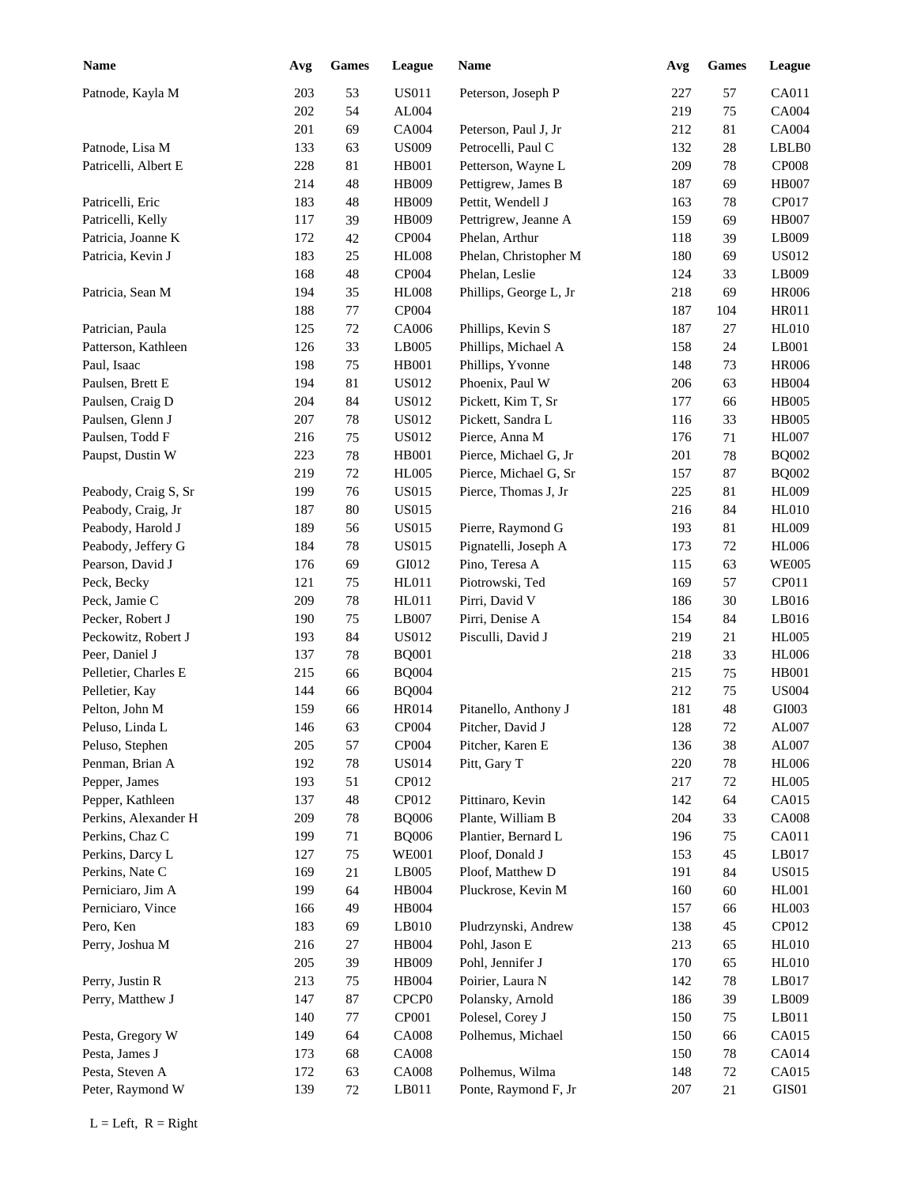| <b>Name</b>          | Avg | <b>Games</b> | League            | Name                   | Avg | <b>Games</b> | League       |
|----------------------|-----|--------------|-------------------|------------------------|-----|--------------|--------------|
| Patnode, Kayla M     | 203 | 53           | <b>US011</b>      | Peterson, Joseph P     | 227 | 57           | CA011        |
|                      | 202 | 54           | AL004             |                        | 219 | 75           | CA004        |
|                      | 201 | 69           | CA004             | Peterson, Paul J, Jr   | 212 | 81           | CA004        |
| Patnode, Lisa M      | 133 | 63           | <b>US009</b>      | Petrocelli, Paul C     | 132 | 28           | LBLB0        |
| Patricelli, Albert E | 228 | 81           | HB001             | Petterson, Wayne L     | 209 | 78           | <b>CP008</b> |
|                      | 214 | 48           | HB009             | Pettigrew, James B     | 187 | 69           | <b>HB007</b> |
| Patricelli, Eric     | 183 | $\sqrt{48}$  | HB009             | Pettit, Wendell J      | 163 | 78           | CP017        |
| Patricelli, Kelly    | 117 | 39           | HB009             | Pettrigrew, Jeanne A   | 159 | 69           | <b>HB007</b> |
| Patricia, Joanne K   | 172 | 42           | CP004             | Phelan, Arthur         | 118 | 39           | LB009        |
| Patricia, Kevin J    | 183 | 25           | <b>HL008</b>      | Phelan, Christopher M  | 180 | 69           | <b>US012</b> |
|                      | 168 | 48           | CP004             | Phelan, Leslie         | 124 | 33           | LB009        |
| Patricia, Sean M     | 194 | 35           | <b>HL008</b>      | Phillips, George L, Jr | 218 | 69           | <b>HR006</b> |
|                      | 188 | $77 \,$      | CP004             |                        | 187 | 104          | <b>HR011</b> |
| Patrician, Paula     | 125 | $72\,$       | CA006             | Phillips, Kevin S      | 187 | 27           | <b>HL010</b> |
| Patterson, Kathleen  | 126 | 33           | LB005             | Phillips, Michael A    | 158 | 24           | LB001        |
| Paul, Isaac          | 198 | 75           | HB001             | Phillips, Yvonne       | 148 | 73           | <b>HR006</b> |
| Paulsen, Brett E     | 194 | 81           | <b>US012</b>      | Phoenix, Paul W        | 206 | 63           | HB004        |
| Paulsen, Craig D     | 204 | 84           | <b>US012</b>      | Pickett, Kim T, Sr     | 177 | 66           | <b>HB005</b> |
| Paulsen, Glenn J     | 207 | 78           | <b>US012</b>      | Pickett, Sandra L      | 116 | 33           | <b>HB005</b> |
| Paulsen, Todd F      | 216 | 75           | <b>US012</b>      | Pierce, Anna M         | 176 | 71           | <b>HL007</b> |
| Paupst, Dustin W     | 223 | 78           | HB001             | Pierce, Michael G, Jr  | 201 | 78           | <b>BQ002</b> |
|                      | 219 | 72           | <b>HL005</b>      | Pierce, Michael G, Sr  | 157 | 87           | $\rm BQ002$  |
| Peabody, Craig S, Sr | 199 | 76           | <b>US015</b>      | Pierce, Thomas J, Jr   | 225 | 81           | <b>HL009</b> |
| Peabody, Craig, Jr   | 187 | 80           | <b>US015</b>      |                        | 216 | 84           | <b>HL010</b> |
| Peabody, Harold J    | 189 | 56           | <b>US015</b>      | Pierre, Raymond G      | 193 | 81           | <b>HL009</b> |
| Peabody, Jeffery G   | 184 | 78           | <b>US015</b>      | Pignatelli, Joseph A   | 173 | 72           | <b>HL006</b> |
| Pearson, David J     | 176 | 69           | GI012             | Pino, Teresa A         | 115 | 63           | <b>WE005</b> |
| Peck, Becky          | 121 | 75           | HL011             | Piotrowski, Ted        | 169 | 57           | CP011        |
| Peck, Jamie C        | 209 | 78           | HL011             | Pirri, David V         | 186 | 30           | LB016        |
| Pecker, Robert J     | 190 | 75           | LB007             | Pirri, Denise A        | 154 | 84           | LB016        |
| Peckowitz, Robert J  | 193 | 84           | US012             | Pisculli, David J      | 219 | 21           | <b>HL005</b> |
| Peer, Daniel J       | 137 | 78           | <b>BQ001</b>      |                        | 218 | 33           | <b>HL006</b> |
| Pelletier, Charles E | 215 | 66           | <b>BQ004</b>      |                        | 215 | 75           | <b>HB001</b> |
| Pelletier, Kay       | 144 | 66           | <b>BQ004</b>      |                        | 212 | 75           | <b>US004</b> |
| Pelton, John M       | 159 | 66           | HR014             | Pitanello, Anthony J   | 181 | 48           | GI003        |
| Peluso, Linda L      | 146 | 63           | CP004             | Pitcher, David J       | 128 | $72\,$       | AL007        |
| Peluso, Stephen      | 205 | 57           | CP004             | Pitcher, Karen E       | 136 | 38           | AL007        |
| Penman, Brian A      | 192 | $78\,$       | <b>US014</b>      | Pitt, Gary T           | 220 | $78\,$       | <b>HL006</b> |
| Pepper, James        | 193 | 51           | CP012             |                        | 217 | 72           | <b>HL005</b> |
| Pepper, Kathleen     | 137 | 48           | CP012             | Pittinaro, Kevin       | 142 | 64           | CA015        |
| Perkins, Alexander H | 209 | 78           | <b>BQ006</b>      | Plante, William B      | 204 | 33           | <b>CA008</b> |
| Perkins, Chaz C      | 199 | 71           | <b>BQ006</b>      | Plantier, Bernard L    | 196 | 75           | CA011        |
| Perkins, Darcy L     | 127 | 75           | <b>WE001</b>      | Ploof, Donald J        | 153 | 45           | LB017        |
| Perkins, Nate C      | 169 | 21           | LB005             | Ploof, Matthew D       | 191 | 84           | <b>US015</b> |
| Perniciaro, Jim A    | 199 | 64           | HB004             | Pluckrose, Kevin M     | 160 | 60           | <b>HL001</b> |
| Perniciaro, Vince    | 166 | 49           | HB004             |                        | 157 | 66           | HL003        |
| Pero, Ken            | 183 | 69           | $L$ B010          | Pludrzynski, Andrew    | 138 | 45           | CP012        |
| Perry, Joshua M      | 216 | 27           | HB004             | Pohl, Jason E          | 213 | 65           | <b>HL010</b> |
|                      | 205 | 39           | HB009             | Pohl, Jennifer J       | 170 | 65           | <b>HL010</b> |
| Perry, Justin R      | 213 | 75           | HB004             | Poirier, Laura N       | 142 | 78           | LB017        |
| Perry, Matthew J     | 147 | 87           | CPCP <sub>0</sub> | Polansky, Arnold       | 186 | 39           | LB009        |
|                      |     |              |                   |                        |     |              | LB011        |
|                      | 140 | $77 \,$      | CP001             | Polesel, Corey J       | 150 | 75           | CA015        |
| Pesta, Gregory W     | 149 | 64           | <b>CA008</b>      | Polhemus, Michael      | 150 | 66           |              |
| Pesta, James J       | 173 | 68           | <b>CA008</b>      |                        | 150 | 78           | CA014        |
| Pesta, Steven A      | 172 | 63           | <b>CA008</b>      | Polhemus, Wilma        | 148 | $72\,$       | CA015        |
| Peter, Raymond W     | 139 | 72           | LB011             | Ponte, Raymond F, Jr   | 207 | 21           | GIS01        |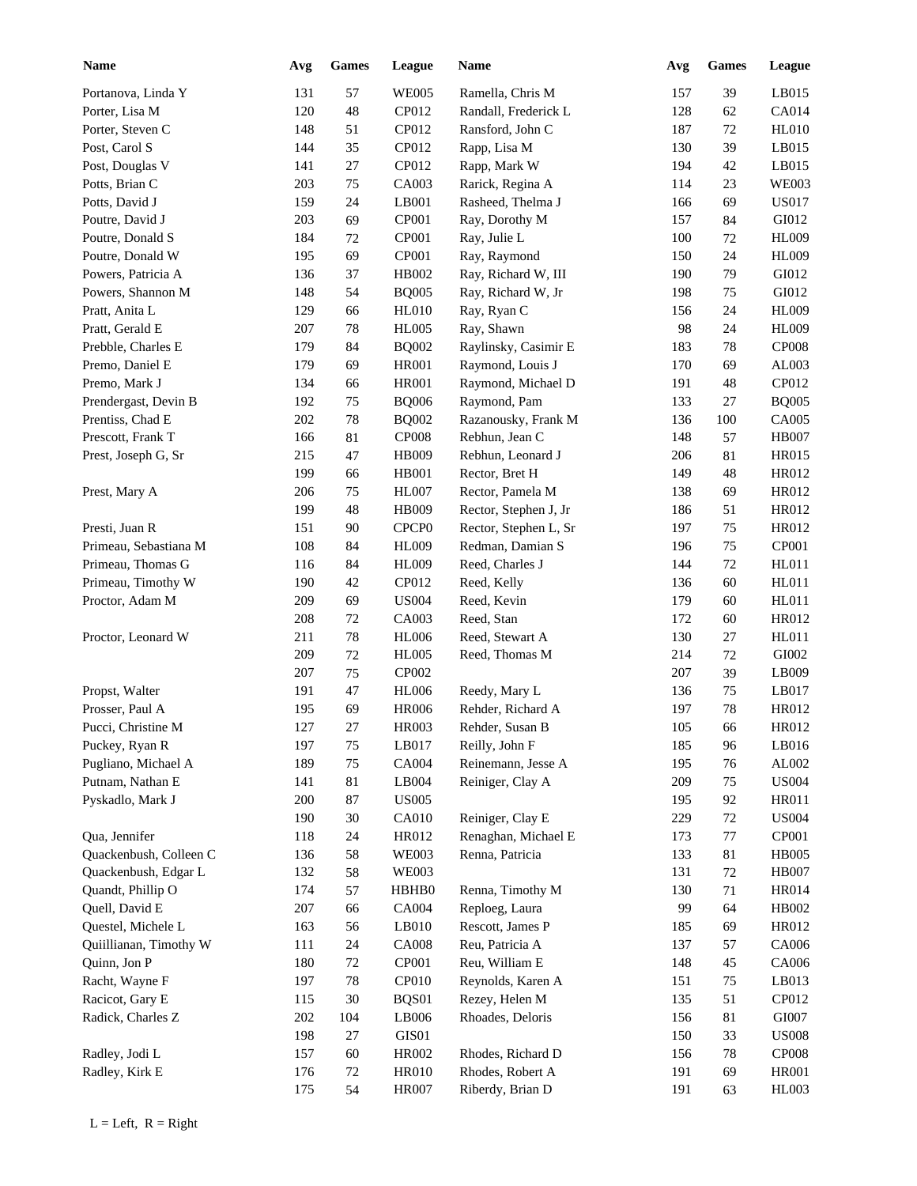| <b>Name</b>                             | Avg | <b>Games</b> | League            | Name                                 | Avg | Games  | <b>League</b> |
|-----------------------------------------|-----|--------------|-------------------|--------------------------------------|-----|--------|---------------|
| Portanova, Linda Y                      | 131 | 57           | <b>WE005</b>      | Ramella, Chris M                     | 157 | 39     | LB015         |
| Porter, Lisa M                          | 120 | 48           | CP012             | Randall, Frederick L                 | 128 | 62     | CA014         |
| Porter, Steven C                        | 148 | 51           | CP012             | Ransford, John C                     | 187 | 72     | <b>HL010</b>  |
| Post, Carol S                           | 144 | 35           | CP012             | Rapp, Lisa M                         | 130 | 39     | LB015         |
| Post, Douglas V                         | 141 | 27           | CP012             | Rapp, Mark W                         | 194 | 42     | LB015         |
| Potts, Brian C                          | 203 | 75           | CA003             | Rarick, Regina A                     | 114 | 23     | <b>WE003</b>  |
| Potts, David J                          | 159 | 24           | LB001             | Rasheed, Thelma J                    | 166 | 69     | <b>US017</b>  |
| Poutre, David J                         | 203 | 69           | CP001             | Ray, Dorothy M                       | 157 | 84     | GI012         |
| Poutre, Donald S                        | 184 | 72           | CP001             | Ray, Julie L                         | 100 | 72     | <b>HL009</b>  |
| Poutre, Donald W                        | 195 | 69           | CP001             | Ray, Raymond                         | 150 | 24     | <b>HL009</b>  |
| Powers, Patricia A                      | 136 | 37           | HB002             | Ray, Richard W, III                  | 190 | 79     | GI012         |
| Powers, Shannon M                       | 148 | 54           | <b>BQ005</b>      | Ray, Richard W, Jr                   | 198 | 75     | GI012         |
| Pratt, Anita L                          | 129 | 66           | <b>HL010</b>      | Ray, Ryan C                          | 156 | 24     | <b>HL009</b>  |
| Pratt, Gerald E                         | 207 | 78           | <b>HL005</b>      | Ray, Shawn                           | 98  | 24     | <b>HL009</b>  |
| Prebble, Charles E                      | 179 | 84           | <b>BQ002</b>      | Raylinsky, Casimir E                 | 183 | 78     | <b>CP008</b>  |
| Premo, Daniel E                         | 179 | 69           | <b>HR001</b>      | Raymond, Louis J                     | 170 | 69     | AL003         |
| Premo, Mark J                           | 134 | 66           | <b>HR001</b>      | Raymond, Michael D                   | 191 | 48     | CP012         |
| Prendergast, Devin B                    | 192 | 75           | <b>BQ006</b>      | Raymond, Pam                         | 133 | 27     | <b>BQ005</b>  |
| Prentiss, Chad E                        | 202 | 78           | <b>BQ002</b>      | Razanousky, Frank M                  | 136 | 100    | <b>CA005</b>  |
| Prescott, Frank T                       | 166 | 81           | <b>CP008</b>      | Rebhun, Jean C                       | 148 | 57     | <b>HB007</b>  |
| Prest, Joseph G, Sr                     | 215 | 47           | HB009             | Rebhun, Leonard J                    | 206 | 81     | <b>HR015</b>  |
|                                         | 199 | 66           | <b>HB001</b>      | Rector, Bret H                       | 149 | 48     | HR012         |
| Prest, Mary A                           | 206 | 75           | <b>HL007</b>      | Rector, Pamela M                     | 138 | 69     | HR012         |
|                                         | 199 | 48           | HB009             | Rector, Stephen J, Jr                | 186 | 51     | HR012         |
| Presti, Juan R                          | 151 | 90           | CPCP <sub>0</sub> | Rector, Stephen L, Sr                | 197 | 75     | HR012         |
| Primeau, Sebastiana M                   | 108 | 84           | <b>HL009</b>      | Redman, Damian S                     | 196 | 75     | CP001         |
| Primeau, Thomas G                       | 116 | 84           | <b>HL009</b>      | Reed, Charles J                      | 144 | 72     | HL011         |
| Primeau, Timothy W                      | 190 | 42           | CP012             | Reed, Kelly                          | 136 | 60     | HL011         |
| Proctor, Adam M                         | 209 | 69           | <b>US004</b>      | Reed, Kevin                          | 179 | 60     | HL011         |
|                                         | 208 | $72\,$       | CA003             | Reed, Stan                           | 172 | 60     | HR012         |
| Proctor, Leonard W                      | 211 | 78           | <b>HL006</b>      | Reed, Stewart A                      | 130 | 27     | HL011         |
|                                         | 209 | $72\,$       | <b>HL005</b>      | Reed, Thomas M                       | 214 | 72     | GI002         |
|                                         | 207 | 75           | CP002             |                                      | 207 | 39     | LB009         |
| Propst, Walter                          | 191 | 47           | <b>HL006</b>      |                                      | 136 | 75     | LB017         |
| Prosser, Paul A                         | 195 | 69           | <b>HR006</b>      | Reedy, Mary L<br>Rehder, Richard A   | 197 | 78     | HR012         |
| Pucci, Christine M                      | 127 | $27\,$       | <b>HR003</b>      | Rehder, Susan B                      | 105 | 66     | HR012         |
|                                         |     |              |                   |                                      |     |        |               |
| Puckey, Ryan R<br>Pugliano, Michael A   | 197 | 75           | LB017             | Reilly, John F<br>Reinemann, Jesse A | 185 | 96     | LB016         |
|                                         | 189 | $75\,$       | CA004             |                                      | 195 | 76     | ${\rm AL}002$ |
| Putnam, Nathan E                        | 141 | $81\,$       | LB004             | Reiniger, Clay A                     | 209 | 75     | <b>US004</b>  |
| Pyskadlo, Mark J                        | 200 | $87\,$       | <b>US005</b>      |                                      | 195 | 92     | HR011         |
|                                         | 190 | $30\,$       | CA010             | Reiniger, Clay E                     | 229 | $72\,$ | <b>US004</b>  |
| Qua, Jennifer<br>Quackenbush, Colleen C | 118 | 24           | HR012             | Renaghan, Michael E                  | 173 | 77     | CP001         |
|                                         | 136 | 58           | <b>WE003</b>      | Renna, Patricia                      | 133 | 81     | HB005         |
| Quackenbush, Edgar L                    | 132 | 58           | <b>WE003</b>      |                                      | 131 | $72\,$ | HB007         |
| Quandt, Phillip O                       | 174 | 57           | HBHB0             | Renna, Timothy M                     | 130 | 71     | <b>HR014</b>  |
| Quell, David E                          | 207 | 66           | CA004             | Reploeg, Laura                       | 99  | 64     | HB002         |
| Questel, Michele L                      | 163 | 56           | LB010             | Rescott, James P                     | 185 | 69     | HR012         |
| Quiillianan, Timothy W                  | 111 | 24           | <b>CA008</b>      | Reu, Patricia A                      | 137 | 57     | CA006         |
| Quinn, Jon P                            | 180 | $72\,$       | CP001             | Reu, William E                       | 148 | 45     | CA006         |
| Racht, Wayne F                          | 197 | $78\,$       | CP010             | Reynolds, Karen A                    | 151 | 75     | LB013         |
| Racicot, Gary E                         | 115 | 30           | BQS01             | Rezey, Helen M                       | 135 | 51     | CP012         |
| Radick, Charles Z                       | 202 | 104          | LB006             | Rhoades, Deloris                     | 156 | 81     | GI007         |
|                                         | 198 | 27           | GIS01             |                                      | 150 | 33     | <b>US008</b>  |
| Radley, Jodi L                          | 157 | 60           | HR002             | Rhodes, Richard D                    | 156 | 78     | <b>CP008</b>  |
| Radley, Kirk E                          | 176 | $72\,$       | <b>HR010</b>      | Rhodes, Robert A                     | 191 | 69     | <b>HR001</b>  |
|                                         | 175 | 54           | <b>HR007</b>      | Riberdy, Brian D                     | 191 | 63     | <b>HL003</b>  |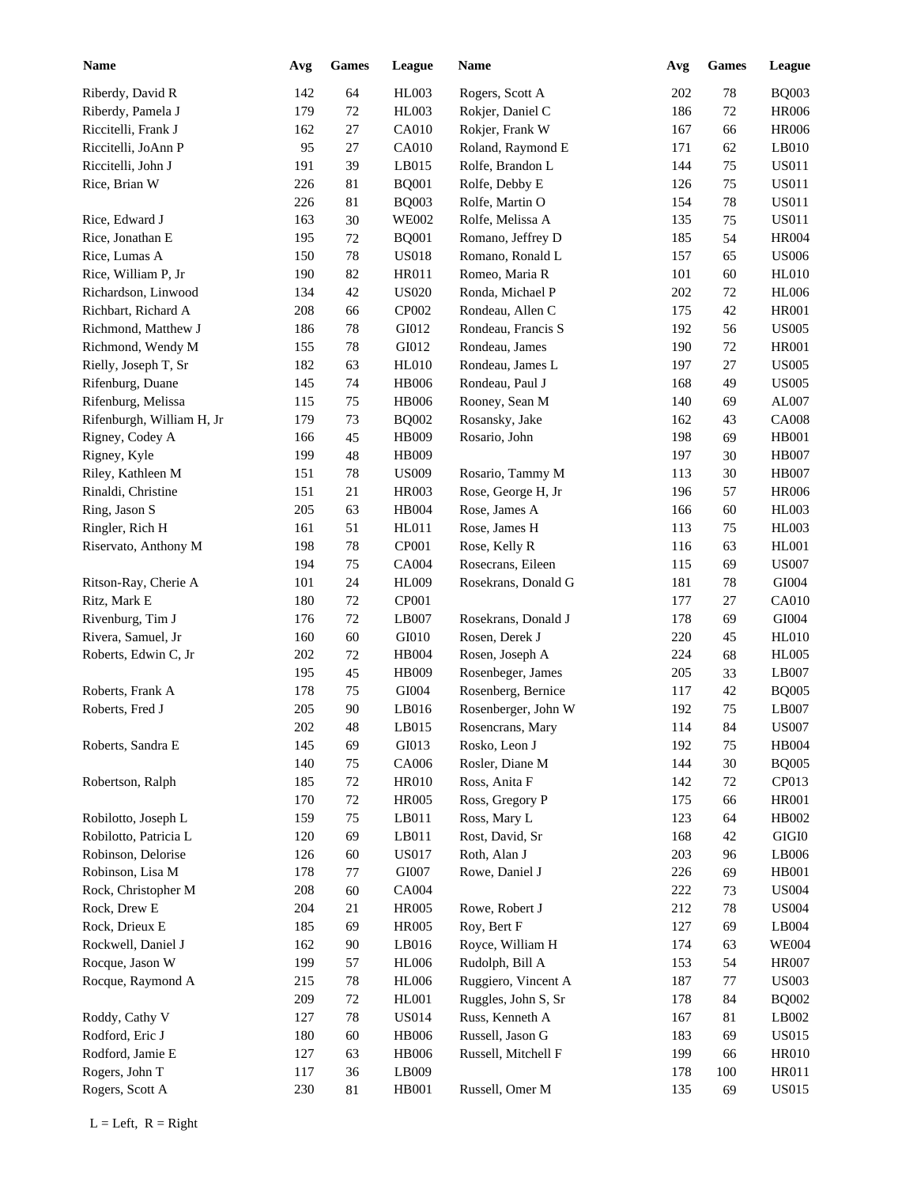| <b>Name</b>                          | Avg        | ${\bf Games}$ | League       | <b>Name</b>         | Avg | <b>Games</b> | <b>League</b> |
|--------------------------------------|------------|---------------|--------------|---------------------|-----|--------------|---------------|
| Riberdy, David R                     | 142        | 64            | <b>HL003</b> | Rogers, Scott A     | 202 | 78           | <b>BQ003</b>  |
| Riberdy, Pamela J                    | 179        | 72            | HL003        | Rokjer, Daniel C    | 186 | 72           | <b>HR006</b>  |
| Riccitelli, Frank J                  | 162        | $27\,$        | CA010        | Rokjer, Frank W     | 167 | 66           | <b>HR006</b>  |
| Riccitelli, JoAnn P                  | 95         | $27\,$        | CA010        | Roland, Raymond E   | 171 | 62           | LB010         |
| Riccitelli, John J                   | 191        | 39            | LB015        | Rolfe, Brandon L    | 144 | 75           | <b>US011</b>  |
| Rice, Brian W                        | 226        | 81            | <b>BQ001</b> | Rolfe, Debby E      | 126 | 75           | <b>US011</b>  |
|                                      | 226        | $81\,$        | <b>BQ003</b> | Rolfe, Martin O     | 154 | 78           | <b>US011</b>  |
| Rice, Edward J                       | 163        | 30            | <b>WE002</b> | Rolfe, Melissa A    | 135 | 75           | <b>US011</b>  |
| Rice, Jonathan E                     | 195        | $72\,$        | <b>BQ001</b> | Romano, Jeffrey D   | 185 | 54           | <b>HR004</b>  |
| Rice, Lumas A                        | 150        | 78            | <b>US018</b> | Romano, Ronald L    | 157 | 65           | <b>US006</b>  |
| Rice, William P, Jr                  | 190        | 82            | <b>HR011</b> | Romeo, Maria R      | 101 | 60           | <b>HL010</b>  |
| Richardson, Linwood                  | 134        | $42\,$        | <b>US020</b> | Ronda, Michael P    | 202 | 72           | <b>HL006</b>  |
| Richbart, Richard A                  | 208        | 66            | CP002        | Rondeau, Allen C    | 175 | 42           | <b>HR001</b>  |
| Richmond, Matthew J                  | 186        | 78            | GI012        | Rondeau, Francis S  | 192 | 56           | <b>US005</b>  |
| Richmond, Wendy M                    | 155        | 78            | GI012        | Rondeau, James      | 190 | 72           | <b>HR001</b>  |
| Rielly, Joseph T, Sr                 | 182        | 63            | <b>HL010</b> | Rondeau, James L    | 197 | 27           | <b>US005</b>  |
| Rifenburg, Duane                     | 145        | 74            | <b>HB006</b> | Rondeau, Paul J     | 168 | 49           | <b>US005</b>  |
| Rifenburg, Melissa                   | 115        | 75            | <b>HB006</b> | Rooney, Sean M      | 140 | 69           | AL007         |
| Rifenburgh, William H, Jr            | 179        | 73            | <b>BQ002</b> | Rosansky, Jake      | 162 | 43           | <b>CA008</b>  |
| Rigney, Codey A                      | 166        | 45            | HB009        | Rosario, John       | 198 | 69           | <b>HB001</b>  |
| Rigney, Kyle                         | 199        | 48            | HB009        |                     | 197 | 30           | <b>HB007</b>  |
| Riley, Kathleen M                    | 151        | 78            | <b>US009</b> | Rosario, Tammy M    | 113 | 30           | <b>HB007</b>  |
| Rinaldi, Christine                   | 151        | 21            | <b>HR003</b> | Rose, George H, Jr  | 196 | 57           | <b>HR006</b>  |
| Ring, Jason S                        | 205        | 63            | HB004        | Rose, James A       | 166 | 60           | <b>HL003</b>  |
| Ringler, Rich H                      | 161        | 51            | HL011        | Rose, James H       | 113 | 75           | <b>HL003</b>  |
| Riservato, Anthony M                 | 198        | 78            | CP001        | Rose, Kelly R       | 116 | 63           | <b>HL001</b>  |
|                                      | 194        | 75            | CA004        | Rosecrans, Eileen   | 115 | 69           | <b>US007</b>  |
|                                      |            |               |              |                     |     |              | GI004         |
| Ritson-Ray, Cherie A<br>Ritz, Mark E | 101<br>180 | 24            | <b>HL009</b> | Rosekrans, Donald G | 181 | 78           | <b>CA010</b>  |
|                                      |            | $72\,$        | CP001        |                     | 177 | 27           |               |
| Rivenburg, Tim J                     | 176        | $72\,$        | LB007        | Rosekrans, Donald J | 178 | 69           | ${\rm GIO}04$ |
| Rivera, Samuel, Jr                   | 160        | 60            | GI010        | Rosen, Derek J      | 220 | 45           | <b>HL010</b>  |
| Roberts, Edwin C, Jr                 | 202        | 72            | HB004        | Rosen, Joseph A     | 224 | 68           | <b>HL005</b>  |
|                                      | 195        | 45            | HB009        | Rosenbeger, James   | 205 | 33           | LB007         |
| Roberts, Frank A                     | 178        | $75\,$        | GI004        | Rosenberg, Bernice  | 117 | 42           | <b>BQ005</b>  |
| Roberts, Fred J                      | 205        | 90            | LB016        | Rosenberger, John W | 192 | 75           | LB007         |
|                                      | $202\,$    | $\sqrt{48}$   | LB015        | Rosencrans, Mary    | 114 | 84           | <b>US007</b>  |
| Roberts, Sandra E                    | 145        | 69            | GI013        | Rosko, Leon J       | 192 | 75           | HB004         |
|                                      | 140        | 75            | CA006        | Rosler, Diane M     | 144 | 30           | <b>BQ005</b>  |
| Robertson, Ralph                     | 185        | 72            | <b>HR010</b> | Ross, Anita F       | 142 | $72\,$       | CP013         |
|                                      | 170        | 72            | <b>HR005</b> | Ross, Gregory P     | 175 | 66           | <b>HR001</b>  |
| Robilotto, Joseph L                  | 159        | 75            | LB011        | Ross, Mary L        | 123 | 64           | HB002         |
| Robilotto, Patricia L                | 120        | 69            | LB011        | Rost, David, Sr     | 168 | 42           | $\rm GIGI0$   |
| Robinson, Delorise                   | 126        | 60            | <b>US017</b> | Roth, Alan J        | 203 | 96           | LB006         |
| Robinson, Lisa M                     | 178        | 77            | GI007        | Rowe, Daniel J      | 226 | 69           | <b>HB001</b>  |
| Rock, Christopher M                  | 208        | 60            | CA004        |                     | 222 | 73           | <b>US004</b>  |
| Rock, Drew E                         | 204        | 21            | <b>HR005</b> | Rowe, Robert J      | 212 | 78           | <b>US004</b>  |
| Rock, Drieux E                       | 185        | 69            | <b>HR005</b> | Roy, Bert F         | 127 | 69           | LB004         |
| Rockwell, Daniel J                   | 162        | $90\,$        | LB016        | Royce, William H    | 174 | 63           | <b>WE004</b>  |
| Rocque, Jason W                      | 199        | 57            | <b>HL006</b> | Rudolph, Bill A     | 153 | 54           | <b>HR007</b>  |
| Rocque, Raymond A                    | 215        | 78            | <b>HL006</b> | Ruggiero, Vincent A | 187 | 77           | <b>US003</b>  |
|                                      | 209        | $72\,$        | HL001        | Ruggles, John S, Sr | 178 | 84           | <b>BQ002</b>  |
| Roddy, Cathy V                       | 127        | 78            | <b>US014</b> | Russ, Kenneth A     | 167 | 81           | LB002         |
| Rodford, Eric J                      | 180        | 60            | <b>HB006</b> | Russell, Jason G    | 183 | 69           | <b>US015</b>  |
| Rodford, Jamie E                     | 127        | 63            | <b>HB006</b> | Russell, Mitchell F | 199 | 66           | <b>HR010</b>  |
| Rogers, John T                       | 117        | 36            | LB009        |                     | 178 | 100          | <b>HR011</b>  |
| Rogers, Scott A                      | 230        | 81            | HB001        | Russell, Omer M     | 135 | 69           | <b>US015</b>  |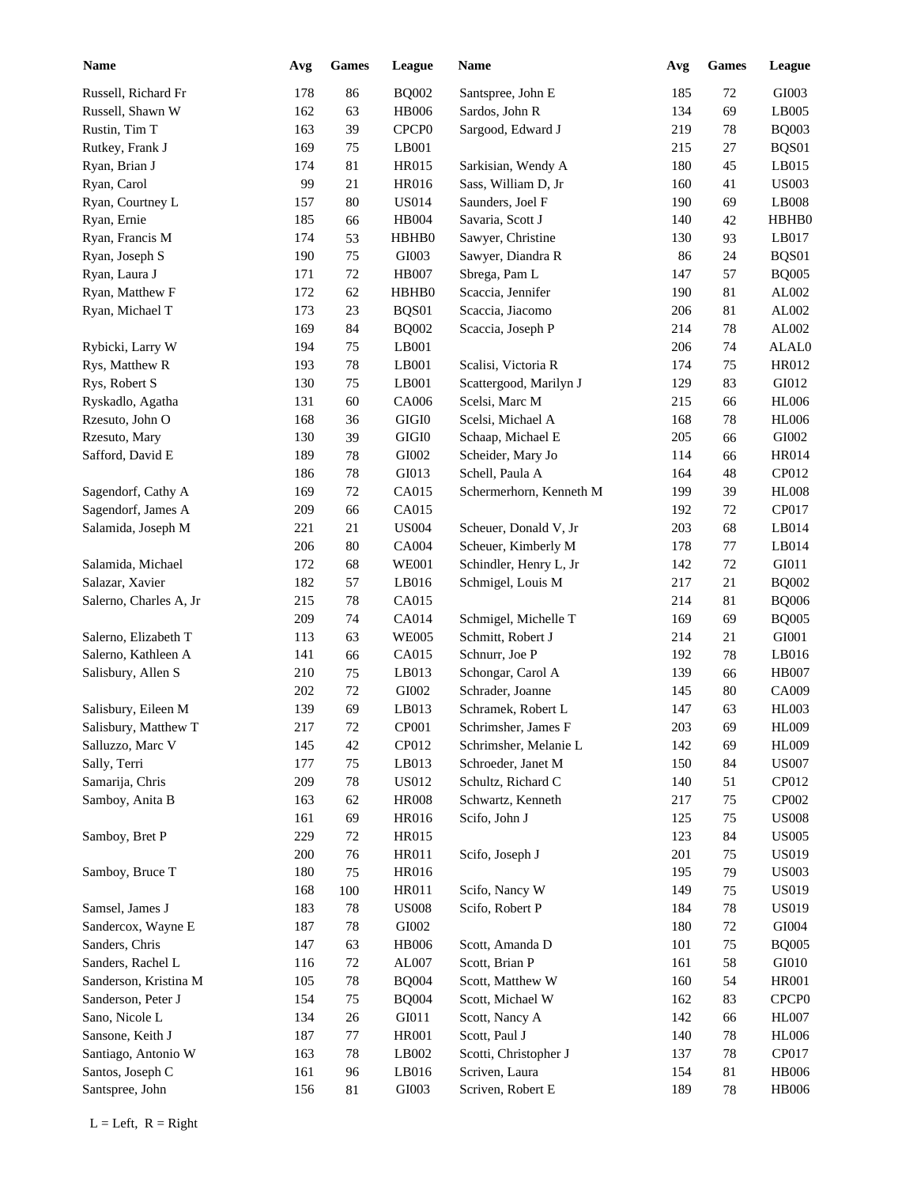| <b>Name</b>            | Avg | <b>Games</b> | <b>League</b>     | Name                    | Avg | <b>Games</b> | League            |
|------------------------|-----|--------------|-------------------|-------------------------|-----|--------------|-------------------|
| Russell, Richard Fr    | 178 | 86           | <b>BQ002</b>      | Santspree, John E       | 185 | 72           | GI003             |
| Russell, Shawn W       | 162 | 63           | <b>HB006</b>      | Sardos, John R          | 134 | 69           | LB005             |
| Rustin, Tim T          | 163 | 39           | CPCP <sub>0</sub> | Sargood, Edward J       | 219 | 78           | <b>BQ003</b>      |
| Rutkey, Frank J        | 169 | 75           | LB001             |                         | 215 | $27\,$       | BQS01             |
| Ryan, Brian J          | 174 | 81           | <b>HR015</b>      | Sarkisian, Wendy A      | 180 | 45           | LB015             |
| Ryan, Carol            | 99  | 21           | HR016             | Sass, William D, Jr     | 160 | 41           | <b>US003</b>      |
| Ryan, Courtney L       | 157 | 80           | <b>US014</b>      | Saunders, Joel F        | 190 | 69           | LB008             |
| Ryan, Ernie            | 185 | 66           | <b>HB004</b>      | Savaria, Scott J        | 140 | 42           | HBHB0             |
| Ryan, Francis M        | 174 | 53           | HBHB0             | Sawyer, Christine       | 130 | 93           | LB017             |
| Ryan, Joseph S         | 190 | 75           | GI003             | Sawyer, Diandra R       | 86  | 24           | BQS01             |
| Ryan, Laura J          | 171 | $72\,$       | <b>HB007</b>      | Sbrega, Pam L           | 147 | 57           | <b>BQ005</b>      |
| Ryan, Matthew F        | 172 | 62           | HBHB0             | Scaccia, Jennifer       | 190 | 81           | AL002             |
| Ryan, Michael T        | 173 | 23           | BQS01             | Scaccia, Jiacomo        | 206 | 81           | ${\rm AL}002$     |
|                        | 169 | 84           | <b>BQ002</b>      | Scaccia, Joseph P       | 214 | 78           | ${\rm AL}002$     |
|                        | 194 |              |                   |                         |     |              | ALAL0             |
| Rybicki, Larry W       |     | 75           | LB001             |                         | 206 | 74           |                   |
| Rys, Matthew R         | 193 | 78           | LB001             | Scalisi, Victoria R     | 174 | 75           | HR012             |
| Rys, Robert S          | 130 | 75           | LB001             | Scattergood, Marilyn J  | 129 | 83           | GI012             |
| Ryskadlo, Agatha       | 131 | 60           | CA006             | Scelsi, Marc M          | 215 | 66           | <b>HL006</b>      |
| Rzesuto, John O        | 168 | 36           | $\rm GIGI0$       | Scelsi, Michael A       | 168 | 78           | <b>HL006</b>      |
| Rzesuto, Mary          | 130 | 39           | $\rm GIGI0$       | Schaap, Michael E       | 205 | 66           | GI002             |
| Safford, David E       | 189 | 78           | GI002             | Scheider, Mary Jo       | 114 | 66           | <b>HR014</b>      |
|                        | 186 | 78           | GI013             | Schell, Paula A         | 164 | 48           | CP012             |
| Sagendorf, Cathy A     | 169 | 72           | CA015             | Schermerhorn, Kenneth M | 199 | 39           | <b>HL008</b>      |
| Sagendorf, James A     | 209 | 66           | CA015             |                         | 192 | 72           | CP017             |
| Salamida, Joseph M     | 221 | 21           | <b>US004</b>      | Scheuer, Donald V, Jr   | 203 | 68           | LB014             |
|                        | 206 | 80           | <b>CA004</b>      | Scheuer, Kimberly M     | 178 | 77           | LB014             |
| Salamida, Michael      | 172 | 68           | <b>WE001</b>      | Schindler, Henry L, Jr  | 142 | 72           | GI011             |
| Salazar, Xavier        | 182 | 57           | LB016             | Schmigel, Louis M       | 217 | 21           | <b>BQ002</b>      |
| Salerno, Charles A, Jr | 215 | 78           | CA015             |                         | 214 | 81           | <b>BQ006</b>      |
|                        | 209 | 74           | CA014             | Schmigel, Michelle T    | 169 | 69           | <b>BQ005</b>      |
| Salerno, Elizabeth T   | 113 | 63           | <b>WE005</b>      | Schmitt, Robert J       | 214 | 21           | GI001             |
| Salerno, Kathleen A    | 141 | 66           | CA015             | Schnurr, Joe P          | 192 | 78           | LB016             |
| Salisbury, Allen S     | 210 | 75           | LB013             | Schongar, Carol A       | 139 | 66           | <b>HB007</b>      |
|                        | 202 | $72\,$       | ${\rm GIO}02$     | Schrader, Joanne        | 145 | 80           | CA009             |
| Salisbury, Eileen M    | 139 | 69           | LB013             | Schramek, Robert L      | 147 | 63           | <b>HL003</b>      |
| Salisbury, Matthew T   | 217 | $72\,$       | CP001             | Schrimsher, James F     | 203 | 69           | <b>HL009</b>      |
| Salluzzo, Marc V       | 145 | 42           | CP012             | Schrimsher, Melanie L   | 142 | 69           | <b>HL009</b>      |
| Sally, Terri           | 177 | $75\,$       | LB013             | Schroeder, Janet M      | 150 | 84           | <b>US007</b>      |
| Samarija, Chris        | 209 | 78           | <b>US012</b>      | Schultz, Richard C      | 140 | 51           | CP012             |
|                        | 163 |              | <b>HR008</b>      | Schwartz, Kenneth       | 217 |              | CP002             |
| Samboy, Anita B        |     | 62           |                   |                         |     | 75           |                   |
|                        | 161 | 69           | HR016             | Scifo, John J           | 125 | 75           | <b>US008</b>      |
| Samboy, Bret P         | 229 | $72\,$       | HR015             |                         | 123 | 84           | <b>US005</b>      |
|                        | 200 | 76           | HR011             | Scifo, Joseph J         | 201 | 75           | <b>US019</b>      |
| Samboy, Bruce T        | 180 | 75           | HR016             |                         | 195 | 79           | <b>US003</b>      |
|                        | 168 | 100          | HR011             | Scifo, Nancy W          | 149 | 75           | <b>US019</b>      |
| Samsel, James J        | 183 | 78           | <b>US008</b>      | Scifo, Robert P         | 184 | 78           | <b>US019</b>      |
| Sandercox, Wayne E     | 187 | 78           | GI002             |                         | 180 | 72           | ${\rm G}1004$     |
| Sanders, Chris         | 147 | 63           | HB006             | Scott, Amanda D         | 101 | 75           | <b>BQ005</b>      |
| Sanders, Rachel L      | 116 | $72\,$       | AL007             | Scott, Brian P          | 161 | 58           | GI010             |
| Sanderson, Kristina M  | 105 | 78           | <b>BQ004</b>      | Scott, Matthew W        | 160 | 54           | <b>HR001</b>      |
| Sanderson, Peter J     | 154 | 75           | <b>BQ004</b>      | Scott, Michael W        | 162 | 83           | CPCP <sub>0</sub> |
| Sano, Nicole L         | 134 | 26           | GI011             | Scott, Nancy A          | 142 | 66           | <b>HL007</b>      |
| Sansone, Keith J       | 187 | $77\,$       | <b>HR001</b>      | Scott, Paul J           | 140 | 78           | <b>HL006</b>      |
| Santiago, Antonio W    | 163 | 78           | LB002             | Scotti, Christopher J   | 137 | 78           | CP017             |
| Santos, Joseph C       | 161 | 96           | LB016             | Scriven, Laura          | 154 | 81           | <b>HB006</b>      |
| Santspree, John        | 156 | 81           | GI003             | Scriven, Robert E       | 189 | 78           | <b>HB006</b>      |
|                        |     |              |                   |                         |     |              |                   |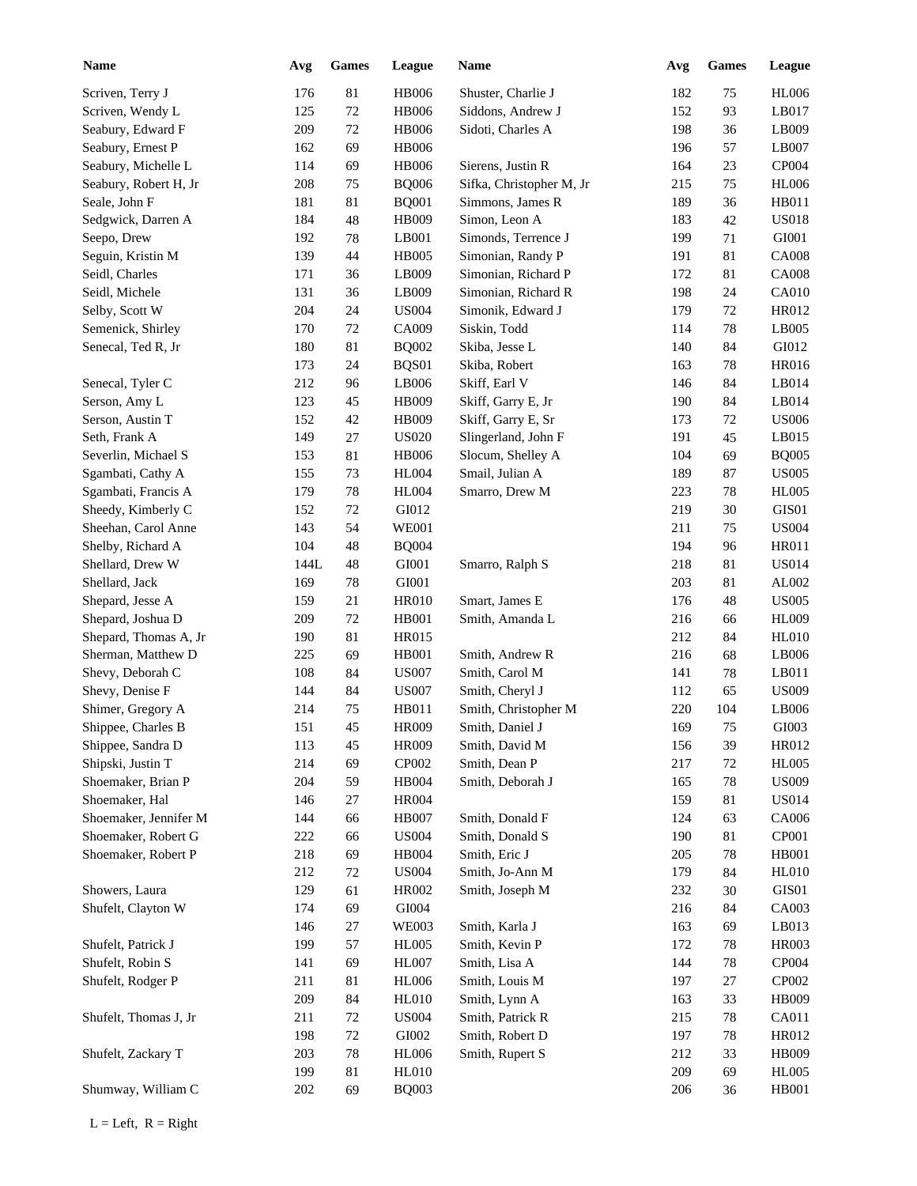| <b>Name</b>           | Avg  | <b>Games</b> | League       | Name                     | Avg | <b>Games</b> | League       |
|-----------------------|------|--------------|--------------|--------------------------|-----|--------------|--------------|
| Scriven, Terry J      | 176  | 81           | <b>HB006</b> | Shuster, Charlie J       | 182 | 75           | <b>HL006</b> |
| Scriven, Wendy L      | 125  | $72\,$       | <b>HB006</b> | Siddons, Andrew J        | 152 | 93           | LB017        |
| Seabury, Edward F     | 209  | $72\,$       | <b>HB006</b> | Sidoti, Charles A        | 198 | 36           | LB009        |
| Seabury, Ernest P     | 162  | 69           | <b>HB006</b> |                          | 196 | 57           | LB007        |
| Seabury, Michelle L   | 114  | 69           | <b>HB006</b> | Sierens, Justin R        | 164 | 23           | CP004        |
| Seabury, Robert H, Jr | 208  | 75           | <b>BQ006</b> | Sifka, Christopher M, Jr | 215 | 75           | <b>HL006</b> |
| Seale, John F         | 181  | 81           | <b>BQ001</b> | Simmons, James R         | 189 | 36           | HB011        |
| Sedgwick, Darren A    | 184  | 48           | HB009        | Simon, Leon A            | 183 | 42           | <b>US018</b> |
| Seepo, Drew           | 192  | $78\,$       | LB001        | Simonds, Terrence J      | 199 | 71           | GI001        |
| Seguin, Kristin M     | 139  | 44           | <b>HB005</b> | Simonian, Randy P        | 191 | 81           | <b>CA008</b> |
| Seidl, Charles        | 171  | 36           | LB009        | Simonian, Richard P      | 172 | 81           | <b>CA008</b> |
| Seidl, Michele        | 131  | 36           | LB009        | Simonian, Richard R      | 198 | 24           | <b>CA010</b> |
| Selby, Scott W        | 204  | 24           | <b>US004</b> | Simonik, Edward J        | 179 | 72           | HR012        |
| Semenick, Shirley     | 170  | $72\,$       | CA009        | Siskin, Todd             | 114 | 78           | LB005        |
| Senecal, Ted R, Jr    | 180  | 81           | <b>BQ002</b> | Skiba, Jesse L           | 140 | 84           | GI012        |
|                       | 173  | 24           | BQS01        | Skiba, Robert            | 163 | 78           | <b>HR016</b> |
| Senecal, Tyler C      | 212  | 96           | LB006        | Skiff, Earl V            | 146 | 84           | LB014        |
| Serson, Amy L         | 123  | 45           | HB009        | Skiff, Garry E, Jr       | 190 | 84           | LB014        |
| Serson, Austin T      | 152  | 42           | HB009        | Skiff, Garry E, Sr       | 173 | 72           | <b>US006</b> |
| Seth, Frank A         | 149  | 27           | <b>US020</b> | Slingerland, John F      | 191 | 45           | LB015        |
| Severlin, Michael S   | 153  | 81           | <b>HB006</b> | Slocum, Shelley A        | 104 | 69           | <b>BQ005</b> |
| Sgambati, Cathy A     | 155  | 73           | <b>HL004</b> | Smail, Julian A          | 189 | 87           | <b>US005</b> |
| Sgambati, Francis A   | 179  | 78           | <b>HL004</b> | Smarro, Drew M           | 223 | 78           | <b>HL005</b> |
| Sheedy, Kimberly C    | 152  | 72           | GI012        |                          | 219 | 30           | GIS01        |
| Sheehan, Carol Anne   | 143  | 54           | <b>WE001</b> |                          | 211 | 75           | <b>US004</b> |
| Shelby, Richard A     | 104  | 48           | <b>BQ004</b> |                          | 194 | 96           | <b>HR011</b> |
| Shellard, Drew W      | 144L | 48           | GI001        | Smarro, Ralph S          | 218 | 81           | <b>US014</b> |
| Shellard, Jack        | 169  | 78           | GI001        |                          | 203 | 81           | AL002        |
| Shepard, Jesse A      | 159  | 21           | <b>HR010</b> | Smart, James E           | 176 | 48           | <b>US005</b> |
| Shepard, Joshua D     | 209  | 72           | HB001        | Smith, Amanda L          | 216 | 66           | <b>HL009</b> |
| Shepard, Thomas A, Jr | 190  | 81           | <b>HR015</b> |                          | 212 | 84           | <b>HL010</b> |
| Sherman, Matthew D    | 225  | 69           | HB001        | Smith, Andrew R          | 216 | 68           | LB006        |
| Shevy, Deborah C      | 108  | 84           | <b>US007</b> | Smith, Carol M           | 141 | 78           | LB011        |
| Shevy, Denise F       | 144  | 84           | <b>US007</b> | Smith, Cheryl J          | 112 | 65           | <b>US009</b> |
| Shimer, Gregory A     | 214  | 75           | HB011        | Smith, Christopher M     | 220 | 104          | LB006        |
| Shippee, Charles B    | 151  | 45           | HR009        | Smith, Daniel J          | 169 | 75           | GI003        |
| Shippee, Sandra D     | 113  | 45           | HR009        | Smith, David M           | 156 | 39           | HR012        |
| Shipski, Justin T     | 214  | 69           | CP002        | Smith, Dean P            | 217 | 72           | <b>HL005</b> |
| Shoemaker, Brian P    | 204  | 59           | HB004        | Smith, Deborah J         | 165 | 78           | <b>US009</b> |
| Shoemaker, Hal        | 146  | 27           | <b>HR004</b> |                          | 159 | 81           | <b>US014</b> |
| Shoemaker, Jennifer M | 144  | 66           | <b>HB007</b> | Smith, Donald F          | 124 | 63           | CA006        |
| Shoemaker, Robert G   | 222  |              | <b>US004</b> | Smith, Donald S          | 190 | 81           | CP001        |
| Shoemaker, Robert P   | 218  | 66<br>69     | HB004        | Smith, Eric J            | 205 | 78           | HB001        |
|                       | 212  |              | <b>US004</b> | Smith, Jo-Ann M          | 179 |              | <b>HL010</b> |
|                       |      | 72           |              |                          |     | 84           |              |
| Showers, Laura        | 129  | 61           | HR002        | Smith, Joseph M          | 232 | $30\,$       | GIS01        |
| Shufelt, Clayton W    | 174  | 69           | GI004        |                          | 216 | 84           | CA003        |
|                       | 146  | 27           | <b>WE003</b> | Smith, Karla J           | 163 | 69           | LB013        |
| Shufelt, Patrick J    | 199  | 57           | <b>HL005</b> | Smith, Kevin P           | 172 | 78           | HR003        |
| Shufelt, Robin S      | 141  | 69           | HL007        | Smith, Lisa A            | 144 | 78           | CP004        |
| Shufelt, Rodger P     | 211  | 81           | <b>HL006</b> | Smith, Louis M           | 197 | 27           | CP002        |
|                       | 209  | 84           | <b>HL010</b> | Smith, Lynn A            | 163 | 33           | HB009        |
| Shufelt, Thomas J, Jr | 211  | 72           | <b>US004</b> | Smith, Patrick R         | 215 | 78           | CA011        |
|                       | 198  | 72           | GI002        | Smith, Robert D          | 197 | 78           | HR012        |
| Shufelt, Zackary T    | 203  | 78           | <b>HL006</b> | Smith, Rupert S          | 212 | 33           | HB009        |
|                       | 199  | $81\,$       | <b>HL010</b> |                          | 209 | 69           | <b>HL005</b> |
| Shumway, William C    | 202  | 69           | <b>BQ003</b> |                          | 206 | 36           | <b>HB001</b> |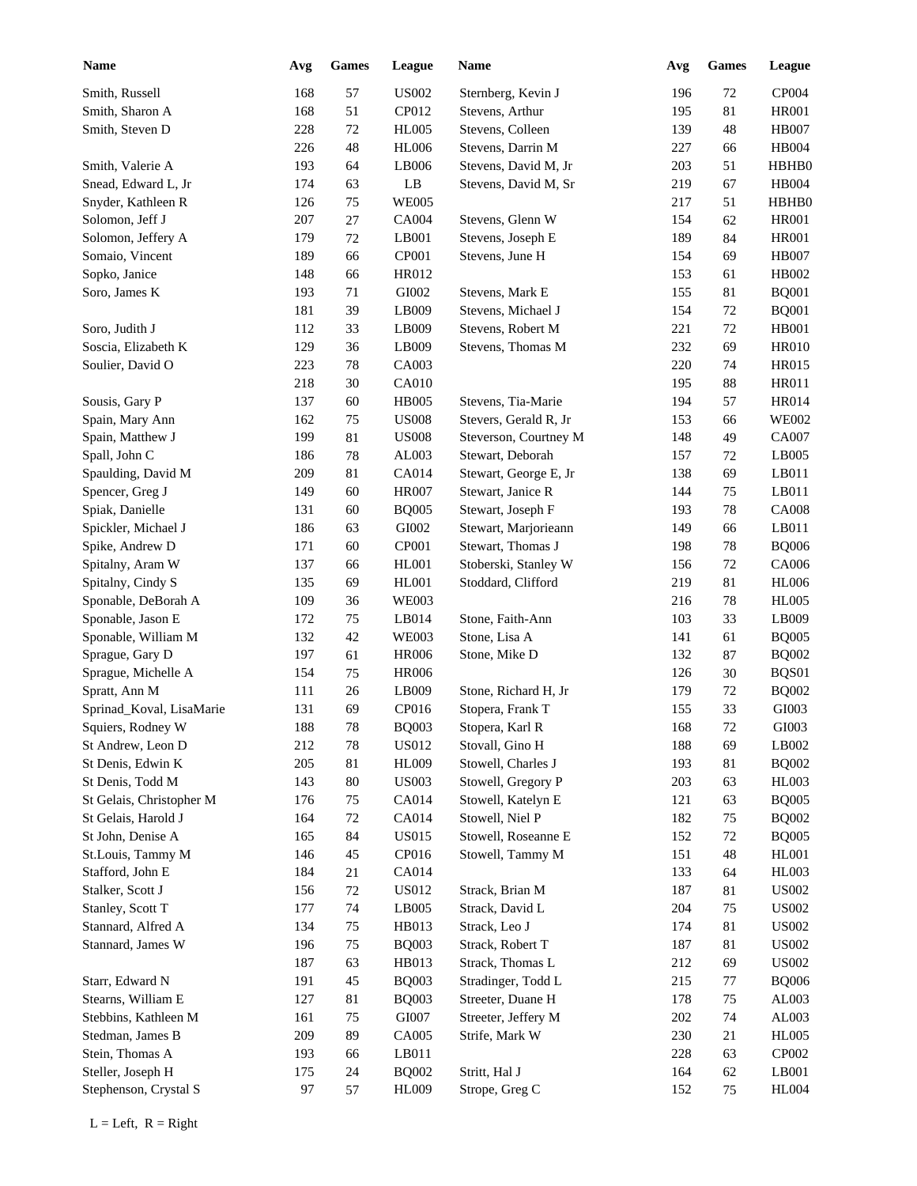| <b>Name</b>              | Avg | <b>Games</b> | League                | <b>Name</b>           | Avg | <b>Games</b> | League        |
|--------------------------|-----|--------------|-----------------------|-----------------------|-----|--------------|---------------|
| Smith, Russell           | 168 | 57           | <b>US002</b>          | Sternberg, Kevin J    | 196 | 72           | CP004         |
| Smith, Sharon A          | 168 | 51           | CP012                 | Stevens, Arthur       | 195 | 81           | <b>HR001</b>  |
| Smith, Steven D          | 228 | 72           | <b>HL005</b>          | Stevens, Colleen      | 139 | 48           | <b>HB007</b>  |
|                          | 226 | 48           | <b>HL006</b>          | Stevens, Darrin M     | 227 | 66           | <b>HB004</b>  |
| Smith, Valerie A         | 193 | 64           | LB006                 | Stevens, David M, Jr  | 203 | 51           | HBHB0         |
| Snead, Edward L, Jr      | 174 | 63           | LB                    | Stevens, David M, Sr  | 219 | 67           | <b>HB004</b>  |
| Snyder, Kathleen R       | 126 | 75           | <b>WE005</b>          |                       | 217 | 51           | HBHB0         |
| Solomon, Jeff J          | 207 | 27           | <b>CA004</b>          | Stevens, Glenn W      | 154 | 62           | <b>HR001</b>  |
| Solomon, Jeffery A       | 179 | $72\,$       | LB001                 | Stevens, Joseph E     | 189 | 84           | <b>HR001</b>  |
| Somaio, Vincent          | 189 | 66           | CP001                 | Stevens, June H       | 154 | 69           | <b>HB007</b>  |
| Sopko, Janice            | 148 | 66           | HR012                 |                       | 153 | 61           | HB002         |
| Soro, James K            | 193 | 71           | GI002                 | Stevens, Mark E       | 155 | 81           | <b>BQ001</b>  |
|                          | 181 | 39           | LB009                 | Stevens, Michael J    | 154 | 72           | <b>BQ001</b>  |
| Soro, Judith J           | 112 | 33           | LB009                 | Stevens, Robert M     | 221 | 72           | HB001         |
| Soscia, Elizabeth K      | 129 | 36           | LB009                 | Stevens, Thomas M     | 232 | 69           | <b>HR010</b>  |
| Soulier, David O         | 223 | 78           | CA003                 |                       | 220 | 74           | <b>HR015</b>  |
|                          | 218 | 30           | CA010                 |                       | 195 | 88           | <b>HR011</b>  |
| Sousis, Gary P           | 137 | 60           | <b>HB005</b>          | Stevens, Tia-Marie    | 194 | 57           | <b>HR014</b>  |
| Spain, Mary Ann          | 162 | 75           | <b>US008</b>          | Stevers, Gerald R, Jr | 153 | 66           | <b>WE002</b>  |
| Spain, Matthew J         | 199 | 81           | <b>US008</b>          | Steverson, Courtney M | 148 | 49           | <b>CA007</b>  |
| Spall, John C            | 186 | 78           | AL003                 | Stewart, Deborah      | 157 | 72           | LB005         |
| Spaulding, David M       | 209 | 81           | CA014                 | Stewart, George E, Jr | 138 | 69           | LB011         |
| Spencer, Greg J          | 149 | 60           | <b>HR007</b>          | Stewart, Janice R     | 144 | 75           | LB011         |
| Spiak, Danielle          | 131 | 60           | <b>BQ005</b>          | Stewart, Joseph F     | 193 | 78           | <b>CA008</b>  |
| Spickler, Michael J      | 186 | 63           | GI002                 | Stewart, Marjorieann  | 149 | 66           | LB011         |
| Spike, Andrew D          | 171 | 60           | CP001                 | Stewart, Thomas J     | 198 | 78           | <b>BQ006</b>  |
| Spitalny, Aram W         | 137 | 66           | HL001                 | Stoberski, Stanley W  | 156 | 72           | CA006         |
| Spitalny, Cindy S        | 135 | 69           | HL001                 | Stoddard, Clifford    | 219 | 81           | <b>HL006</b>  |
| Sponable, DeBorah A      | 109 | 36           | <b>WE003</b>          |                       | 216 | 78           | <b>HL005</b>  |
| Sponable, Jason E        | 172 | 75           | LB014                 | Stone, Faith-Ann      | 103 | 33           | LB009         |
| Sponable, William M      | 132 | 42           | <b>WE003</b>          | Stone, Lisa A         | 141 | 61           | <b>BQ005</b>  |
| Sprague, Gary D          | 197 | 61           | <b>HR006</b>          | Stone, Mike D         | 132 | 87           | <b>BQ002</b>  |
| Sprague, Michelle A      | 154 | 75           | <b>HR006</b>          |                       | 126 | $30\,$       | BQS01         |
| Spratt, Ann M            | 111 | $26\,$       | LB009                 | Stone, Richard H, Jr  | 179 | 72           | <b>BQ002</b>  |
| Sprinad_Koval, LisaMarie | 131 | 69           | CP016                 | Stopera, Frank T      | 155 | 33           | GI003         |
| Squiers, Rodney W        | 188 | $78\,$       | <b>BQ003</b>          | Stopera, Karl R       | 168 | $72\,$       | GI003         |
| St Andrew, Leon D        | 212 | $78\,$       | <b>US012</b>          | Stovall, Gino H       | 188 | 69           | LB002         |
| St Denis, Edwin K        | 205 | $81\,$       | <b>HL009</b>          | Stowell, Charles J    | 193 | 81           | <b>BQ002</b>  |
| St Denis, Todd M         | 143 | $80\,$       | <b>US003</b>          | Stowell, Gregory P    | 203 | 63           | ${\rm HL}003$ |
| St Gelais, Christopher M | 176 | 75           | CA014                 | Stowell, Katelyn E    | 121 | 63           | <b>BQ005</b>  |
| St Gelais, Harold J      | 164 | $72\,$       | CA014                 | Stowell, Niel P       | 182 | 75           | <b>BQ002</b>  |
| St John, Denise A        | 165 | 84           | <b>US015</b>          | Stowell, Roseanne E   | 152 | 72           | <b>BQ005</b>  |
| St.Louis, Tammy M        | 146 | 45           | CP016                 | Stowell, Tammy M      | 151 | $\sqrt{48}$  | HL001         |
| Stafford, John E         | 184 | 21           | CA014                 |                       | 133 | 64           | HL003         |
| Stalker, Scott J         | 156 | $72\,$       | <b>US012</b>          | Strack, Brian M       | 187 | 81           | <b>US002</b>  |
| Stanley, Scott T         | 177 | 74           | LB005                 | Strack, David L       | 204 | 75           | <b>US002</b>  |
| Stannard, Alfred A       | 134 | 75           | HB013                 | Strack, Leo J         | 174 | 81           | <b>US002</b>  |
| Stannard, James W        | 196 | 75           |                       | Strack, Robert T      | 187 | 81           | <b>US002</b>  |
|                          | 187 | 63           | <b>BQ003</b><br>HB013 | Strack, Thomas L      | 212 | 69           | <b>US002</b>  |
| Starr, Edward N          |     |              |                       |                       |     |              | <b>BQ006</b>  |
|                          | 191 | 45           | <b>BQ003</b>          | Stradinger, Todd L    | 215 | 77           |               |
| Stearns, William E       | 127 | 81           | <b>BQ003</b>          | Streeter, Duane H     | 178 | 75           | AL003         |
| Stebbins, Kathleen M     | 161 | 75           | GI007                 | Streeter, Jeffery M   | 202 | 74           | AL003         |
| Stedman, James B         | 209 | 89           | CA005                 | Strife, Mark W        | 230 | 21           | <b>HL005</b>  |
| Stein, Thomas A          | 193 | 66           | LB011                 |                       | 228 | 63           | CP002         |
| Steller, Joseph H        | 175 | 24           | <b>BQ002</b>          | Stritt, Hal J         | 164 | 62           | LB001         |
| Stephenson, Crystal S    | 97  | 57           | HL009                 | Strope, Greg C        | 152 | 75           | <b>HL004</b>  |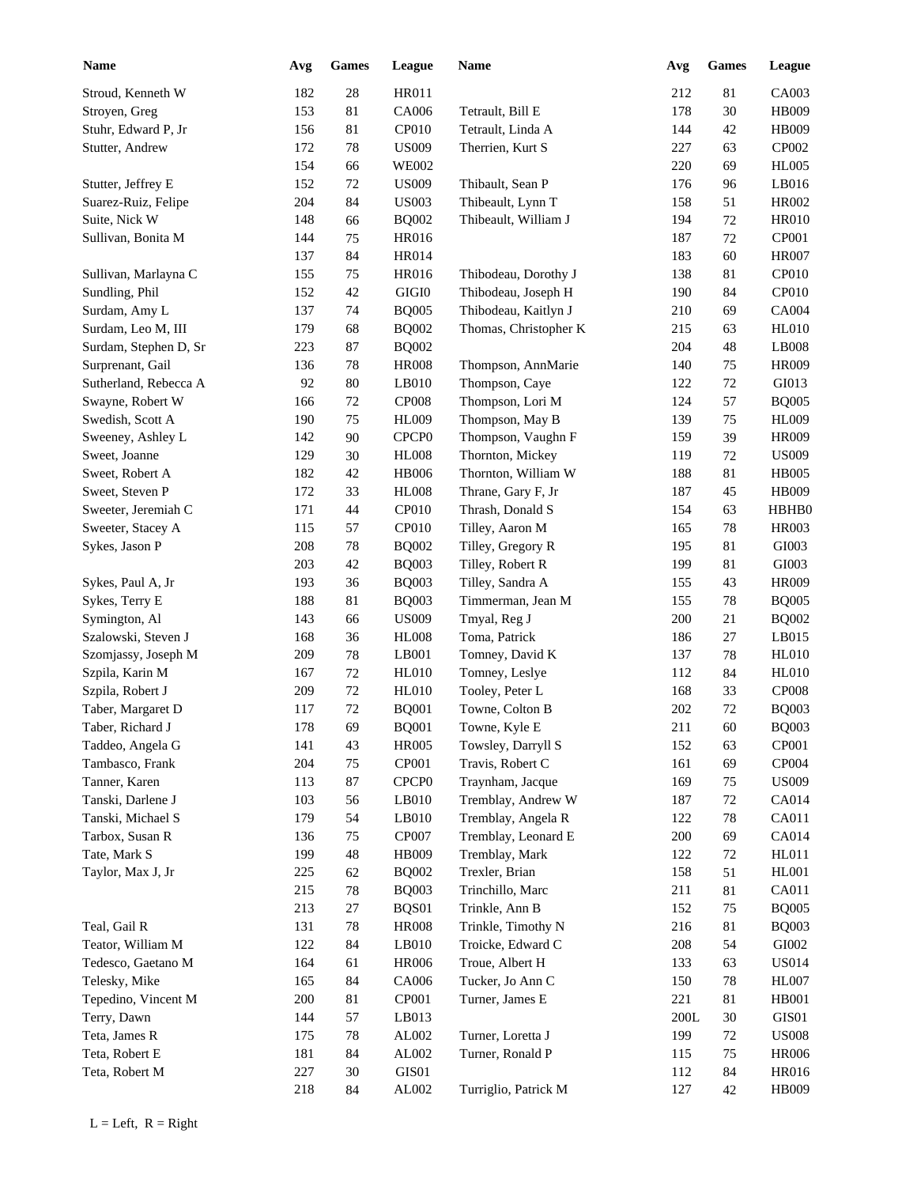| <b>Name</b>           | Avg | <b>Games</b> | League            | Name                  | Avg     | <b>Games</b> | League        |
|-----------------------|-----|--------------|-------------------|-----------------------|---------|--------------|---------------|
| Stroud, Kenneth W     | 182 | 28           | <b>HR011</b>      |                       | 212     | $81\,$       | CA003         |
| Stroyen, Greg         | 153 | 81           | CA006             | Tetrault, Bill E      | 178     | $30\,$       | HB009         |
| Stuhr, Edward P, Jr   | 156 | $81\,$       | CP010             | Tetrault, Linda A     | 144     | 42           | HB009         |
| Stutter, Andrew       | 172 | 78           | <b>US009</b>      | Therrien, Kurt S      | 227     | 63           | CP002         |
|                       | 154 | 66           | <b>WE002</b>      |                       | 220     | 69           | <b>HL005</b>  |
| Stutter, Jeffrey E    | 152 | 72           | <b>US009</b>      | Thibault, Sean P      | 176     | 96           | LB016         |
| Suarez-Ruiz, Felipe   | 204 | 84           | <b>US003</b>      | Thibeault, Lynn T     | 158     | 51           | HR002         |
| Suite, Nick W         | 148 | 66           | <b>BQ002</b>      | Thibeault, William J  | 194     | 72           | <b>HR010</b>  |
| Sullivan, Bonita M    | 144 | 75           | HR016             |                       | 187     | 72           | CP001         |
|                       | 137 | 84           | HR014             |                       | 183     | 60           | <b>HR007</b>  |
| Sullivan, Marlayna C  | 155 | 75           | HR016             | Thibodeau, Dorothy J  | 138     | 81           | CP010         |
| Sundling, Phil        | 152 | 42           | GIGI0             | Thibodeau, Joseph H   | 190     | 84           | CP010         |
| Surdam, Amy L         | 137 | 74           | <b>BQ005</b>      | Thibodeau, Kaitlyn J  | 210     | 69           | CA004         |
|                       |     |              |                   |                       |         |              |               |
| Surdam, Leo M, III    | 179 | 68           | <b>BQ002</b>      | Thomas, Christopher K | 215     | 63           | <b>HL010</b>  |
| Surdam, Stephen D, Sr | 223 | 87           | <b>BQ002</b>      |                       | 204     | 48           | LB008         |
| Surprenant, Gail      | 136 | 78           | <b>HR008</b>      | Thompson, AnnMarie    | 140     | 75           | <b>HR009</b>  |
| Sutherland, Rebecca A | 92  | 80           | LB010             | Thompson, Caye        | 122     | 72           | GI013         |
| Swayne, Robert W      | 166 | $72\,$       | <b>CP008</b>      | Thompson, Lori M      | 124     | 57           | <b>BQ005</b>  |
| Swedish, Scott A      | 190 | 75           | <b>HL009</b>      | Thompson, May B       | 139     | 75           | <b>HL009</b>  |
| Sweeney, Ashley L     | 142 | 90           | CPCP <sub>0</sub> | Thompson, Vaughn F    | 159     | 39           | <b>HR009</b>  |
| Sweet, Joanne         | 129 | 30           | <b>HL008</b>      | Thornton, Mickey      | 119     | 72           | <b>US009</b>  |
| Sweet, Robert A       | 182 | 42           | <b>HB006</b>      | Thornton, William W   | 188     | 81           | <b>HB005</b>  |
| Sweet, Steven P       | 172 | 33           | <b>HL008</b>      | Thrane, Gary F, Jr    | 187     | 45           | HB009         |
| Sweeter, Jeremiah C   | 171 | 44           | CP010             | Thrash, Donald S      | 154     | 63           | HBHB0         |
| Sweeter, Stacey A     | 115 | 57           | CP010             | Tilley, Aaron M       | 165     | 78           | <b>HR003</b>  |
| Sykes, Jason P        | 208 | 78           | <b>BQ002</b>      | Tilley, Gregory R     | 195     | 81           | GI003         |
|                       | 203 | 42           | <b>BQ003</b>      | Tilley, Robert R      | 199     | $81\,$       | GI003         |
| Sykes, Paul A, Jr     | 193 | 36           | <b>BQ003</b>      | Tilley, Sandra A      | 155     | 43           | <b>HR009</b>  |
| Sykes, Terry E        | 188 | 81           | <b>BQ003</b>      | Timmerman, Jean M     | 155     | $78\,$       | <b>BQ005</b>  |
| Symington, Al         | 143 | 66           | <b>US009</b>      | Tmyal, Reg J          | 200     | $21\,$       | <b>BQ002</b>  |
| Szalowski, Steven J   | 168 | 36           | <b>HL008</b>      | Toma, Patrick         | 186     | $27\,$       | LB015         |
| Szomjassy, Joseph M   | 209 | 78           | LB001             | Tomney, David K       | 137     | 78           | <b>HL010</b>  |
| Szpila, Karin M       | 167 | 72           | <b>HL010</b>      | Tomney, Leslye        | 112     | 84           | <b>HL010</b>  |
| Szpila, Robert J      | 209 | $72\,$       | <b>HL010</b>      | Tooley, Peter L       | 168     | 33           | <b>CP008</b>  |
| Taber, Margaret D     | 117 | 72           | <b>BQ001</b>      | Towne, Colton B       | 202     | 72           | <b>BQ003</b>  |
| Taber, Richard J      | 178 | 69           | <b>BQ001</b>      | Towne, Kyle E         | $211\,$ | 60           | <b>BQ003</b>  |
|                       |     |              |                   |                       |         |              |               |
| Taddeo, Angela G      | 141 | 43           | <b>HR005</b>      | Towsley, Darryll S    | 152     | 63           | <b>CP001</b>  |
| Tambasco, Frank       | 204 | 75           | CP001             | Travis, Robert C      | 161     | 69           | CP004         |
| Tanner, Karen         | 113 | $87\,$       | CPCP <sub>0</sub> | Traynham, Jacque      | 169     | 75           | <b>US009</b>  |
| Tanski, Darlene J     | 103 | 56           | LB010             | Tremblay, Andrew W    | 187     | 72           | CA014         |
| Tanski, Michael S     | 179 | 54           | LB010             | Tremblay, Angela R    | 122     | 78           | CA011         |
| Tarbox, Susan R       | 136 | 75           | CP007             | Tremblay, Leonard E   | 200     | 69           | CA014         |
| Tate, Mark S          | 199 | 48           | HB009             | Tremblay, Mark        | 122     | 72           | HL011         |
| Taylor, Max J, Jr     | 225 | 62           | <b>BQ002</b>      | Trexler, Brian        | 158     | 51           | HL001         |
|                       | 215 | 78           | <b>BQ003</b>      | Trinchillo, Marc      | 211     | 81           | CA011         |
|                       | 213 | 27           | BQS01             | Trinkle, Ann B        | 152     | 75           | <b>BQ005</b>  |
| Teal, Gail R          | 131 | 78           | <b>HR008</b>      | Trinkle, Timothy N    | 216     | 81           | <b>BQ003</b>  |
| Teator, William M     | 122 | 84           | LB010             | Troicke, Edward C     | 208     | 54           | ${\rm GIO}02$ |
| Tedesco, Gaetano M    | 164 | 61           | <b>HR006</b>      | Troue, Albert H       | 133     | 63           | <b>US014</b>  |
| Telesky, Mike         | 165 | 84           | CA006             | Tucker, Jo Ann C      | 150     | 78           | HL007         |
| Tepedino, Vincent M   | 200 | 81           | CP001             | Turner, James E       | 221     | 81           | <b>HB001</b>  |
| Terry, Dawn           | 144 | 57           | LB013             |                       | 200L    | 30           | GIS01         |
| Teta, James R         | 175 | 78           | AL002             | Turner, Loretta J     | 199     | 72           | <b>US008</b>  |
| Teta, Robert E        | 181 | 84           | AL002             | Turner, Ronald P      | 115     | 75           | <b>HR006</b>  |
| Teta, Robert M        | 227 | 30           | GIS01             |                       | 112     | 84           | HR016         |
|                       | 218 | 84           | AL002             | Turriglio, Patrick M  | 127     | $42\,$       | HB009         |
|                       |     |              |                   |                       |         |              |               |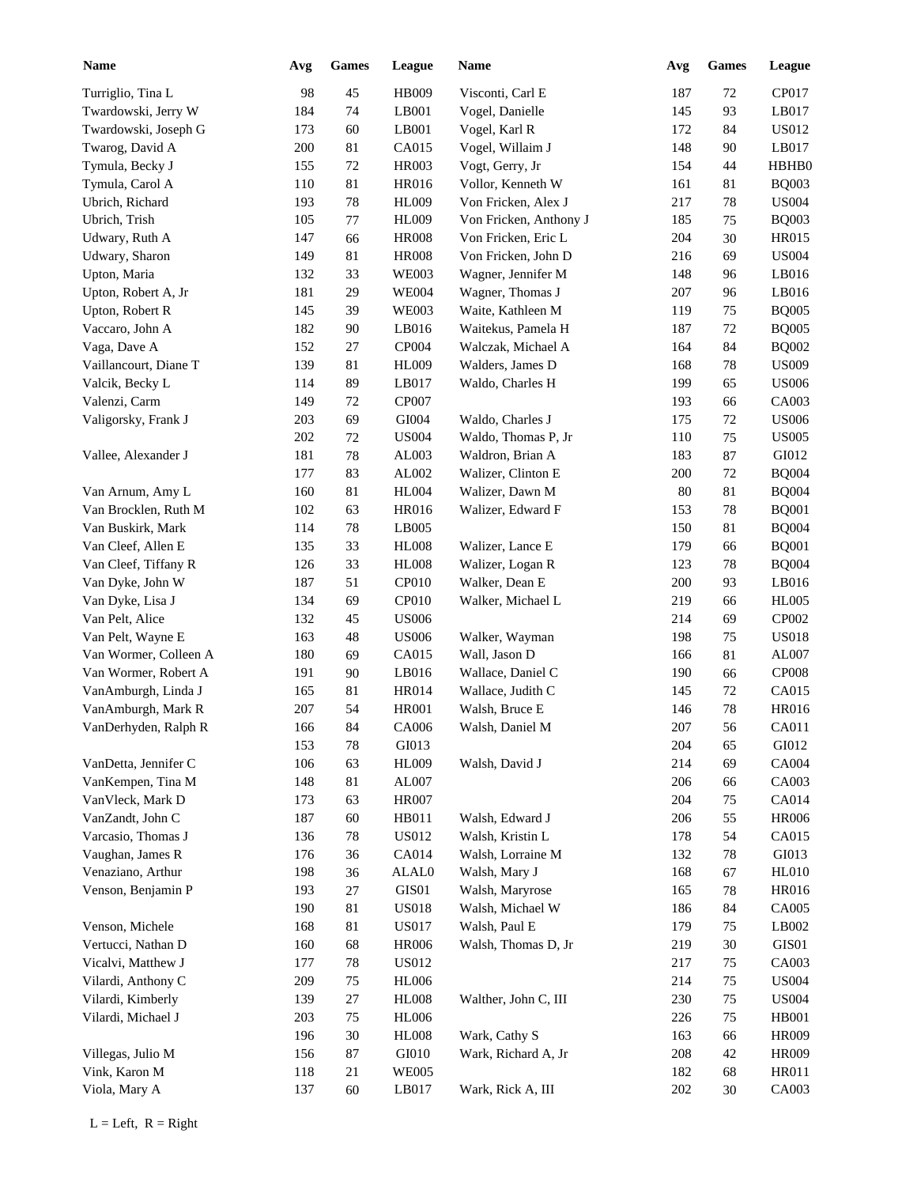| <b>Name</b>                              | Avg | <b>Games</b> | League       | Name                   | Avg     | <b>Games</b> | League       |
|------------------------------------------|-----|--------------|--------------|------------------------|---------|--------------|--------------|
| Turriglio, Tina L                        | 98  | 45           | HB009        | Visconti, Carl E       | 187     | 72           | CP017        |
| Twardowski, Jerry W                      | 184 | 74           | LB001        | Vogel, Danielle        | 145     | 93           | LB017        |
| Twardowski, Joseph G                     | 173 | 60           | LB001        | Vogel, Karl R          | 172     | 84           | US012        |
| Twarog, David A                          | 200 | 81           | CA015        | Vogel, Willaim J       | 148     | 90           | LB017        |
| Tymula, Becky J                          | 155 | 72           | HR003        | Vogt, Gerry, Jr        | 154     | 44           | HBHB0        |
| Tymula, Carol A                          | 110 | 81           | HR016        | Vollor, Kenneth W      | 161     | 81           | <b>BQ003</b> |
| Ubrich, Richard                          | 193 | 78           | <b>HL009</b> | Von Fricken, Alex J    | 217     | 78           | <b>US004</b> |
| Ubrich, Trish                            | 105 | $77 \,$      | <b>HL009</b> | Von Fricken, Anthony J | 185     | 75           | <b>BQ003</b> |
| Udwary, Ruth A                           | 147 | 66           | <b>HR008</b> | Von Fricken, Eric L    | 204     | $30\,$       | <b>HR015</b> |
| Udwary, Sharon                           | 149 | 81           | <b>HR008</b> | Von Fricken, John D    | 216     | 69           | <b>US004</b> |
| Upton, Maria                             | 132 | 33           | <b>WE003</b> | Wagner, Jennifer M     | 148     | 96           | LB016        |
| Upton, Robert A, Jr                      | 181 | 29           | <b>WE004</b> | Wagner, Thomas J       | 207     | 96           | LB016        |
| Upton, Robert R                          | 145 | 39           | <b>WE003</b> | Waite, Kathleen M      | 119     | 75           | <b>BQ005</b> |
| Vaccaro, John A                          | 182 | 90           | LB016        | Waitekus, Pamela H     | 187     | 72           | <b>BQ005</b> |
| Vaga, Dave A                             | 152 | 27           | CP004        | Walczak, Michael A     | 164     | 84           | <b>BQ002</b> |
| Vaillancourt, Diane T                    | 139 | 81           | <b>HL009</b> | Walders, James D       | 168     | 78           | <b>US009</b> |
| Valcik, Becky L                          | 114 | 89           | LB017        | Waldo, Charles H       | 199     | 65           | <b>US006</b> |
| Valenzi, Carm                            | 149 | 72           | <b>CP007</b> |                        | 193     | 66           | CA003        |
| Valigorsky, Frank J                      | 203 | 69           | GI004        | Waldo, Charles J       | 175     | 72           | <b>US006</b> |
|                                          | 202 | 72           | <b>US004</b> | Waldo, Thomas P, Jr    | 110     | 75           | <b>US005</b> |
| Vallee, Alexander J                      | 181 | 78           | AL003        | Waldron, Brian A       | 183     | 87           | GI012        |
|                                          | 177 | 83           | AL002        | Walizer, Clinton E     | 200     | 72           | <b>BQ004</b> |
|                                          | 160 | 81           | <b>HL004</b> | Walizer, Dawn M        | 80      | 81           | <b>BQ004</b> |
| Van Arnum, Amy L<br>Van Brocklen, Ruth M | 102 | 63           | HR016        | Walizer, Edward F      | 153     | 78           | <b>BQ001</b> |
|                                          | 114 |              | LB005        |                        | 150     |              | <b>BQ004</b> |
| Van Buskirk, Mark                        |     | 78           |              |                        |         | 81           |              |
| Van Cleef, Allen E                       | 135 | 33           | <b>HL008</b> | Walizer, Lance E       | 179     | 66           | <b>BQ001</b> |
| Van Cleef, Tiffany R                     | 126 | 33           | <b>HL008</b> | Walizer, Logan R       | 123     | 78           | <b>BQ004</b> |
| Van Dyke, John W                         | 187 | 51           | CP010        | Walker, Dean E         | 200     | 93           | LB016        |
| Van Dyke, Lisa J                         | 134 | 69           | CP010        | Walker, Michael L      | 219     | 66           | <b>HL005</b> |
| Van Pelt, Alice                          | 132 | 45           | <b>US006</b> |                        | 214     | 69           | CP002        |
| Van Pelt, Wayne E                        | 163 | 48           | <b>US006</b> | Walker, Wayman         | 198     | 75           | <b>US018</b> |
| Van Wormer, Colleen A                    | 180 | 69           | CA015        | Wall, Jason D          | 166     | 81           | AL007        |
| Van Wormer, Robert A                     | 191 | 90           | LB016        | Wallace, Daniel C      | 190     | 66           | <b>CP008</b> |
| VanAmburgh, Linda J                      | 165 | $81\,$       | HR014        | Wallace, Judith C      | 145     | 72           | CA015        |
| VanAmburgh, Mark R                       | 207 | 54           | <b>HR001</b> | Walsh, Bruce E         | 146     | $78\,$       | <b>HR016</b> |
| VanDerhyden, Ralph R                     | 166 | 84           | CA006        | Walsh, Daniel M        | $207\,$ | 56           | CA011        |
|                                          | 153 | $78\,$       | GI013        |                        | 204     | 65           | GI012        |
| VanDetta, Jennifer C                     | 106 | 63           | <b>HL009</b> | Walsh, David J         | 214     | 69           | CA004        |
| VanKempen, Tina M                        | 148 | $81\,$       | AL007        |                        | 206     | 66           | CA003        |
| VanVleck, Mark D                         | 173 | 63           | <b>HR007</b> |                        | 204     | 75           | CA014        |
| VanZandt, John C                         | 187 | 60           | HB011        | Walsh, Edward J        | 206     | 55           | <b>HR006</b> |
| Varcasio, Thomas J                       | 136 | $78\,$       | <b>US012</b> | Walsh, Kristin L       | 178     | 54           | CA015        |
| Vaughan, James R                         | 176 | 36           | CA014        | Walsh, Lorraine M      | 132     | 78           | GI013        |
| Venaziano, Arthur                        | 198 | 36           | ALAL0        | Walsh, Mary J          | 168     | 67           | <b>HL010</b> |
| Venson, Benjamin P                       | 193 | $27\,$       | GIS01        | Walsh, Maryrose        | 165     | 78           | <b>HR016</b> |
|                                          | 190 | $81\,$       | <b>US018</b> | Walsh, Michael W       | 186     | 84           | CA005        |
| Venson, Michele                          | 168 | 81           | <b>US017</b> | Walsh, Paul E          | 179     | 75           | LB002        |
| Vertucci, Nathan D                       | 160 | 68           | <b>HR006</b> | Walsh, Thomas D, Jr    | 219     | 30           | GIS01        |
| Vicalvi, Matthew J                       | 177 | $78\,$       | <b>US012</b> |                        | 217     | 75           | CA003        |
| Vilardi, Anthony C                       | 209 | 75           | <b>HL006</b> |                        | 214     | 75           | <b>US004</b> |
| Vilardi, Kimberly                        | 139 | $27\,$       | <b>HL008</b> | Walther, John C, III   | 230     | 75           | <b>US004</b> |
| Vilardi, Michael J                       | 203 | 75           | <b>HL006</b> |                        | 226     | 75           | <b>HB001</b> |
|                                          | 196 | $30\,$       | <b>HL008</b> | Wark, Cathy S          | 163     | 66           | HR009        |
| Villegas, Julio M                        | 156 | 87           | GI010        | Wark, Richard A, Jr    | 208     | 42           | HR009        |
| Vink, Karon M                            | 118 | 21           | <b>WE005</b> |                        | 182     | 68           | HR011        |
| Viola, Mary A                            | 137 | 60           | LB017        | Wark, Rick A, III      | 202     | 30           | CA003        |
|                                          |     |              |              |                        |         |              |              |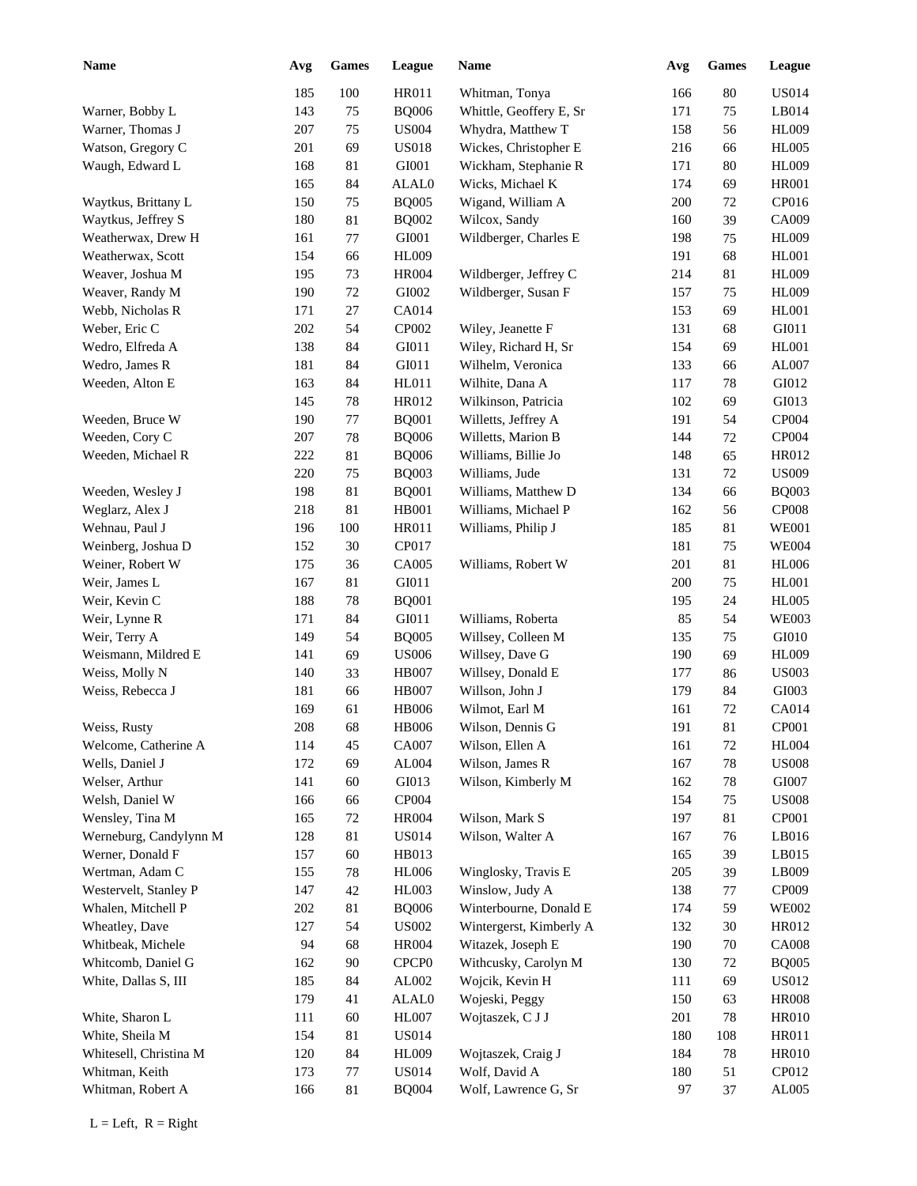| <b>Name</b>            | Avg | <b>Games</b> | League                        | Name                    | Avg | <b>Games</b> | <b>League</b> |
|------------------------|-----|--------------|-------------------------------|-------------------------|-----|--------------|---------------|
|                        | 185 | 100          | <b>HR011</b>                  | Whitman, Tonya          | 166 | 80           | <b>US014</b>  |
| Warner, Bobby L        | 143 | 75           | <b>BQ006</b>                  | Whittle, Geoffery E, Sr | 171 | 75           | LB014         |
| Warner, Thomas J       | 207 | 75           | <b>US004</b>                  | Whydra, Matthew T       | 158 | 56           | <b>HL009</b>  |
| Watson, Gregory C      | 201 | 69           | <b>US018</b>                  | Wickes, Christopher E   | 216 | 66           | <b>HL005</b>  |
| Waugh, Edward L        | 168 | 81           | GI001                         | Wickham, Stephanie R    | 171 | 80           | <b>HL009</b>  |
|                        | 165 | 84           | ALAL0                         | Wicks, Michael K        | 174 | 69           | <b>HR001</b>  |
| Waytkus, Brittany L    | 150 | 75           | <b>BQ005</b>                  | Wigand, William A       | 200 | 72           | CP016         |
| Waytkus, Jeffrey S     | 180 | 81           | <b>BQ002</b>                  | Wilcox, Sandy           | 160 | 39           | CA009         |
| Weatherwax, Drew H     | 161 | 77           | GI001                         | Wildberger, Charles E   | 198 | 75           | <b>HL009</b>  |
| Weatherwax, Scott      | 154 | 66           | HL009                         |                         | 191 | 68           | <b>HL001</b>  |
| Weaver, Joshua M       | 195 | 73           | <b>HR004</b>                  | Wildberger, Jeffrey C   | 214 | 81           | <b>HL009</b>  |
| Weaver, Randy M        | 190 | $72\,$       | GI002                         | Wildberger, Susan F     | 157 | 75           | <b>HL009</b>  |
| Webb, Nicholas R       | 171 | 27           | CA014                         |                         | 153 | 69           | <b>HL001</b>  |
| Weber, Eric C          | 202 | 54           | CP002                         | Wiley, Jeanette F       | 131 | 68           | GI011         |
| Wedro, Elfreda A       | 138 | 84           | GI011                         | Wiley, Richard H, Sr    | 154 | 69           | HL001         |
| Wedro, James R         | 181 | 84           | GI011                         | Wilhelm, Veronica       | 133 | 66           | AL007         |
| Weeden, Alton E        | 163 | 84           | HL011                         | Wilhite, Dana A         | 117 | 78           | GI012         |
|                        | 145 | 78           | HR012                         | Wilkinson, Patricia     | 102 | 69           | GI013         |
| Weeden, Bruce W        | 190 | 77           | <b>BQ001</b>                  | Willetts, Jeffrey A     | 191 | 54           | CP004         |
| Weeden, Cory C         | 207 | 78           | <b>BQ006</b>                  | Willetts, Marion B      | 144 | 72           | CP004         |
| Weeden, Michael R      | 222 | 81           | <b>BQ006</b>                  | Williams, Billie Jo     | 148 | 65           | HR012         |
|                        | 220 | 75           | <b>BQ003</b>                  | Williams, Jude          | 131 | 72           | <b>US009</b>  |
| Weeden, Wesley J       | 198 | 81           | <b>BQ001</b>                  | Williams, Matthew D     | 134 | 66           | <b>BQ003</b>  |
| Weglarz, Alex J        | 218 | 81           | <b>HB001</b>                  | Williams, Michael P     | 162 | 56           | <b>CP008</b>  |
| Wehnau, Paul J         | 196 | 100          | HR011                         | Williams, Philip J      | 185 | 81           | <b>WE001</b>  |
| Weinberg, Joshua D     | 152 | 30           | CP017                         |                         | 181 | 75           | <b>WE004</b>  |
| Weiner, Robert W       | 175 | 36           | CA005                         | Williams, Robert W      | 201 | 81           | <b>HL006</b>  |
| Weir, James L          | 167 | 81           | GI011                         |                         | 200 | 75           | <b>HL001</b>  |
| Weir, Kevin C          | 188 | 78           | <b>BQ001</b>                  |                         | 195 | 24           | <b>HL005</b>  |
| Weir, Lynne R          | 171 | 84           | GI011                         | Williams, Roberta       | 85  | 54           | <b>WE003</b>  |
| Weir, Terry A          | 149 | 54           | <b>BQ005</b>                  | Willsey, Colleen M      | 135 | 75           | GI010         |
| Weismann, Mildred E    | 141 | 69           | <b>US006</b>                  | Willsey, Dave G         | 190 | 69           | <b>HL009</b>  |
| Weiss, Molly N         | 140 | 33           | <b>HB007</b>                  | Willsey, Donald E       | 177 | 86           | <b>US003</b>  |
| Weiss, Rebecca J       | 181 | 66           | <b>HB007</b>                  | Willson, John J         | 179 | 84           | GI003         |
|                        | 169 | 61           | <b>HB006</b>                  | Wilmot, Earl M          | 161 | 72           | <b>CA014</b>  |
| Weiss, Rusty           | 208 | 68           | <b>HB006</b>                  | Wilson, Dennis G        | 191 | $81\,$       | CP001         |
| Welcome, Catherine A   | 114 | 45           | CA007                         | Wilson, Ellen A         | 161 | 72           | <b>HL004</b>  |
| Wells, Daniel J        | 172 | 69           | AL004                         | Wilson, James R         | 167 | 78           | <b>US008</b>  |
| Welser, Arthur         | 141 | 60           | GI013                         | Wilson, Kimberly M      | 162 | 78           | GI007         |
| Welsh, Daniel W        | 166 | 66           | CP004                         |                         | 154 | 75           | <b>US008</b>  |
| Wensley, Tina M        | 165 | $72\,$       | <b>HR004</b>                  | Wilson, Mark S          | 197 | 81           | CP001         |
| Werneburg, Candylynn M | 128 | 81           | <b>US014</b>                  | Wilson, Walter A        | 167 | 76           | LB016         |
| Werner, Donald F       | 157 | 60           | HB013                         |                         | 165 | 39           | LB015         |
| Wertman, Adam C        | 155 | 78           | <b>HL006</b>                  | Winglosky, Travis E     | 205 | 39           | LB009         |
| Westervelt, Stanley P  | 147 | $42\,$       | HL003                         | Winslow, Judy A         | 138 | 77           | CP009         |
| Whalen, Mitchell P     | 202 | 81           | <b>BQ006</b>                  | Winterbourne, Donald E  | 174 | 59           | <b>WE002</b>  |
| Wheatley, Dave         | 127 | 54           | $\ensuremath{\mathrm{USO02}}$ | Wintergerst, Kimberly A | 132 | $30\,$       | HR012         |
| Whitbeak, Michele      | 94  | 68           | <b>HR004</b>                  | Witazek, Joseph E       | 190 | 70           | <b>CA008</b>  |
| Whitcomb, Daniel G     | 162 | 90           | CPCP <sub>0</sub>             | Withcusky, Carolyn M    | 130 | 72           | <b>BQ005</b>  |
| White, Dallas S, III   | 185 | 84           | AL002                         | Wojcik, Kevin H         | 111 | 69           | <b>US012</b>  |
|                        | 179 | 41           | ALAL0                         | Wojeski, Peggy          | 150 | 63           | <b>HR008</b>  |
| White, Sharon L        | 111 | 60           | HL007                         | Wojtaszek, C J J        | 201 | 78           | <b>HR010</b>  |
| White, Sheila M        | 154 | 81           | <b>US014</b>                  |                         | 180 | 108          | HR011         |
| Whitesell, Christina M | 120 | 84           | HL009                         | Wojtaszek, Craig J      | 184 | 78           | <b>HR010</b>  |
| Whitman, Keith         | 173 | 77           | <b>US014</b>                  | Wolf, David A           | 180 | 51           | CP012         |
| Whitman, Robert A      | 166 | 81           | <b>BQ004</b>                  | Wolf, Lawrence G, Sr    | 97  | 37           | AL005         |
|                        |     |              |                               |                         |     |              |               |